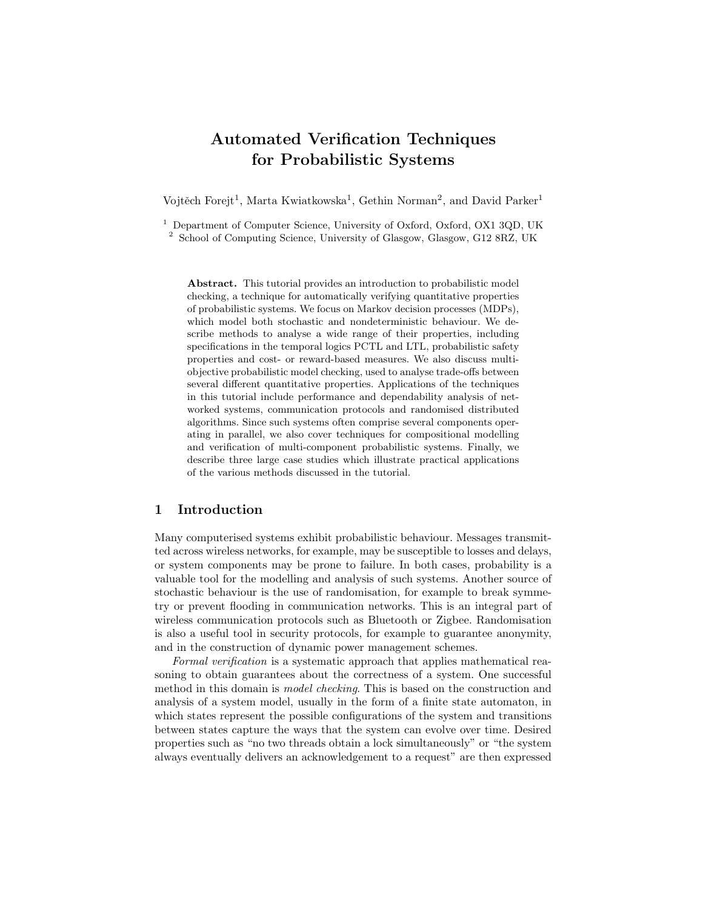# Automated Verification Techniques for Probabilistic Systems

Vojtěch Forejt<sup>1</sup>, Marta Kwiatkowska<sup>1</sup>, Gethin Norman<sup>2</sup>, and David Parker<sup>1</sup>

<sup>1</sup> Department of Computer Science, University of Oxford, Oxford, OX1 3QD, UK <sup>2</sup> School of Computing Science, University of Glasgow, Glasgow, G12 8RZ, UK

Abstract. This tutorial provides an introduction to probabilistic model checking, a technique for automatically verifying quantitative properties of probabilistic systems. We focus on Markov decision processes (MDPs), which model both stochastic and nondeterministic behaviour. We describe methods to analyse a wide range of their properties, including specifications in the temporal logics PCTL and LTL, probabilistic safety properties and cost- or reward-based measures. We also discuss multiobjective probabilistic model checking, used to analyse trade-offs between several different quantitative properties. Applications of the techniques in this tutorial include performance and dependability analysis of networked systems, communication protocols and randomised distributed algorithms. Since such systems often comprise several components operating in parallel, we also cover techniques for compositional modelling and verification of multi-component probabilistic systems. Finally, we describe three large case studies which illustrate practical applications of the various methods discussed in the tutorial.

## 1 Introduction

Many computerised systems exhibit probabilistic behaviour. Messages transmitted across wireless networks, for example, may be susceptible to losses and delays, or system components may be prone to failure. In both cases, probability is a valuable tool for the modelling and analysis of such systems. Another source of stochastic behaviour is the use of randomisation, for example to break symmetry or prevent flooding in communication networks. This is an integral part of wireless communication protocols such as Bluetooth or Zigbee. Randomisation is also a useful tool in security protocols, for example to guarantee anonymity, and in the construction of dynamic power management schemes.

Formal verification is a systematic approach that applies mathematical reasoning to obtain guarantees about the correctness of a system. One successful method in this domain is model checking. This is based on the construction and analysis of a system model, usually in the form of a finite state automaton, in which states represent the possible configurations of the system and transitions between states capture the ways that the system can evolve over time. Desired properties such as "no two threads obtain a lock simultaneously" or "the system always eventually delivers an acknowledgement to a request" are then expressed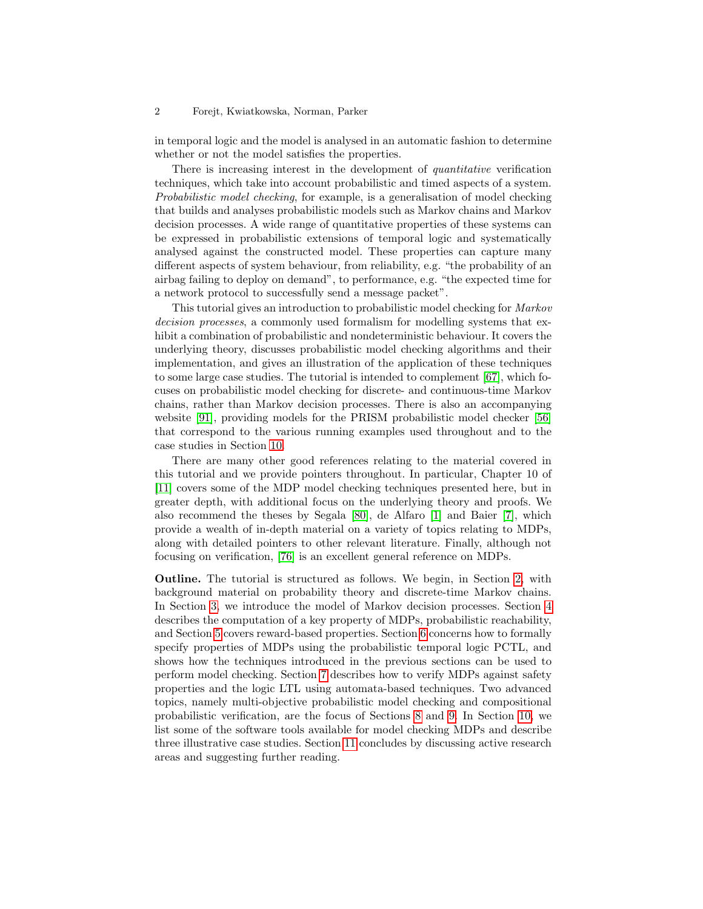in temporal logic and the model is analysed in an automatic fashion to determine whether or not the model satisfies the properties.

There is increasing interest in the development of *quantitative* verification techniques, which take into account probabilistic and timed aspects of a system. Probabilistic model checking, for example, is a generalisation of model checking that builds and analyses probabilistic models such as Markov chains and Markov decision processes. A wide range of quantitative properties of these systems can be expressed in probabilistic extensions of temporal logic and systematically analysed against the constructed model. These properties can capture many different aspects of system behaviour, from reliability, e.g. "the probability of an airbag failing to deploy on demand", to performance, e.g. "the expected time for a network protocol to successfully send a message packet".

This tutorial gives an introduction to probabilistic model checking for Markov decision processes, a commonly used formalism for modelling systems that exhibit a combination of probabilistic and nondeterministic behaviour. It covers the underlying theory, discusses probabilistic model checking algorithms and their implementation, and gives an illustration of the application of these techniques to some large case studies. The tutorial is intended to complement [\[67\]](#page-58-0), which focuses on probabilistic model checking for discrete- and continuous-time Markov chains, rather than Markov decision processes. There is also an accompanying website [\[91\]](#page-59-0), providing models for the PRISM probabilistic model checker [\[56\]](#page-57-0) that correspond to the various running examples used throughout and to the case studies in Section [10.](#page-47-0)

There are many other good references relating to the material covered in this tutorial and we provide pointers throughout. In particular, Chapter 10 of [\[11\]](#page-55-0) covers some of the MDP model checking techniques presented here, but in greater depth, with additional focus on the underlying theory and proofs. We also recommend the theses by Segala [\[80\]](#page-59-1), de Alfaro [\[1\]](#page-54-0) and Baier [\[7\]](#page-55-1), which provide a wealth of in-depth material on a variety of topics relating to MDPs, along with detailed pointers to other relevant literature. Finally, although not focusing on verification, [\[76\]](#page-59-2) is an excellent general reference on MDPs.

Outline. The tutorial is structured as follows. We begin, in Section [2,](#page-2-0) with background material on probability theory and discrete-time Markov chains. In Section [3,](#page-3-0) we introduce the model of Markov decision processes. Section [4](#page-9-0) describes the computation of a key property of MDPs, probabilistic reachability, and Section [5](#page-18-0) covers reward-based properties. Section [6](#page-24-0) concerns how to formally specify properties of MDPs using the probabilistic temporal logic PCTL, and shows how the techniques introduced in the previous sections can be used to perform model checking. Section [7](#page-30-0) describes how to verify MDPs against safety properties and the logic LTL using automata-based techniques. Two advanced topics, namely multi-objective probabilistic model checking and compositional probabilistic verification, are the focus of Sections [8](#page-38-0) and [9.](#page-43-0) In Section [10,](#page-47-0) we list some of the software tools available for model checking MDPs and describe three illustrative case studies. Section [11](#page-53-0) concludes by discussing active research areas and suggesting further reading.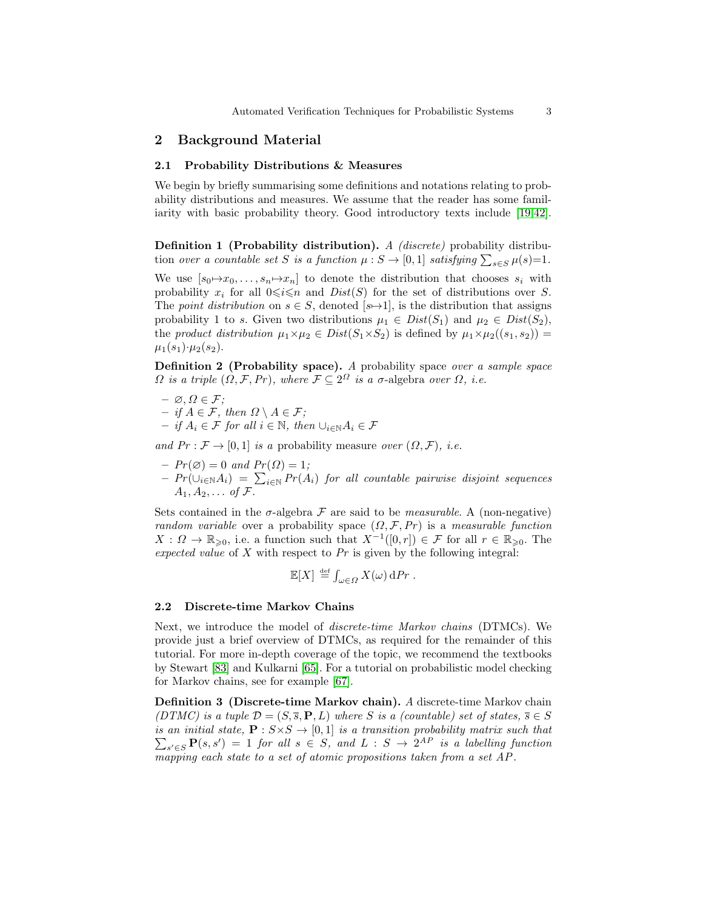## <span id="page-2-0"></span>2 Background Material

#### 2.1 Probability Distributions & Measures

We begin by briefly summarising some definitions and notations relating to probability distributions and measures. We assume that the reader has some familiarity with basic probability theory. Good introductory texts include [\[19,](#page-55-2)[42\]](#page-57-1).

Definition 1 (Probability distribution). A (discrete) probability distribution over a countable set S is a function  $\mu : S \to [0,1]$  satisfying  $\sum_{s \in S} \mu(s) = 1$ . We use  $[s_0 \mapsto x_0, \ldots, s_n \mapsto x_n]$  to denote the distribution that chooses  $s_i$  with

probability  $x_i$  for all  $0 \leq i \leq n$  and  $Dist(S)$  for the set of distributions over S. The *point distribution* on  $s \in S$ , denoted  $[s\rightarrow 1]$ , is the distribution that assigns probability 1 to s. Given two distributions  $\mu_1 \in Dist(S_1)$  and  $\mu_2 \in Dist(S_2)$ , the product distribution  $\mu_1 \times \mu_2 \in Dist(S_1 \times S_2)$  is defined by  $\mu_1 \times \mu_2((s_1, s_2))$  =  $\mu_1(s_1)\!\cdot\!\mu_2(s_2)$ .

Definition 2 (Probability space). A probability space over a sample space  $\Omega$  is a triple  $(\Omega, \mathcal{F}, Pr)$ , where  $\mathcal{F} \subseteq 2^{\Omega}$  is a  $\sigma$ -algebra over  $\Omega$ , i.e.

- $\varnothing, \Omega \in \mathcal{F}$ ;
- if A ∈ F, then Ω \ A ∈ F;
- $-$  if  $A_i \in \mathcal{F}$  for all  $i \in \mathbb{N}$ , then  $\cup_{i \in \mathbb{N}} A_i \in \mathcal{F}$

and  $Pr : \mathcal{F} \to [0, 1]$  is a probability measure over  $(\Omega, \mathcal{F})$ , i.e.

 $- Pr(\emptyset) = 0$  and  $Pr(\Omega) = 1;$  $- Pr(\cup_{i \in \mathbb{N}} A_i) = \sum_{i \in \mathbb{N}} Pr(A_i)$  for all countable pairwise disjoint sequences  $A_1, A_2, \ldots$  of  $\mathcal{F}.$ 

Sets contained in the  $\sigma$ -algebra  $\mathcal F$  are said to be *measurable*. A (non-negative) random variable over a probability space  $(\Omega, \mathcal{F}, Pr)$  is a measurable function  $X: \Omega \to \mathbb{R}_{\geqslant 0}$ , i.e. a function such that  $X^{-1}([0,r]) \in \mathcal{F}$  for all  $r \in \mathbb{R}_{\geqslant 0}$ . The expected value of  $X$  with respect to  $Pr$  is given by the following integral:

$$
\mathbb{E}[X] \stackrel{\text{def}}{=} \int_{\omega \in \Omega} X(\omega) \, dPr.
$$

#### <span id="page-2-1"></span>2.2 Discrete-time Markov Chains

Next, we introduce the model of discrete-time Markov chains (DTMCs). We provide just a brief overview of DTMCs, as required for the remainder of this tutorial. For more in-depth coverage of the topic, we recommend the textbooks by Stewart [\[83\]](#page-59-3) and Kulkarni [\[65\]](#page-58-1). For a tutorial on probabilistic model checking for Markov chains, see for example [\[67\]](#page-58-0).

Definition 3 (Discrete-time Markov chain). A discrete-time Markov chain (DTMC) is a tuple  $\mathcal{D} = (S, \overline{s}, P, L)$  where S is a (countable) set of states,  $\overline{s} \in S$ is an initial state,  $P: S \times S \rightarrow [0,1]$  is a transition probability matrix such that  $\sum_{s' \in S} \mathbf{P}(s, s') = 1$  for all  $s \in S$ , and  $L : S \rightarrow 2^{AP}$  is a labelling function mapping each state to a set of atomic propositions taken from a set AP .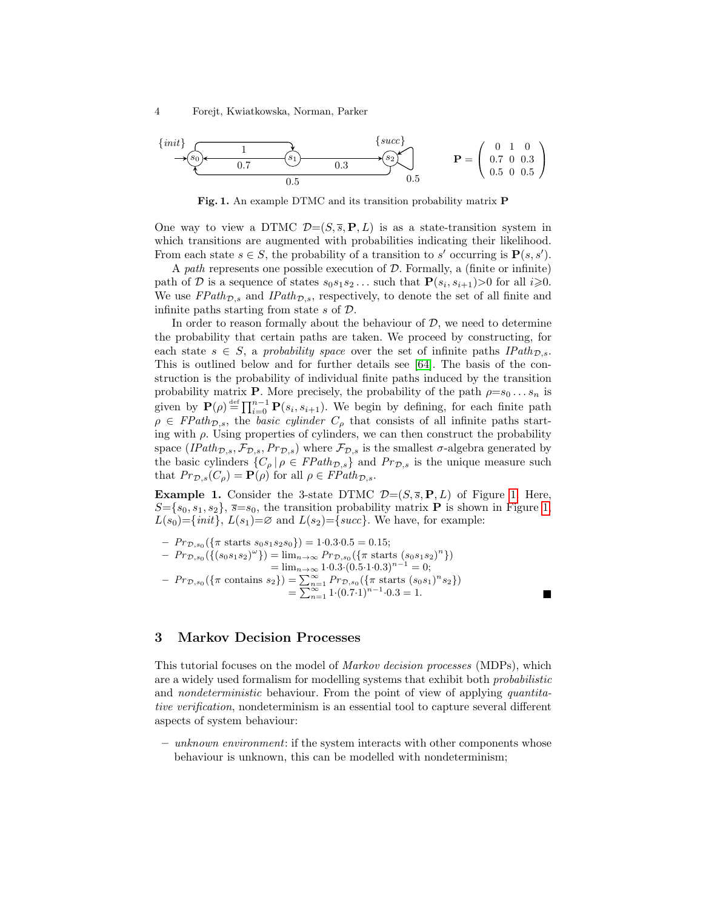

<span id="page-3-1"></span>Fig. 1. An example DTMC and its transition probability matrix P

One way to view a DTMC  $\mathcal{D}=(S,\bar{s},\mathbf{P},L)$  is as a state-transition system in which transitions are augmented with probabilities indicating their likelihood. From each state  $s \in S$ , the probability of a transition to s' occurring is  $\mathbf{P}(s, s')$ .

A path represents one possible execution of  $D$ . Formally, a (finite or infinite) path of D is a sequence of states  $s_0s_1s_2...$  such that  $\mathbf{P}(s_i, s_{i+1})>0$  for all  $i\geqslant 0$ . We use  $FPath_{\mathcal{D},s}$  and  $IPath_{\mathcal{D},s}$ , respectively, to denote the set of all finite and infinite paths starting from state  $s$  of  $D$ .

In order to reason formally about the behaviour of  $\mathcal{D}$ , we need to determine the probability that certain paths are taken. We proceed by constructing, for each state  $s \in S$ , a probability space over the set of infinite paths IPath  $p_s$ . This is outlined below and for further details see [\[64\]](#page-58-2). The basis of the construction is the probability of individual finite paths induced by the transition probability matrix **P**. More precisely, the probability of the path  $\rho=s_0 \ldots s_n$  is given by  $\mathbf{P}(\rho) \stackrel{\text{def}}{=} \prod_{i=0}^{n-1} \mathbf{P}(s_i, s_{i+1})$ . We begin by defining, for each finite path  $\rho \in \text{FPath}_{\mathcal{D},s}$ , the basic cylinder  $C_\rho$  that consists of all infinite paths starting with  $\rho$ . Using properties of cylinders, we can then construct the probability space  $(Path_{\mathcal{D},s}, \mathcal{F}_{\mathcal{D},s}, Pr_{\mathcal{D},s})$  where  $\mathcal{F}_{\mathcal{D},s}$  is the smallest  $\sigma$ -algebra generated by the basic cylinders  $\{C_{\rho} | \rho \in FPath_{\mathcal{D},s}\}\$ and  $Pr_{\mathcal{D},s}$  is the unique measure such that  $Pr_{\mathcal{D},s}(C_{\rho}) = \mathbf{P}(\rho)$  for all  $\rho \in FPath_{\mathcal{D},s}$ .

**Example [1.](#page-3-1)** Consider the 3-state DTMC  $\mathcal{D}=(S,\overline{s},\mathbf{P},L)$  of Figure 1. Here,  $S=\{s_0, s_1, s_2\}, \overline{s}=s_0$ , the transition probability matrix **P** is shown in Figure [1,](#page-3-1)  $L(s_0) = \{init\}, L(s_1) = \emptyset \text{ and } L(s_2) = \{succ\}.$  We have, for example:

 $- Pr_{\mathcal{D},s_0}(\{\pi \text{ starts } s_0s_1s_2s_0\}) = 1.0.3 \cdot 0.5 = 0.15;$  $- Pr_{\mathcal{D},s_0}(\{(s_0s_1s_2)^{\omega}\}) = \lim_{n \to \infty} Pr_{\mathcal{D},s_0}(\{\pi \text{ starts } (s_0s_1s_2)^n\})$  $=\lim_{n\to\infty}1\cdot0.3\cdot(0.5\cdot1\cdot0.3)^{n-1}=0;$ -  $Pr_{\mathcal{D},s_0}(\{\pi \text{ contains } s_2\}) = \sum_{n=1}^{\infty} Pr_{\mathcal{D},s_0}(\{\pi \text{ starts } (s_0s_1)^n s_2\})$ 

## $=\sum_{n=1}^{\infty}1\cdot(0.7\cdot1)^{n-1}\cdot0.3=1.$

## <span id="page-3-0"></span>3 Markov Decision Processes

This tutorial focuses on the model of Markov decision processes (MDPs), which are a widely used formalism for modelling systems that exhibit both probabilistic and *nondeterministic* behaviour. From the point of view of applying *quantita*tive verification, nondeterminism is an essential tool to capture several different aspects of system behaviour:

– unknown environment: if the system interacts with other components whose behaviour is unknown, this can be modelled with nondeterminism;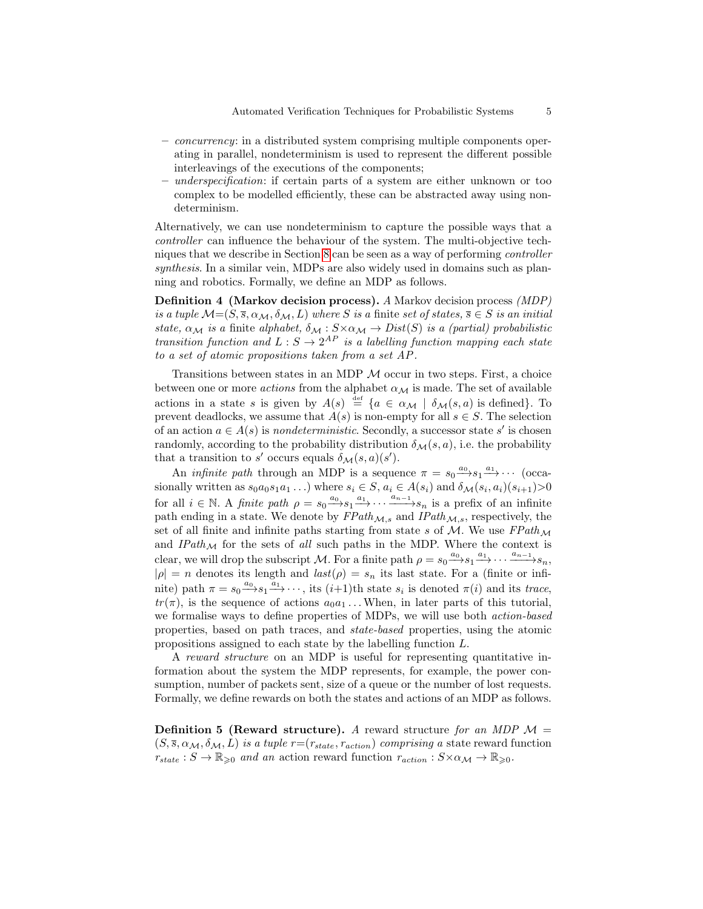- concurrency: in a distributed system comprising multiple components operating in parallel, nondeterminism is used to represent the different possible interleavings of the executions of the components;
- underspecification: if certain parts of a system are either unknown or too complex to be modelled efficiently, these can be abstracted away using nondeterminism.

Alternatively, we can use nondeterminism to capture the possible ways that a controller can influence the behaviour of the system. The multi-objective techniques that we describe in Section [8](#page-38-0) can be seen as a way of performing controller synthesis. In a similar vein, MDPs are also widely used in domains such as planning and robotics. Formally, we define an MDP as follows.

<span id="page-4-0"></span>Definition 4 (Markov decision process). A Markov decision process (MDP) is a tuple  $\mathcal{M}=(S,\overline{s},\alpha_{\mathcal{M}},\delta_{\mathcal{M}},L)$  where S is a finite set of states,  $\overline{s} \in S$  is an initial state,  $\alpha_{\mathcal{M}}$  is a finite alphabet,  $\delta_{\mathcal{M}} : S \times \alpha_{\mathcal{M}} \to Dist(S)$  is a (partial) probabilistic transition function and  $L : S \to 2^{AP}$  is a labelling function mapping each state to a set of atomic propositions taken from a set AP .

Transitions between states in an MDP  $\mathcal M$  occur in two steps. First, a choice between one or more *actions* from the alphabet  $\alpha_{\mathcal{M}}$  is made. The set of available actions in a state s is given by  $A(s) \stackrel{\text{def}}{=} \{a \in \alpha_{\mathcal{M}} \mid \delta_{\mathcal{M}}(s, a) \text{ is defined}\}.$  To prevent deadlocks, we assume that  $A(s)$  is non-empty for all  $s \in S$ . The selection of an action  $a \in A(s)$  is *nondeterministic*. Secondly, a successor state s' is chosen randomly, according to the probability distribution  $\delta_{\mathcal{M}}(s, a)$ , i.e. the probability that a transition to s' occurs equals  $\delta_{\mathcal{M}}(s, a)(s')$ .

An *infinite path* through an MDP is a sequence  $\pi = s_0 \xrightarrow{a_0} s_1 \xrightarrow{a_1} \cdots$  (occasionally written as  $s_0a_0s_1a_1\ldots$ ) where  $s_i \in S$ ,  $a_i \in A(s_i)$  and  $\delta_{\mathcal{M}}(s_i, a_i)(s_{i+1})>0$ for all  $i \in \mathbb{N}$ . A *finite path*  $\rho = s_0 \xrightarrow{a_0} s_1 \xrightarrow{a_1} \cdots \xrightarrow{a_{n-1}} s_n$  is a prefix of an infinite path ending in a state. We denote by  $\mathit{FPath}_{\mathcal{M},s}$  and  $\mathit{IPath}_{\mathcal{M},s}$ , respectively, the set of all finite and infinite paths starting from state s of  $M$ . We use  $FPath_{\mathcal{M}}$ and  $\text{IPath}_{\mathcal{M}}$  for the sets of all such paths in the MDP. Where the context is clear, we will drop the subscript M. For a finite path  $\rho = s_0 \xrightarrow{a_0} s_1 \xrightarrow{a_1} \cdots \xrightarrow{a_{n-1}} s_n$ ,  $|\rho| = n$  denotes its length and  $last(\rho) = s_n$  its last state. For a (finite or infinite) path  $\pi = s_0 \xrightarrow{a_0} s_1 \xrightarrow{a_1} \cdots$ , its  $(i+1)$ th state  $s_i$  is denoted  $\pi(i)$  and its trace,  $tr(\pi)$ , is the sequence of actions  $a_0a_1...$  When, in later parts of this tutorial, we formalise ways to define properties of MDPs, we will use both action-based properties, based on path traces, and state-based properties, using the atomic propositions assigned to each state by the labelling function L.

A reward structure on an MDP is useful for representing quantitative information about the system the MDP represents, for example, the power consumption, number of packets sent, size of a queue or the number of lost requests. Formally, we define rewards on both the states and actions of an MDP as follows.

**Definition 5 (Reward structure).** A reward structure for an MDP  $\mathcal{M} =$  $(S, \overline{s}, \alpha_{\mathcal{M}}, \delta_{\mathcal{M}}, L)$  is a tuple  $r = (r_{state}, r_{action})$  comprising a state reward function  $r_{state}: S \to \mathbb{R}_{\geqslant 0}$  and an action reward function  $r_{action}: S \times \alpha_{\mathcal{M}} \to \mathbb{R}_{\geqslant 0}$ .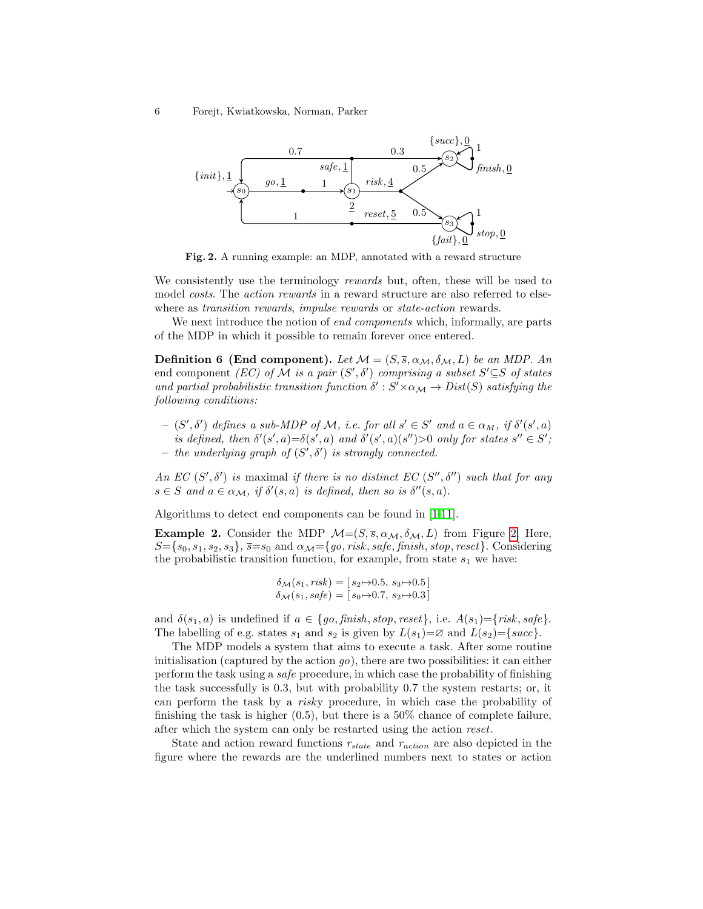6 Forejt, Kwiatkowska, Norman, Parker



<span id="page-5-2"></span><span id="page-5-0"></span>Fig. 2. A running example: an MDP, annotated with a reward structure

We consistently use the terminology *rewards* but, often, these will be used to model costs. The action rewards in a reward structure are also referred to elsewhere as transition rewards, impulse rewards or state-action rewards.

We next introduce the notion of *end components* which, informally, are parts of the MDP in which it possible to remain forever once entered.

**Definition 6 (End component).** Let  $\mathcal{M} = (S, \overline{s}, \alpha_{\mathcal{M}}, \delta_{\mathcal{M}}, L)$  be an MDP. An end component (EC) of M is a pair  $(S', \delta')$  comprising a subset  $S' \subseteq S$  of states and partial probabilistic transition function  $\delta': S' \times \alpha_{\mathcal{M}} \to Dist(S)$  satisfying the following conditions:

 $(S', \delta')$  defines a sub-MDP of M, i.e. for all  $s' \in S'$  and  $a \in \alpha_M$ , if  $\delta'(s', a)$ is defined, then  $\delta'(s', a) = \delta(s', a)$  and  $\delta'(s', a)(s'') > 0$  only for states  $s'' \in S'$ ; - the underlying graph of  $(S', \delta')$  is strongly connected.

An EC  $(S', \delta')$  is maximal if there is no distinct EC  $(S'', \delta'')$  such that for any  $s \in S$  and  $a \in \alpha_{\mathcal{M}}$ , if  $\delta'(s, a)$  is defined, then so is  $\delta''(s, a)$ .

Algorithms to detect end components can be found in [\[1](#page-54-0)[,11\]](#page-55-0).

<span id="page-5-1"></span>**Example [2.](#page-5-0)** Consider the MDP  $\mathcal{M} = (S, \overline{s}, \alpha_{\mathcal{M}}, \delta_{\mathcal{M}}, L)$  from Figure 2. Here,  $S=\{s_0, s_1, s_2, s_3\}, \overline{s}=s_0 \text{ and } \alpha_{\mathcal{M}}=\{go, risk, safe, finish, stop, reset\}.$  Considering the probabilistic transition function, for example, from state  $s_1$  we have:

$$
\delta_{\mathcal{M}}(s_1, risk) = [s_2 \rightarrow 0.5, s_3 \rightarrow 0.5]
$$

$$
\delta_{\mathcal{M}}(s_1, safe) = [s_0 \rightarrow 0.7, s_2 \rightarrow 0.3]
$$

and  $\delta(s_1, a)$  is undefined if  $a \in \{go, finish, stop, reset\}$ , i.e.  $A(s_1) = \{risk, safe\}$ . The labelling of e.g. states  $s_1$  and  $s_2$  is given by  $L(s_1)=\emptyset$  and  $L(s_2)=\{succ\}$ .

The MDP models a system that aims to execute a task. After some routine initialisation (captured by the action  $q\rho$ ), there are two possibilities: it can either perform the task using a safe procedure, in which case the probability of finishing the task successfully is 0.3, but with probability 0.7 the system restarts; or, it can perform the task by a risky procedure, in which case the probability of finishing the task is higher (0.5), but there is a 50% chance of complete failure, after which the system can only be restarted using the action reset.

State and action reward functions  $r_{state}$  and  $r_{action}$  are also depicted in the figure where the rewards are the underlined numbers next to states or action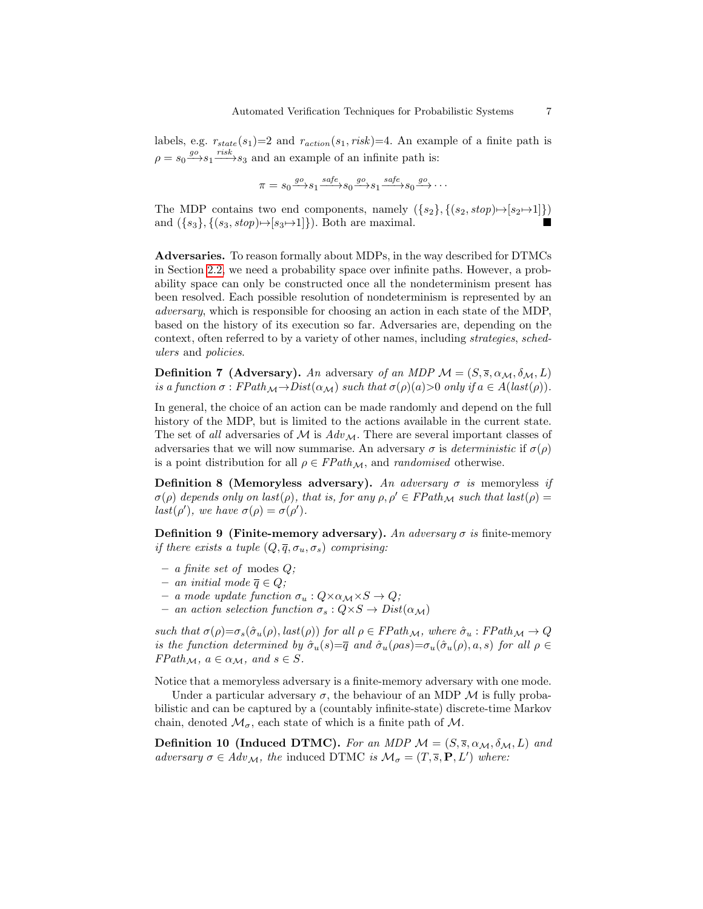labels, e.g.  $r_{state}(s_1)=2$  and  $r_{action}(s_1, risk)=4$ . An example of a finite path is  $\rho = s_0 \frac{go}{\rightarrow} s_1 \frac{risk}{\rightarrow} s_3$  and an example of an infinite path is:

$$
\pi = s_0 \xrightarrow{go} s_1 \xrightarrow{safe} s_0 \xrightarrow{go} s_1 \xrightarrow{safe} s_0 \xrightarrow{go} \cdots
$$

The MDP contains two end components, namely  $({s_2}, {s_2}, {s_0}) \rightarrow [s_2 \rightarrow 1])$ and  $({s_3}, {s{top}) \rightarrow [s_3 \rightarrow 1]}$ . Both are maximal.

Adversaries. To reason formally about MDPs, in the way described for DTMCs in Section [2.2,](#page-2-1) we need a probability space over infinite paths. However, a probability space can only be constructed once all the nondeterminism present has been resolved. Each possible resolution of nondeterminism is represented by an adversary, which is responsible for choosing an action in each state of the MDP, based on the history of its execution so far. Adversaries are, depending on the context, often referred to by a variety of other names, including strategies, schedulers and policies.

**Definition 7 (Adversary).** An adversary of an MDP  $\mathcal{M} = (S, \overline{s}, \alpha_{\mathcal{M}}, \delta_{\mathcal{M}}, L)$ is a function  $\sigma$ :  $FPath_{\mathcal{M}} \to Dist(\alpha_{\mathcal{M}})$  such that  $\sigma(\rho)(a) > 0$  only if  $a \in A(last(\rho))$ .

In general, the choice of an action can be made randomly and depend on the full history of the MDP, but is limited to the actions available in the current state. The set of all adversaries of M is  $Adv_{\mathcal{M}}$ . There are several important classes of adversaries that we will now summarise. An adversary  $\sigma$  is *deterministic* if  $\sigma(\rho)$ is a point distribution for all  $\rho \in FPath_{\mathcal{M}}$ , and *randomised* otherwise.

**Definition 8 (Memoryless adversary).** An adversary  $\sigma$  is memoryless if  $\sigma(\rho)$  depends only on last $(\rho)$ , that is, for any  $\rho, \rho' \in FPath_{\mathcal{M}}$  such that last $(\rho)$  = last( $\rho'$ ), we have  $\sigma(\rho) = \sigma(\rho')$ .

<span id="page-6-0"></span>**Definition 9 (Finite-memory adversary).** An adversary  $\sigma$  is finite-memory if there exists a tuple  $(Q, \overline{q}, \sigma_u, \sigma_s)$  comprising:

- $-$  *a finite set of* modes  $Q$ ;
- $−$  an initial mode  $\overline{q} \in Q$ ;
- a mode update function  $\sigma_u$ :  $Q \times \alpha_M \times S \to Q$ ;
- an action selection function  $\sigma_s: Q \times S \to Dist(\alpha_{\mathcal{M}})$

such that  $\sigma(\rho) = \sigma_s(\hat{\sigma}_u(\rho), \text{last}(\rho))$  for all  $\rho \in \text{FPath}_\mathcal{M},$  where  $\hat{\sigma}_u : \text{FPath}_\mathcal{M} \to Q$ is the function determined by  $\hat{\sigma}_u(s) = \overline{q}$  and  $\hat{\sigma}_u(\rho as) = \sigma_u(\hat{\sigma}_u(\rho), a, s)$  for all  $\rho \in$  $FPath_{\mathcal{M}}, a \in \alpha_{\mathcal{M}}, and s \in S.$ 

Notice that a memoryless adversary is a finite-memory adversary with one mode.

Under a particular adversary  $\sigma$ , the behaviour of an MDP  $\mathcal M$  is fully probabilistic and can be captured by a (countably infinite-state) discrete-time Markov chain, denoted  $\mathcal{M}_{\sigma}$ , each state of which is a finite path of M.

**Definition 10 (Induced DTMC).** For an MDP  $\mathcal{M} = (S, \overline{s}, \alpha_{\mathcal{M}}, \delta_{\mathcal{M}}, L)$  and adversary  $\sigma \in Adv_{\mathcal{M}}$ , the induced DTMC is  $\mathcal{M}_{\sigma} = (T, \overline{s}, P, L')$  where: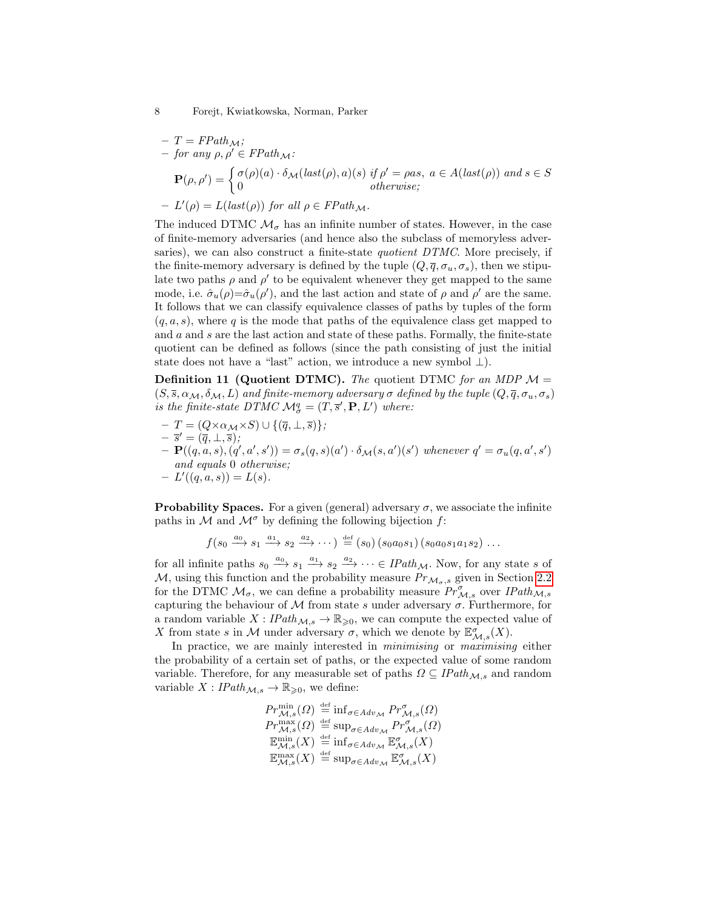$$
-T = FPath_M;
$$
  
\n
$$
- for any \rho, \rho' \in FPath_M;
$$
  
\n
$$
\mathbf{P}(\rho, \rho') = \begin{cases} \sigma(\rho)(a) \cdot \delta_{\mathcal{M}}(last(\rho), a)(s) \text{ if } \rho' = \rho as, \ a \in A(last(\rho)) \text{ and } s \in S \\ 0 & otherwise; \end{cases}
$$
  
\n
$$
- L'(\rho) = L(last(\rho)) \text{ for all } \rho \in FPath_M.
$$

The induced DTMC  $\mathcal{M}_{\sigma}$  has an infinite number of states. However, in the case of finite-memory adversaries (and hence also the subclass of memoryless adversaries), we can also construct a finite-state *quotient DTMC*. More precisely, if the finite-memory adversary is defined by the tuple  $(Q, \overline{q}, \sigma_u, \sigma_s)$ , then we stipulate two paths  $\rho$  and  $\rho'$  to be equivalent whenever they get mapped to the same mode, i.e.  $\hat{\sigma}_u(\rho) = \hat{\sigma}_u(\rho)$ , and the last action and state of  $\rho$  and  $\rho'$  are the same. It follows that we can classify equivalence classes of paths by tuples of the form  $(q, a, s)$ , where q is the mode that paths of the equivalence class get mapped to and  $a$  and  $s$  are the last action and state of these paths. Formally, the finite-state quotient can be defined as follows (since the path consisting of just the initial state does not have a "last" action, we introduce a new symbol  $\perp$ ).

**Definition 11 (Quotient DTMC).** The quotient DTMC for an MDP  $M =$  $(S, \bar{s}, \alpha_M, \delta_M, L)$  and finite-memory adversary  $\sigma$  defined by the tuple  $(Q, \bar{q}, \sigma_u, \sigma_s)$ is the finite-state DTMC  $\mathcal{M}_{\sigma}^q = (T, \bar{s}', \mathbf{P}, L')$  where:

 $- T = (Q \times \alpha_{\mathcal{M}} \times S) \cup \{(\overline{q}, \perp, \overline{s})\};$  $-\overline{s}'=(\overline{q},\perp,\overline{s});$  $- \ \mathbf{P}((q,a,s), (q',a',s')) = \sigma_s(q,s) (a') \cdot \delta_{\mathcal{M}}(s,a')(s')$  whenever  $q' = \sigma_u(q,a',s')$ and equals 0 otherwise;  $-L'((q, a, s)) = L(s).$ 

**Probability Spaces.** For a given (general) adversary  $\sigma$ , we associate the infinite paths in  $\mathcal M$  and  $\mathcal M^{\sigma}$  by defining the following bijection f:

 $f(s_0 \xrightarrow{a_0} s_1 \xrightarrow{a_1} s_2 \xrightarrow{a_2} \cdots) \stackrel{\text{def}}{=} (s_0) (s_0 a_0 s_1) (s_0 a_0 s_1 a_1 s_2) \dots$ 

for all infinite paths  $s_0 \xrightarrow{a_0} s_1 \xrightarrow{a_1} s_2 \xrightarrow{a_2} \cdots \in IPath_{\mathcal{M}}$ . Now, for any state s of M, using this function and the probability measure  $Pr_{\mathcal{M}_{\sigma},s}$  given in Section [2.2](#page-2-1) for the DTMC  $\mathcal{M}_{\sigma}$ , we can define a probability measure  $Pr^{\sigma}_{\mathcal{M},s}$  over IPath $_{\mathcal{M},s}$ capturing the behaviour of M from state s under adversary  $\sigma$ . Furthermore, for a random variable  $X: IPath_{\mathcal{M},s} \to \mathbb{R}_{\geqslant 0}$ , we can compute the expected value of X from state s in M under adversary  $\sigma$ , which we denote by  $\mathbb{E}^{\sigma}_{\mathcal{M},s}(X)$ .

In practice, we are mainly interested in *minimising* or *maximising* either the probability of a certain set of paths, or the expected value of some random variable. Therefore, for any measurable set of paths  $\Omega \subseteq \text{IPath}_{\mathcal{M},s}$  and random variable  $X: IPath_{\mathcal{M},s} \to \mathbb{R}_{\geqslant 0}$ , we define:

$$
Pr_{\mathcal{M},s}^{\min}(\Omega) \stackrel{\text{def}}{=} \inf_{\sigma \in Adv_{\mathcal{M}}} Pr_{\mathcal{M},s}^{\sigma}(\Omega)
$$
  

$$
Pr_{\mathcal{M},s}^{\max}(\Omega) \stackrel{\text{def}}{=} \sup_{\sigma \in Adv_{\mathcal{M}}} Pr_{\mathcal{M},s}^{\sigma}(\Omega)
$$
  

$$
\mathbb{E}_{\mathcal{M},s}^{\min}(X) \stackrel{\text{def}}{=} \inf_{\sigma \in Adv_{\mathcal{M}}} \mathbb{E}_{\mathcal{M},s}^{\sigma}(X)
$$
  

$$
\mathbb{E}_{\mathcal{M},s}^{\max}(X) \stackrel{\text{def}}{=} \sup_{\sigma \in Adv_{\mathcal{M}}} \mathbb{E}_{\mathcal{M},s}^{\sigma}(X)
$$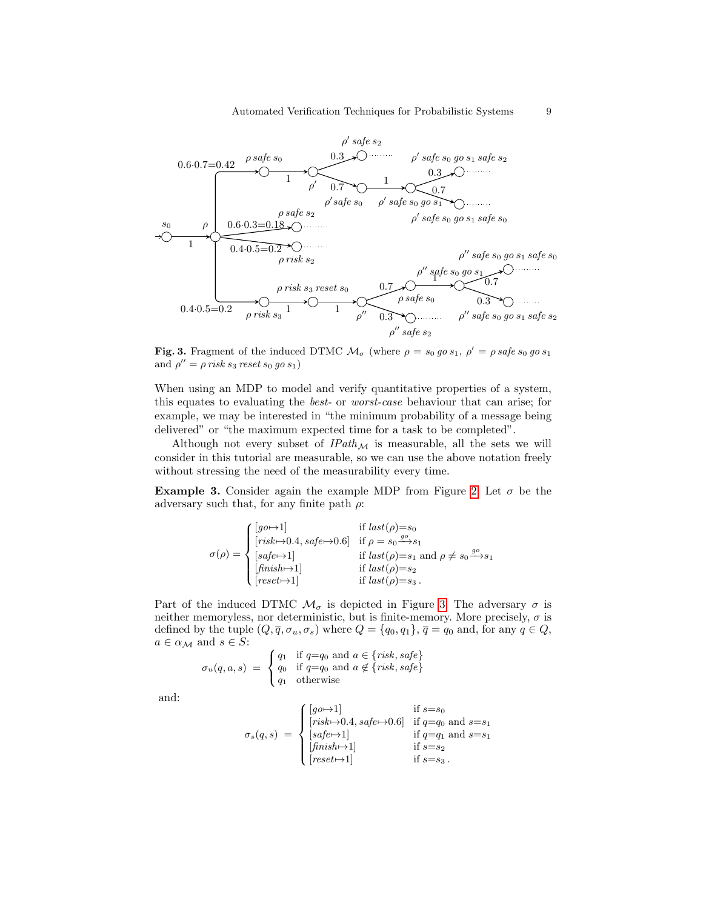

<span id="page-8-0"></span>Fig. 3. Fragment of the induced DTMC  $\mathcal{M}_{\sigma}$  (where  $\rho = s_0 g \circ s_1$ ,  $\rho' = \rho s a f e s_0 g \circ s_1$  $\gamma' = \rho$  safe s<sub>0</sub> go s<sub>1</sub> and  $\rho'' = \rho$  risk s<sub>3</sub> reset s<sub>0</sub> go s<sub>1</sub>)

When using an MDP to model and verify quantitative properties of a system, this equates to evaluating the best- or worst-case behaviour that can arise; for example, we may be interested in "the minimum probability of a message being delivered" or "the maximum expected time for a task to be completed".

Although not every subset of  $\text{IPath}_{\mathcal{M}}$  is measurable, all the sets we will consider in this tutorial are measurable, so we can use the above notation freely without stressing the need of the measurability every time.

**Example 3.** Consider again the example MDP from Figure [2.](#page-5-0) Let  $\sigma$  be the adversary such that, for any finite path  $\rho$ :

$$
\sigma(\rho) = \begin{cases}\n[g\omega \mapsto 1] & \text{if } last(\rho) = s_0 \\
[risk \mapsto 0.4, safe \mapsto 0.6] & \text{if } \rho = s_0 \xrightarrow{g \circ} s_1 \\
[safe \mapsto 1] & \text{if } last(\rho) = s_1 \text{ and } \rho \neq s_0 \xrightarrow{g \circ} s_1 \\
[finish \mapsto 1] & \text{if } last(\rho) = s_2 \\
[reset \mapsto 1] & \text{if } last(\rho) = s_3\n\end{cases}
$$

Part of the induced DTMC  $\mathcal{M}_{\sigma}$  is depicted in Figure [3.](#page-8-0) The adversary  $\sigma$  is neither memoryless, nor deterministic, but is finite-memory. More precisely,  $\sigma$  is defined by the tuple  $(Q, \overline{q}, \sigma_u, \sigma_s)$  where  $Q = \{q_0, q_1\}, \overline{q} = q_0$  and, for any  $q \in Q$ ,  $a \in \alpha_{\mathcal{M}}$  and  $s \in S$ :

$$
\sigma_u(q, a, s) = \begin{cases} q_1 & \text{if } q = q_0 \text{ and } a \in \{risk, safe\} \\ q_0 & \text{if } q = q_0 \text{ and } a \notin \{risk, safe\} \\ q_1 & \text{otherwise} \end{cases}
$$

and:

$$
\sigma_s(q,s) = \begin{cases}\n[go \rightarrow 1] & \text{if } s=s_0 \\
[risk \rightarrow 0.4, safe \rightarrow 0.6] & \text{if } q=q_0 \text{ and } s=s_1 \\
[safe \rightarrow 1] & \text{if } q=q_1 \text{ and } s=s_1 \\
[fasish \rightarrow 1] & \text{if } s=s_2 \\
[reset \rightarrow 1] & \text{if } s=s_3.\n\end{cases}
$$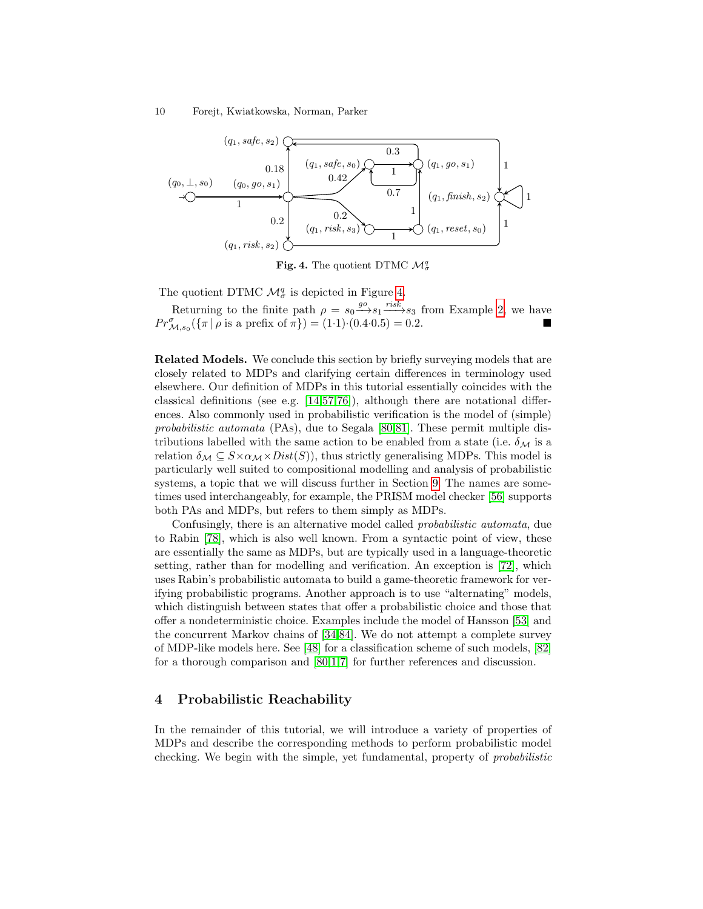

<span id="page-9-1"></span>Fig. 4. The quotient DTMC  $\mathcal{M}_{\sigma}^{q}$ 

The quotient DTMC  $\mathcal{M}_{\sigma}^{q}$  is depicted in Figure [4.](#page-9-1)

Returning to the finite path  $\rho = s_0 \frac{g \circ s_1}{s_2} s_3$  from Example [2,](#page-5-1) we have  $Pr^{\sigma}_{\mathcal{M},s_0}(\{\pi \mid \rho \text{ is a prefix of } \pi\}) = (1 \cdot 1) \cdot (0.4 \cdot 0.5) = 0.2.$ 

Related Models. We conclude this section by briefly surveying models that are closely related to MDPs and clarifying certain differences in terminology used elsewhere. Our definition of MDPs in this tutorial essentially coincides with the classical definitions (see e.g. [\[14,](#page-55-3)[57,](#page-58-3)[76\]](#page-59-2)), although there are notational differences. Also commonly used in probabilistic verification is the model of (simple) probabilistic automata (PAs), due to Segala [\[80,](#page-59-1)[81\]](#page-59-4). These permit multiple distributions labelled with the same action to be enabled from a state (i.e.  $\delta_{\mathcal{M}}$  is a relation  $\delta_{\mathcal{M}} \subseteq S \times \alpha_{\mathcal{M}} \times Dist(S)$ , thus strictly generalising MDPs. This model is particularly well suited to compositional modelling and analysis of probabilistic systems, a topic that we will discuss further in Section [9.](#page-43-0) The names are sometimes used interchangeably, for example, the PRISM model checker [\[56\]](#page-57-0) supports both PAs and MDPs, but refers to them simply as MDPs.

Confusingly, there is an alternative model called probabilistic automata, due to Rabin [\[78\]](#page-59-5), which is also well known. From a syntactic point of view, these are essentially the same as MDPs, but are typically used in a language-theoretic setting, rather than for modelling and verification. An exception is [\[72\]](#page-58-4), which uses Rabin's probabilistic automata to build a game-theoretic framework for verifying probabilistic programs. Another approach is to use "alternating" models, which distinguish between states that offer a probabilistic choice and those that offer a nondeterministic choice. Examples include the model of Hansson [\[53\]](#page-57-2) and the concurrent Markov chains of [\[34,](#page-56-0)[84\]](#page-59-6). We do not attempt a complete survey of MDP-like models here. See [\[48\]](#page-57-3) for a classification scheme of such models, [\[82\]](#page-59-7) for a thorough comparison and [\[80,](#page-59-1)[1](#page-54-0)[,7\]](#page-55-1) for further references and discussion.

## <span id="page-9-0"></span>4 Probabilistic Reachability

In the remainder of this tutorial, we will introduce a variety of properties of MDPs and describe the corresponding methods to perform probabilistic model checking. We begin with the simple, yet fundamental, property of probabilistic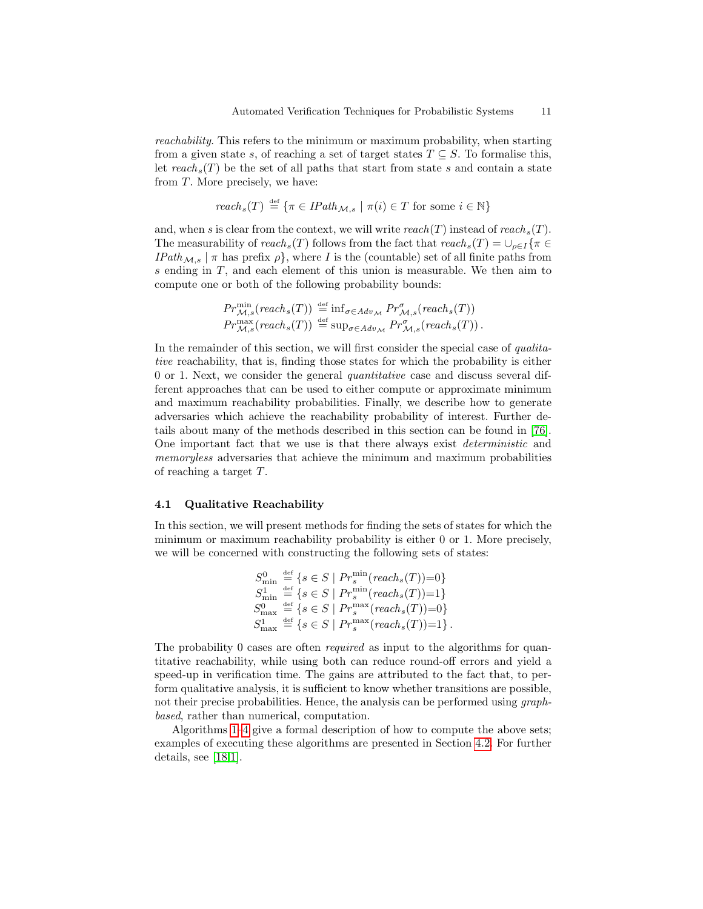reachability. This refers to the minimum or maximum probability, when starting from a given state s, of reaching a set of target states  $T \subseteq S$ . To formalise this, let  $reach_s(T)$  be the set of all paths that start from state s and contain a state from T. More precisely, we have:

$$
reach_s(T) \stackrel{\text{def}}{=} \{ \pi \in IPath_{\mathcal{M},s} \mid \pi(i) \in T \text{ for some } i \in \mathbb{N} \}
$$

and, when s is clear from the context, we will write reach(T) instead of reach<sub>s</sub>(T). The measurability of  $reach_s(T)$  follows from the fact that  $reach_s(T) = \bigcup_{\rho \in I} {\pi \in \mathbb{R}^d}$  $IPath_{\mathcal{M},s}$  |  $\pi$  has prefix  $\rho$ }, where I is the (countable) set of all finite paths from s ending in T, and each element of this union is measurable. We then aim to compute one or both of the following probability bounds:

$$
Pr_{\mathcal{M},s}^{\min}(reach_s(T)) \stackrel{\text{def}}{=} \inf_{\sigma \in Adv_{\mathcal{M}}} Pr_{\mathcal{M},s}^{\sigma}(reach_s(T))
$$
  

$$
Pr_{\mathcal{M},s}^{\max}(reach_s(T)) \stackrel{\text{def}}{=} \sup_{\sigma \in Adv_{\mathcal{M}}} Pr_{\mathcal{M},s}^{\sigma}(reach_s(T)).
$$

In the remainder of this section, we will first consider the special case of *qualita*tive reachability, that is, finding those states for which the probability is either 0 or 1. Next, we consider the general quantitative case and discuss several different approaches that can be used to either compute or approximate minimum and maximum reachability probabilities. Finally, we describe how to generate adversaries which achieve the reachability probability of interest. Further details about many of the methods described in this section can be found in [\[76\]](#page-59-2). One important fact that we use is that there always exist deterministic and memoryless adversaries that achieve the minimum and maximum probabilities of reaching a target T.

#### 4.1 Qualitative Reachability

0

In this section, we will present methods for finding the sets of states for which the minimum or maximum reachability probability is either 0 or 1. More precisely, we will be concerned with constructing the following sets of states:

$$
S_{\min}^{0} \stackrel{\text{def}}{=} \{ s \in S \mid Pr_s^{\min}(reach_s(T))=0 \}
$$
  
\n
$$
S_{\min}^{1} \stackrel{\text{def}}{=} \{ s \in S \mid Pr_s^{\min}(reach_s(T))=1 \}
$$
  
\n
$$
S_{\max}^{0} \stackrel{\text{def}}{=} \{ s \in S \mid Pr_s^{\max}(reach_s(T))=0 \}
$$
  
\n
$$
S_{\max}^{1} \stackrel{\text{def}}{=} \{ s \in S \mid Pr_s^{\max}(reach_s(T))=1 \}.
$$

The probability 0 cases are often *required* as input to the algorithms for quantitative reachability, while using both can reduce round-off errors and yield a speed-up in verification time. The gains are attributed to the fact that, to perform qualitative analysis, it is sufficient to know whether transitions are possible, not their precise probabilities. Hence, the analysis can be performed using *graph*based, rather than numerical, computation.

Algorithms [1–](#page-11-0)[4](#page-12-0) give a formal description of how to compute the above sets; examples of executing these algorithms are presented in Section [4.2.](#page-11-1) For further details, see [\[18,](#page-55-4)[1\]](#page-54-0).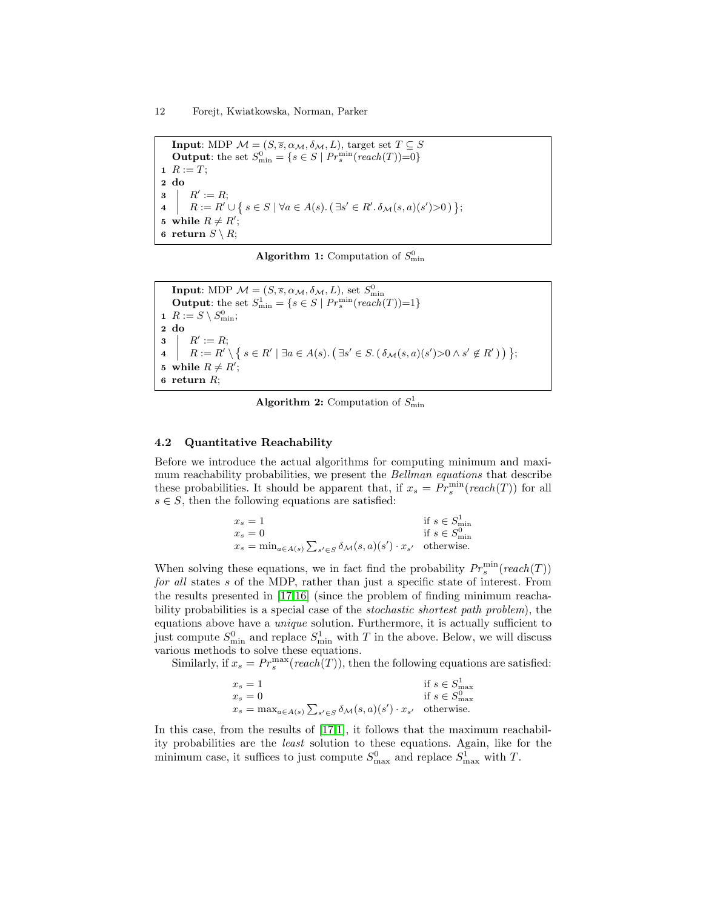**Input**: MDP  $\mathcal{M} = (S, \overline{s}, \alpha_{\mathcal{M}}, \delta_{\mathcal{M}}, L)$ , target set  $T \subseteq S$ **Output**: the set  $S_{\min}^0 = \{ s \in S \mid Pr_s^{\min}(reach(T))=0 \}$ 1  $R := T;$ 2 do  $3 \mid R' := R;$ 4  $R := R' \cup \{ s \in S \mid \forall a \in A(s). (\exists s' \in R'. \delta_{\mathcal{M}}(s, a)(s') > 0) \};$ 5 while  $R \neq R'$ ; 6 return  $S \setminus R$ ;

**Algorithm 1:** Computation of  $S_{\text{min}}^0$ 

<span id="page-11-0"></span>**Input:** MDP  $\mathcal{M} = (S, \overline{s}, \alpha_{\mathcal{M}}, \delta_{\mathcal{M}}, L)$ , set  $S^0_{\min}$ **Output**: the set  $S_{\min}^1 = \{ s \in S \mid Pr_s^{\min}(reach(T))=1 \}$ 1  $R := S \setminus S_{\min}^0;$ 2 do  $3 \mid R' := R;$  $4 \mid R := R' \setminus \{ s \in R' \mid \exists a \in A(s). (\exists s' \in S. (\delta_{\mathcal{M}}(s, a)(s') > 0 \land s' \notin R')) \};$ 5 while  $R \neq R'$ ; 6 return  $R$ ;

Algorithm 2: Computation of  $S^1_{\text{min}}$ 

#### <span id="page-11-2"></span><span id="page-11-1"></span>4.2 Quantitative Reachability

Before we introduce the actual algorithms for computing minimum and maximum reachability probabilities, we present the *Bellman equations* that describe these probabilities. It should be apparent that, if  $x_s = Pr_s^{\min}(reach(T))$  for all  $s \in S$ , then the following equations are satisfied:

$$
\begin{array}{ll}\nx_s = 1 & \text{if } s \in S^1_{\min} \\
x_s = 0 & \text{if } s \in S^0_{\min} \\
x_s = \min_{a \in A(s)} \sum_{s' \in S} \delta_{\mathcal{M}}(s, a)(s') \cdot x_{s'} & \text{otherwise.} \n\end{array}
$$

When solving these equations, we in fact find the probability  $Pr_s^{\min}(reach(T))$ for all states s of the MDP, rather than just a specific state of interest. From the results presented in [\[17](#page-55-5)[,16\]](#page-55-6) (since the problem of finding minimum reachability probabilities is a special case of the stochastic shortest path problem), the equations above have a unique solution. Furthermore, it is actually sufficient to just compute  $S^0_{\text{min}}$  and replace  $S^1_{\text{min}}$  with T in the above. Below, we will discuss various methods to solve these equations.

Similarly, if  $x_s = Pr_s^{\max}(reach(T))$ , then the following equations are satisfied:

| $x_{\rm s}=1$                                                                                    | if $s \in S^1_{\max}$       |
|--------------------------------------------------------------------------------------------------|-----------------------------|
| $x_{s}=0$                                                                                        | if $s \in S^0_{\text{max}}$ |
| $x_s = \max_{a \in A(s)} \sum_{s' \in S} \delta_{\mathcal{M}}(s, a)(s') \cdot x_{s'}$ otherwise. |                             |

In this case, from the results of  $[17,1]$  $[17,1]$ , it follows that the maximum reachability probabilities are the least solution to these equations. Again, like for the minimum case, it suffices to just compute  $S^0_{\text{max}}$  and replace  $S^1_{\text{max}}$  with T.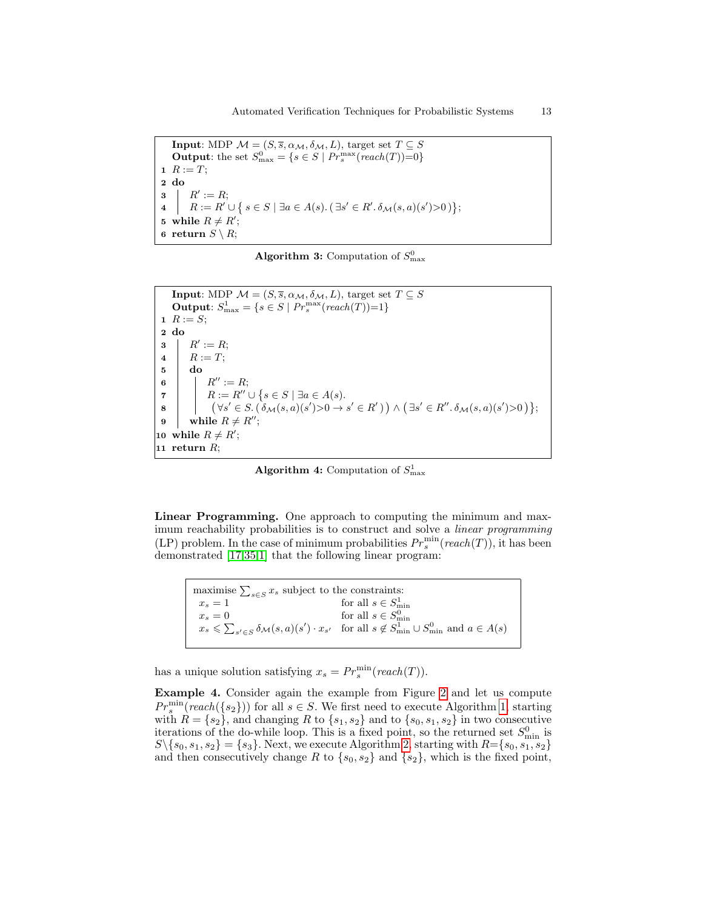**Input:** MDP  $M = (S, \overline{s}, \alpha_{\mathcal{M}}, \delta_{\mathcal{M}}, L)$ , target set  $T \subseteq S$ **Output:** the set  $S_{\text{max}}^0 = \{ s \in S \mid Pr_s^{\text{max}}(reach(T))=0 \}$ 1  $R := T;$ 2 do  $3 \mid R' := R;$ 4  $R := R' \cup \{ s \in S \mid \exists a \in A(s). (\exists s' \in R'. \delta_{\mathcal{M}}(s, a)(s') > 0) \};$ 5 while  $R \neq R'$ ; 6 return  $S \setminus R$ ;

Algorithm 3: Computation of  $S^0_{\text{max}}$ 

```
Input: MDP M = (S, \overline{s}, \alpha_{\mathcal{M}}, \delta_{\mathcal{M}}, L), target set T \subseteq SOutput: S_{\text{max}}^1 = \{ s \in S \mid Pr_s^{\text{max}}(reach(T))=1 \}1 R := S;2 do
  3 | R' := R;4 | R := T;
 5 do
  6 | R'':= R;7 \begin{array}{|c|c|c|c|c|}\n\hline\n7 & A := R'' \cup \{s \in S \mid \exists a \in A(s). \end{array}8
                  (\forall s' \in S. (\delta_{\mathcal{M}}(s, a)(s') > 0 \rightarrow s' \in R')) \wedge (\exists s' \in R''. \delta_{\mathcal{M}}(s, a)(s') > 0);9 while R \neq R'';
10 while R \neq R';
11 return R;
```
<span id="page-12-5"></span>Algorithm 4: Computation of  $S^1_{\text{max}}$ 

<span id="page-12-3"></span><span id="page-12-0"></span>Linear Programming. One approach to computing the minimum and maximum reachability probabilities is to construct and solve a linear programming (LP) problem. In the case of minimum probabilities  $Pr_s^{\min}(reach(T))$ , it has been demonstrated [\[17,](#page-55-5)[35,](#page-56-1)[1\]](#page-54-0) that the following linear program:

maximise  $\sum_{s \in S} x_s$  subject to the constraints:  $x_s = 1$  for all  $s \in S_{\text{min}}^1$ <br>  $x_s = 0$  for all  $s \in S_{\text{min}}^0$ <br>  $x_s \leq \sum_{s' \in S} \delta_{\mathcal{M}}(s, a)(s') \cdot x_{s'}$  for all  $s \notin S_{\text{min}}^1 \cup S_{\text{min}}^0$  and  $a \in A(s)$ 

has a unique solution satisfying  $x_s = Pr_s^{\min}(reach(T)).$ 

Example 4. Consider again the example from Figure [2](#page-5-0) and let us compute  $Pr_s^{\min}(reach({s_2}))$  for all  $s \in S$ . We first need to execute Algorithm [1,](#page-11-0) starting with  $R = \{s_2\}$ , and changing R to  $\{s_1, s_2\}$  and to  $\{s_0, s_1, s_2\}$  in two consecutive iterations of the do-while loop. This is a fixed point, so the returned set  $S^0_{\text{min}}$  is  $S\backslash \{s_0, s_1, s_2\} = \{s_3\}.$  Next, we execute Algorithm [2,](#page-11-2) starting with  $R = \{s_0, s_1, s_2\}$ and then consecutively change R to  $\{s_0, s_2\}$  and  $\{s_2\}$ , which is the fixed point,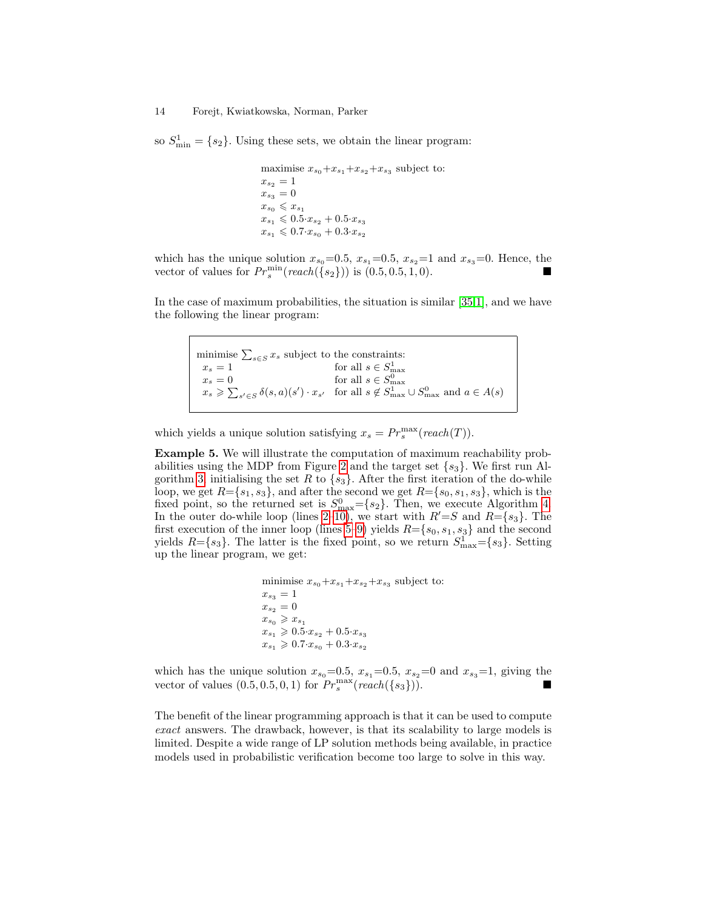so  $S_{\min}^1 = \{s_2\}$ . Using these sets, we obtain the linear program:

```
maximise x_{s_0}+x_{s_1}+x_{s_2}+x_{s_3} subject to:
x_{s_2} = 1x_{s_3} = 0x_{s_0} \leqslant x_{s_1}x_{s_1} \leqslant 0.5 {\cdot} x_{s_2} + 0.5 {\cdot} x_{s_3}x_{s_1} \leqslant 0.7 \cdot x_{s_0} + 0.3 \cdot x_{s_2}
```
which has the unique solution  $x_{s_0}=0.5$ ,  $x_{s_1}=0.5$ ,  $x_{s_2}=1$  and  $x_{s_3}=0$ . Hence, the vector of values for  $Pr_s^{\min}(reach({s_2})))$  is  $(0.5, 0.5, 1, 0)$ .

In the case of maximum probabilities, the situation is similar [\[35,](#page-56-1)[1\]](#page-54-0), and we have the following the linear program:

> minimise  $\sum_{s \in S} x_s$  subject to the constraints:  $x_s = 1$  for all  $s \in S^1_{\text{max}}$ <br>  $x_s = 0$  for all  $s \in S^0_{\text{max}}$ <br>  $x_s \ge \sum_{s' \in S} \delta(s, a)(s') \cdot x_{s'}$  for all  $s \notin S^1_{\text{max}} \cup S^0_{\text{max}}$  and  $a \in A(s)$

which yields a unique solution satisfying  $x_s = Pr_s^{\max}(reach(T)).$ 

Example 5. We will illustrate the computation of maximum reachability prob-abilities using the MDP from Figure [2](#page-5-0) and the target set  $\{s_3\}$ . We first run Al-gorithm [3,](#page-12-1) initialising the set R to  $\{s_3\}$ . After the first iteration of the do-while loop, we get  $R = \{s_1, s_3\}$ , and after the second we get  $R = \{s_0, s_1, s_3\}$ , which is the fixed point, so the returned set is  $S_{\text{max}}^0 = \{s_2\}$ . Then, we execute Algorithm [4.](#page-12-0) In the outer do-while loop (lines [2](#page-12-2)[–10\)](#page-12-3), we start with  $R'=S$  and  $R=\{s_3\}$ . The first execution of the inner loop (lines [5–](#page-12-4)[9\)](#page-12-5) yields  $R = \{s_0, s_1, s_3\}$  and the second yields  $R = \{s_3\}$ . The latter is the fixed point, so we return  $S^1_{\text{max}} = \{s_3\}$ . Setting up the linear program, we get:

```
minimise x_{s_0}+x_{s_1}+x_{s_2}+x_{s_3} subject to:
x_{s_3} = 1x_{s_2} = 0x_{s_0} \geqslant x_{s_1}x_{s_1} \geqslant 0.5 \cdot x_{s_2} + 0.5 \cdot x_{s_3}x_{s_1} \geqslant 0.7 \cdot x_{s_0} + 0.3 \cdot x_{s_2}
```
which has the unique solution  $x_{s_0}=0.5$ ,  $x_{s_1}=0.5$ ,  $x_{s_2}=0$  and  $x_{s_3}=1$ , giving the vector of values  $(0.5, 0.5, 0, 1)$  for  $Pr_s^{\max}(reach({s_3})).$ 

The benefit of the linear programming approach is that it can be used to compute exact answers. The drawback, however, is that its scalability to large models is limited. Despite a wide range of LP solution methods being available, in practice models used in probabilistic verification become too large to solve in this way.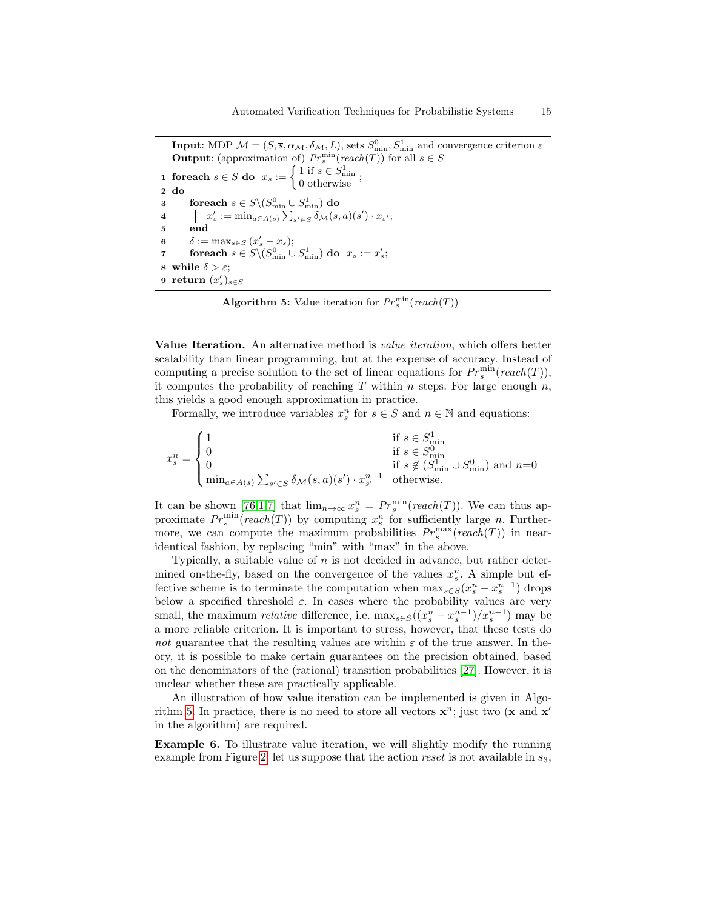**Input**: MDP  $\mathcal{M} = (S, \overline{s}, \alpha_{\mathcal{M}}, \delta_{\mathcal{M}}, L)$ , sets  $S_{\text{min}}^0, S_{\text{min}}^1$  and convergence criterion  $\varepsilon$ **Output:** (approximation of)  $Pr_s^{\min}(reach(T))$  for all  $s \in S$ 1 foreach  $s \in S$  do  $x_s := \begin{cases} 1 \text{ if } s \in S^1_{\text{min}} \\ 0 \text{ otherwise} \end{cases}$ ; 2 do  $\begin{array}{ll} \textbf{3} & \text{\textbf{I}} \quad \textbf{for each}\,\, s \in S \backslash (S^0_{\min} \cup S^1_{\min}) \textbf{\ do} \end{array}$  $\begin{array}{ll} \mathbf{4} & | & | & x'_s := \min_{a \in A(s)} \sum_{s' \in S} \delta_{\mathcal{M}}(s,a)(s') \cdot x_{s'}; \end{array}$  $5$  | end  $\begin{array}{ll} \mathbf{6} & \mid & \delta := \max_{s \in S} \left( x_s' - x_s \right); \end{array}$  $\tau \quad | \quad \text{foreach} \, s \in S \backslash (S^0_{\min} \cup S^1_{\min}) \, \, \text{do} \, \, \, x_s := x_s';$ **8** while  $\delta > ε$ ; 9 return  $(x_s')_{s\in S}$ 

<span id="page-14-0"></span>**Algorithm 5:** Value iteration for  $Pr_s^{\min}(reach(T))$ 

Value Iteration. An alternative method is value iteration, which offers better scalability than linear programming, but at the expense of accuracy. Instead of computing a precise solution to the set of linear equations for  $Pr_s^{\min}(reach(T)),$ it computes the probability of reaching  $T$  within  $n$  steps. For large enough  $n$ , this yields a good enough approximation in practice.

Formally, we introduce variables  $x_s^n$  for  $s \in S$  and  $n \in \mathbb{N}$  and equations:

$$
x_s^n = \begin{cases} 1 & \text{if } s \in S_{\text{min}}^1 \\ 0 & \text{if } s \in S_{\text{min}}^0 \\ 0 & \text{if } s \notin (S_{\text{min}}^1 \cup S_{\text{min}}^0) \text{ and } n = 0 \\ \min_{a \in A(s)} \sum_{s' \in S} \delta_{\mathcal{M}}(s, a)(s') \cdot x_{s'}^{n-1} & \text{otherwise.} \end{cases}
$$

It can be shown [\[76](#page-59-2)[,1,](#page-54-0)[7\]](#page-55-1) that  $\lim_{n\to\infty} x_s^n = Pr_s^{\min}(reach(T))$ . We can thus approximate  $Pr_s^{\min}(reach(T))$  by computing  $x_s^n$  for sufficiently large n. Furthermore, we can compute the maximum probabilities  $Pr_s^{\max}(reach(T))$  in nearidentical fashion, by replacing "min" with "max" in the above.

Typically, a suitable value of  $n$  is not decided in advance, but rather determined on-the-fly, based on the convergence of the values  $x_s^n$ . A simple but effective scheme is to terminate the computation when  $\max_{s \in S} (x_s^n - x_s^{n-1})$  drops below a specified threshold  $\varepsilon$ . In cases where the probability values are very small, the maximum *relative* difference, i.e.  $\max_{s \in S} ((x_s^n - x_s^{n-1})/x_s^{n-1})$  may be a more reliable criterion. It is important to stress, however, that these tests do not guarantee that the resulting values are within  $\varepsilon$  of the true answer. In theory, it is possible to make certain guarantees on the precision obtained, based on the denominators of the (rational) transition probabilities [\[27\]](#page-56-2). However, it is unclear whether these are practically applicable.

An illustration of how value iteration can be implemented is given in Algo-rithm [5.](#page-14-0) In practice, there is no need to store all vectors  $x^n$ ; just two (x and  $x'$ ) in the algorithm) are required.

Example 6. To illustrate value iteration, we will slightly modify the running example from Figure [2:](#page-5-0) let us suppose that the action reset is not available in  $s_3$ ,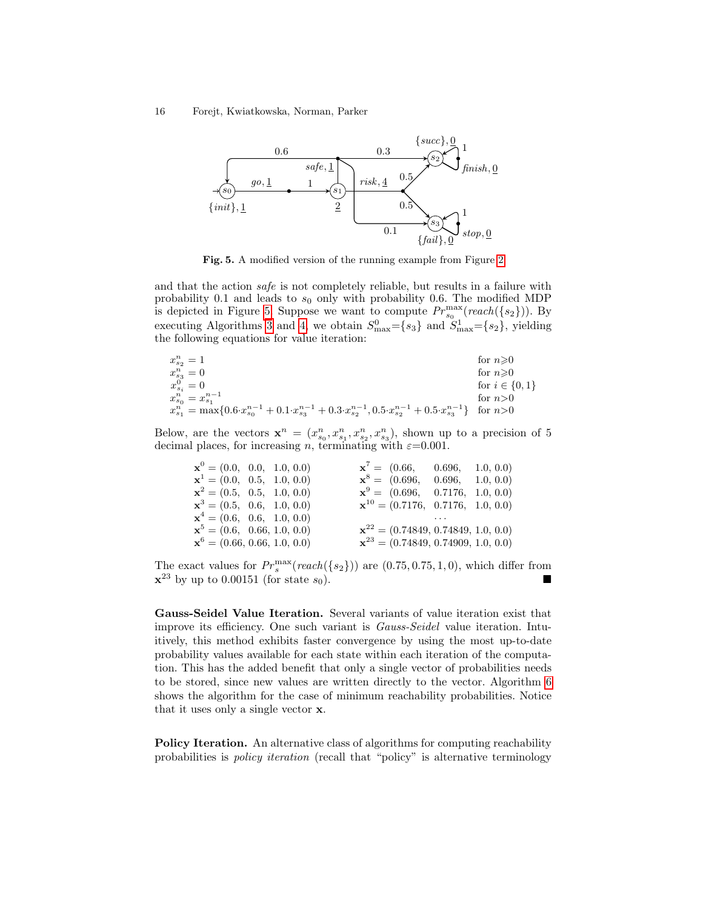16 Forejt, Kwiatkowska, Norman, Parker



<span id="page-15-0"></span>Fig. 5. A modified version of the running example from Figure [2](#page-5-0)

and that the action safe is not completely reliable, but results in a failure with probability 0.1 and leads to  $s_0$  only with probability 0.6. The modified MDP is depicted in Figure [5.](#page-15-0) Suppose we want to compute  $Pr_{s_0}^{\max}(reach({s_2})).$  By executing Algorithms [3](#page-12-1) and [4,](#page-12-0) we obtain  $S_{\text{max}}^0 = \{s_3\}$  and  $S_{\text{max}}^1 = \{s_2\}$ , yielding the following equations for value iteration:

| $x_{s_2}^n = 1$                                                                                                                                                  | for $n\geqslant 0$   |
|------------------------------------------------------------------------------------------------------------------------------------------------------------------|----------------------|
| $x_{s_3}^n = 0$                                                                                                                                                  | for $n\geqslant 0$   |
| $x_{s_i}^0=0$                                                                                                                                                    | for $i \in \{0, 1\}$ |
| $x_{s_0}^n = x_{s_1}^{n-1}$                                                                                                                                      | for $n>0$            |
| $x_{s_1}^n = \max\{0.6 \cdot x_{s_0}^{n-1} + 0.1 \cdot x_{s_3}^{n-1} + 0.3 \cdot x_{s_2}^{n-1}, 0.5 \cdot x_{s_2}^{n-1} + 0.5 \cdot x_{s_3}^{n-1}\}$ for $n > 0$ |                      |

Below, are the vectors  $\mathbf{x}^n = (x_{s_0}^n, x_{s_1}^n, x_{s_2}^n, x_{s_3}^n)$ , shown up to a precision of 5 decimal places, for increasing n, terminating with  $\varepsilon=0.001$ .

| $\mathbf{x}^0 = (0.0, 0.0, 1.0, 0.0)$   |  | $\mathbf{x}^7 = (0.66, 0.696, 1.0, 0.0)$         |  |  |
|-----------------------------------------|--|--------------------------------------------------|--|--|
| $\mathbf{x}^1 = (0.0, 0.5, 1.0, 0.0)$   |  | $\mathbf{x}^8 = (0.696, 0.696, 1.0, 0.0)$        |  |  |
| $\mathbf{x}^2 = (0.5, 0.5, 1.0, 0.0)$   |  | $\mathbf{x}^9 = (0.696, 0.7176, 1.0, 0.0)$       |  |  |
| $\mathbf{x}^3 = (0.5, 0.6, 1.0, 0.0)$   |  | $\mathbf{x}^{10} = (0.7176, 0.7176, 1.0, 0.0)$   |  |  |
| $\mathbf{x}^4 = (0.6, 0.6, 1.0, 0.0)$   |  |                                                  |  |  |
| $\mathbf{x}^5 = (0.6, 0.66, 1.0, 0.0)$  |  | $\mathbf{x}^{22} = (0.74849, 0.74849, 1.0, 0.0)$ |  |  |
| $\mathbf{x}^6 = (0.66, 0.66, 1.0, 0.0)$ |  | $\mathbf{x}^{23} = (0.74849, 0.74909, 1.0, 0.0)$ |  |  |
|                                         |  |                                                  |  |  |

The exact values for  $Pr_s^{\max}(reach({s_2}))$  are  $(0.75, 0.75, 1, 0)$ , which differ from  $\mathbf{x}^{23}$  by up to 0.00151 (for state  $s_0$ ).

Gauss-Seidel Value Iteration. Several variants of value iteration exist that improve its efficiency. One such variant is Gauss-Seidel value iteration. Intuitively, this method exhibits faster convergence by using the most up-to-date probability values available for each state within each iteration of the computation. This has the added benefit that only a single vector of probabilities needs to be stored, since new values are written directly to the vector. Algorithm [6](#page-16-0) shows the algorithm for the case of minimum reachability probabilities. Notice that it uses only a single vector x.

Policy Iteration. An alternative class of algorithms for computing reachability probabilities is policy iteration (recall that "policy" is alternative terminology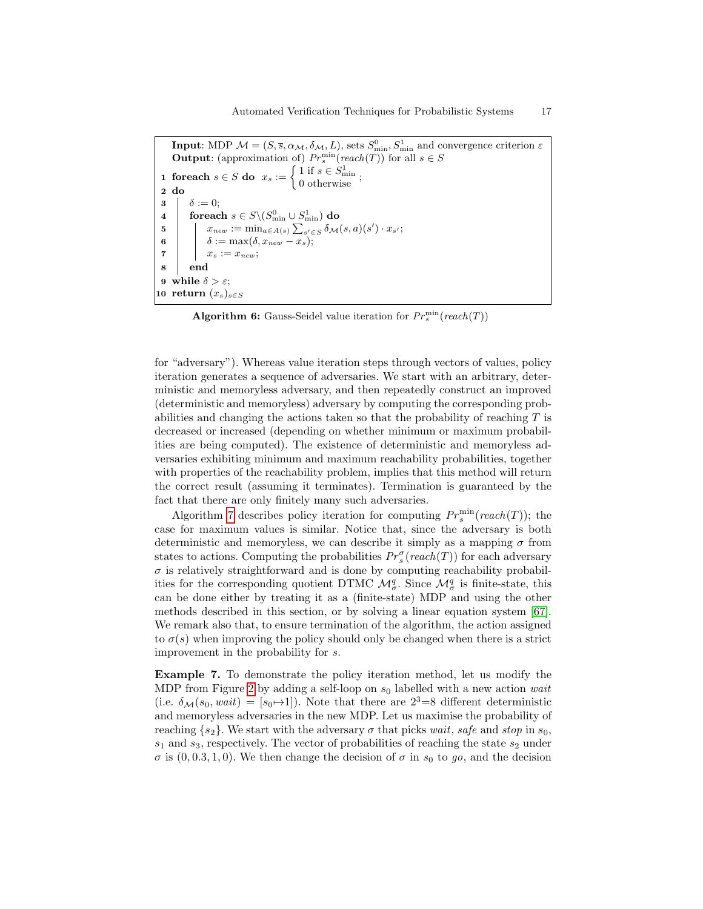**Input**: MDP  $\mathcal{M} = (S, \overline{s}, \alpha_{\mathcal{M}}, \delta_{\mathcal{M}}, L)$ , sets  $S_{\text{min}}^0, S_{\text{min}}^1$  and convergence criterion  $\varepsilon$ **Output:** (approximation of)  $Pr_s^{\min}(reach(T))$  for all  $s \in S$ 1 foreach  $s \in S$  do  $x_s := \begin{cases} 1 \text{ if } s \in S^1_{\text{min}} \\ 0 \text{ otherwise} \end{cases}$ ; 2 do  $3 \mid \delta := 0;$  $\mathtt{4}\quad\Big|\quad\textbf{foreach}\,\, s\in S\backslash(S^0_{\min}\cup S^1_{\min})\,\,\textbf{do}$  $\begin{array}{ll} \texttt{5} & | & | & x_{new} := \min_{a \in A(s)} \sum_{s' \in S} \delta_{\mathcal{M}}(s, a)(s') \cdot x_{s'}; \end{array}$ 6  $\delta := \max(\delta, x_{new} - x_s);$ **7**  $x_s := x_{new}$ ; 8 end 9 while  $\delta > \varepsilon$ ; 10 return  $(x_s)_{s\in S}$ 

<span id="page-16-0"></span>**Algorithm 6:** Gauss-Seidel value iteration for  $Pr_s^{\min}(reach(T))$ 

for "adversary"). Whereas value iteration steps through vectors of values, policy iteration generates a sequence of adversaries. We start with an arbitrary, deterministic and memoryless adversary, and then repeatedly construct an improved (deterministic and memoryless) adversary by computing the corresponding probabilities and changing the actions taken so that the probability of reaching  $T$  is decreased or increased (depending on whether minimum or maximum probabilities are being computed). The existence of deterministic and memoryless adversaries exhibiting minimum and maximum reachability probabilities, together with properties of the reachability problem, implies that this method will return the correct result (assuming it terminates). Termination is guaranteed by the fact that there are only finitely many such adversaries.

Algorithm [7](#page-17-0) describes policy iteration for computing  $Pr_s^{\min}(reach(T))$ ; the case for maximum values is similar. Notice that, since the adversary is both deterministic and memoryless, we can describe it simply as a mapping  $\sigma$  from states to actions. Computing the probabilities  $Pr_s^{\sigma}(reach(T))$  for each adversary  $\sigma$  is relatively straightforward and is done by computing reachability probabilities for the corresponding quotient DTMC  $\mathcal{M}_{\sigma}^q$ . Since  $\mathcal{M}_{\sigma}^q$  is finite-state, this can be done either by treating it as a (finite-state) MDP and using the other methods described in this section, or by solving a linear equation system [\[67\]](#page-58-0). We remark also that, to ensure termination of the algorithm, the action assigned to  $\sigma(s)$  when improving the policy should only be changed when there is a strict improvement in the probability for s.

Example 7. To demonstrate the policy iteration method, let us modify the MDP from Figure [2](#page-5-0) by adding a self-loop on  $s_0$  labelled with a new action wait (i.e.  $\delta_{\mathcal{M}}(s_0, wait) = [s_0 \rightarrow 1]$ ). Note that there are  $2^3 = 8$  different deterministic and memoryless adversaries in the new MDP. Let us maximise the probability of reaching  $\{s_2\}$ . We start with the adversary  $\sigma$  that picks wait, safe and stop in  $s_0$ ,  $s_1$  and  $s_3$ , respectively. The vector of probabilities of reaching the state  $s_2$  under  $\sigma$  is (0, 0.3, 1, 0). We then change the decision of  $\sigma$  in  $s_0$  to go, and the decision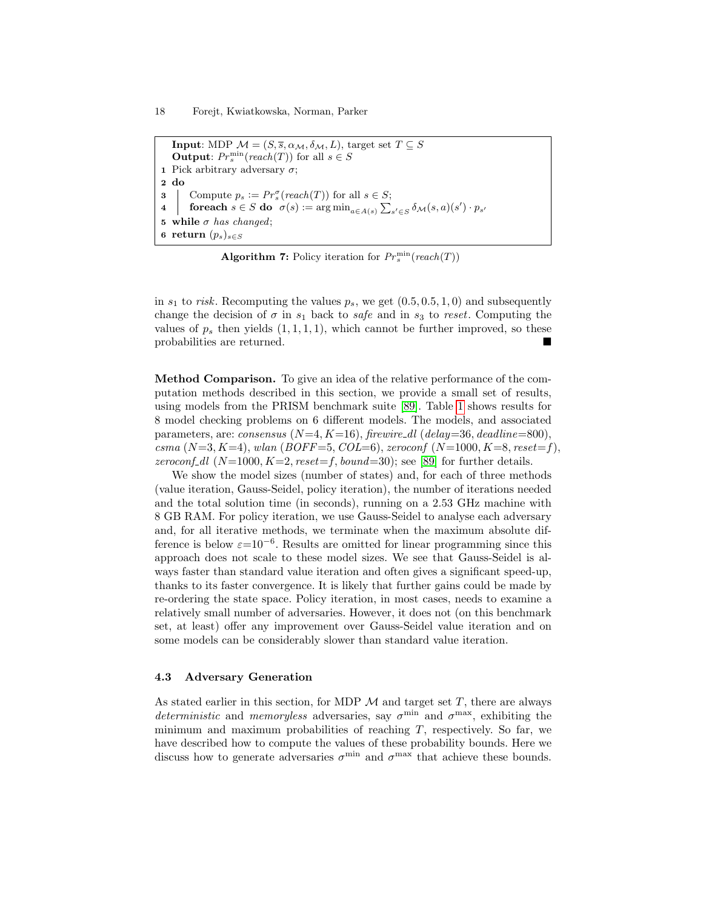**Input:** MDP  $M = (S, \overline{s}, \alpha_M, \delta_M, L)$ , target set  $T \subseteq S$ **Output**:  $Pr_s^{\min}(reach(T))$  for all  $s \in S$ 1 Pick arbitrary adversary  $\sigma;$ 2 do 3 Compute  $p_s := Pr_s^{\sigma}(reach(T))$  for all  $s \in S$ ; 4 for each  $s \in S$  do  $\sigma(s) := \arg \min_{a \in A(s)} \sum_{s' \in S} \delta_{\mathcal{M}}(s, a)(s') \cdot p_{s'}$ 5 while  $\sigma$  has changed; 6 return  $(p_s)_{s\in S}$ 

<span id="page-17-0"></span>Algorithm 7: Policy iteration for  $Pr_s^{\min}(reach(T))$ 

in  $s_1$  to risk. Recomputing the values  $p_s$ , we get  $(0.5, 0.5, 1, 0)$  and subsequently change the decision of  $\sigma$  in  $s_1$  back to safe and in  $s_3$  to reset. Computing the values of  $p_s$  then yields  $(1, 1, 1, 1)$ , which cannot be further improved, so these probabilities are returned.

Method Comparison. To give an idea of the relative performance of the computation methods described in this section, we provide a small set of results, using models from the PRISM benchmark suite [\[89\]](#page-59-8). Table [1](#page-18-1) shows results for 8 model checking problems on 6 different models. The models, and associated parameters, are: consensus  $(N=4, K=16)$ , firewire\_dl (delay=36, deadline=800), csma (N=3, K=4), wlan (BOFF=5, COL=6), zeroconf (N=1000, K=8, reset=f), zeroconf\_dl (N=1000, K=2, reset=f, bound=30); see [\[89\]](#page-59-8) for further details.

We show the model sizes (number of states) and, for each of three methods (value iteration, Gauss-Seidel, policy iteration), the number of iterations needed and the total solution time (in seconds), running on a 2.53 GHz machine with 8 GB RAM. For policy iteration, we use Gauss-Seidel to analyse each adversary and, for all iterative methods, we terminate when the maximum absolute difference is below  $\varepsilon=10^{-6}$ . Results are omitted for linear programming since this approach does not scale to these model sizes. We see that Gauss-Seidel is always faster than standard value iteration and often gives a significant speed-up, thanks to its faster convergence. It is likely that further gains could be made by re-ordering the state space. Policy iteration, in most cases, needs to examine a relatively small number of adversaries. However, it does not (on this benchmark set, at least) offer any improvement over Gauss-Seidel value iteration and on some models can be considerably slower than standard value iteration.

## 4.3 Adversary Generation

As stated earlier in this section, for MDP  $\mathcal M$  and target set  $T$ , there are always deterministic and memoryless adversaries, say  $\sigma^{\min}$  and  $\sigma^{\max}$ , exhibiting the minimum and maximum probabilities of reaching  $T$ , respectively. So far, we have described how to compute the values of these probability bounds. Here we discuss how to generate adversaries  $\sigma^{\min}$  and  $\sigma^{\max}$  that achieve these bounds.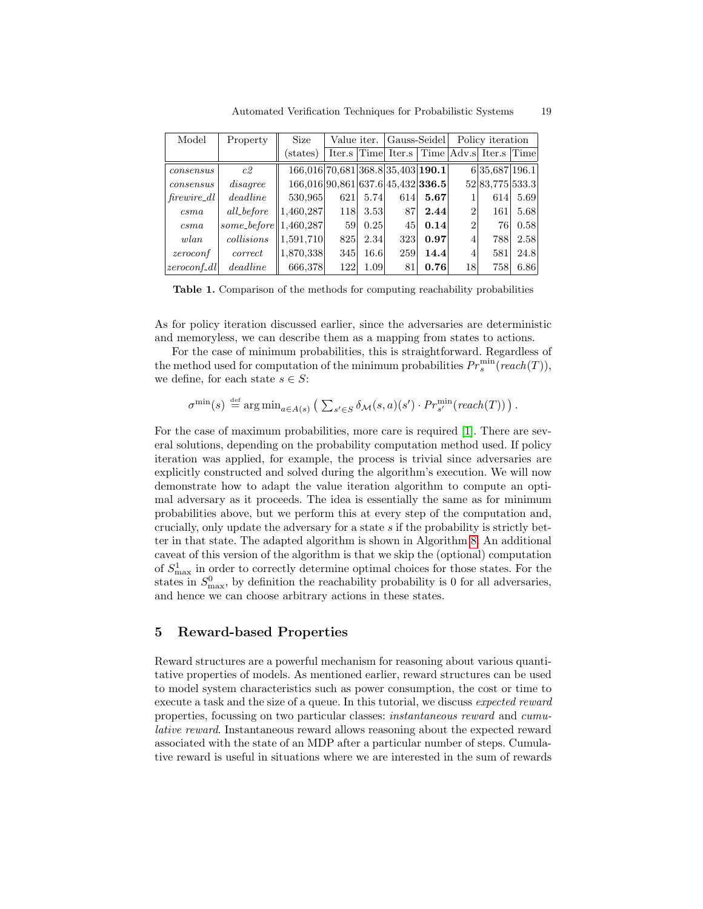| Model            | Property          | Size                                | Value iter. |      |     |      | Gauss-Seidel   |                                           |      | Policy iteration |  |
|------------------|-------------------|-------------------------------------|-------------|------|-----|------|----------------|-------------------------------------------|------|------------------|--|
|                  |                   | (states)                            |             |      |     |      |                | Iter.s Time Iter.s Time Adv.s Iter.s Time |      |                  |  |
| consensus        | c2                | $166,016$ 70,681 368.8 35,403 190.1 |             |      |     |      |                | 6 35,687 196.1                            |      |                  |  |
| consensus        | disagree          | 166,016 90,861 637.6 45,432 336.5   |             |      |     |      |                | 52 83,775 533.3                           |      |                  |  |
| $firewire\_dl$   | deadline          | 530,965                             | 621         | 5.74 | 614 | 5.67 |                | 614                                       | 5.69 |                  |  |
| csma             | <i>all_before</i> | 1,460,287                           | 118         | 3.53 | 87  | 2.44 | $\overline{2}$ | 161                                       | 5.68 |                  |  |
| csma             | some_before       | 1,460,287                           | 59          | 0.25 | 45  | 0.14 | $\overline{2}$ | 76                                        | 0.58 |                  |  |
| wlan             | collisions        | 1,591,710                           | 825         | 2.34 | 323 | 0.97 | 4              | 788                                       | 2.58 |                  |  |
| zeroconf         | correct           | 1,870,338                           | 345         | 16.6 | 259 | 14.4 | 4              | 581                                       | 24.8 |                  |  |
| $ zeroconf\_dl $ | deadline          | 666,378                             | 122         | 1.09 | 81  | 0.76 | 18             | 758                                       | 6.86 |                  |  |

<span id="page-18-1"></span>Table 1. Comparison of the methods for computing reachability probabilities

As for policy iteration discussed earlier, since the adversaries are deterministic and memoryless, we can describe them as a mapping from states to actions.

For the case of minimum probabilities, this is straightforward. Regardless of the method used for computation of the minimum probabilities  $Pr_s^{\min}(reach(T)),$ we define, for each state  $s \in S$ :

$$
\sigma^{\min}(s) \stackrel{\text{def}}{=} \arg \min_{a \in A(s)} \left( \sum_{s' \in S} \delta_{\mathcal{M}}(s, a)(s') \cdot Pr_{s'}^{\min}(reach(T)) \right).
$$

For the case of maximum probabilities, more care is required [\[1\]](#page-54-0). There are several solutions, depending on the probability computation method used. If policy iteration was applied, for example, the process is trivial since adversaries are explicitly constructed and solved during the algorithm's execution. We will now demonstrate how to adapt the value iteration algorithm to compute an optimal adversary as it proceeds. The idea is essentially the same as for minimum probabilities above, but we perform this at every step of the computation and, crucially, only update the adversary for a state  $s$  if the probability is strictly better in that state. The adapted algorithm is shown in Algorithm [8.](#page-19-0) An additional caveat of this version of the algorithm is that we skip the (optional) computation of  $S^1_{\text{max}}$  in order to correctly determine optimal choices for those states. For the states in  $S_{\text{max}}^0$ , by definition the reachability probability is 0 for all adversaries, and hence we can choose arbitrary actions in these states.

## <span id="page-18-0"></span>5 Reward-based Properties

Reward structures are a powerful mechanism for reasoning about various quantitative properties of models. As mentioned earlier, reward structures can be used to model system characteristics such as power consumption, the cost or time to execute a task and the size of a queue. In this tutorial, we discuss expected reward properties, focussing on two particular classes: instantaneous reward and cumulative reward. Instantaneous reward allows reasoning about the expected reward associated with the state of an MDP after a particular number of steps. Cumulative reward is useful in situations where we are interested in the sum of rewards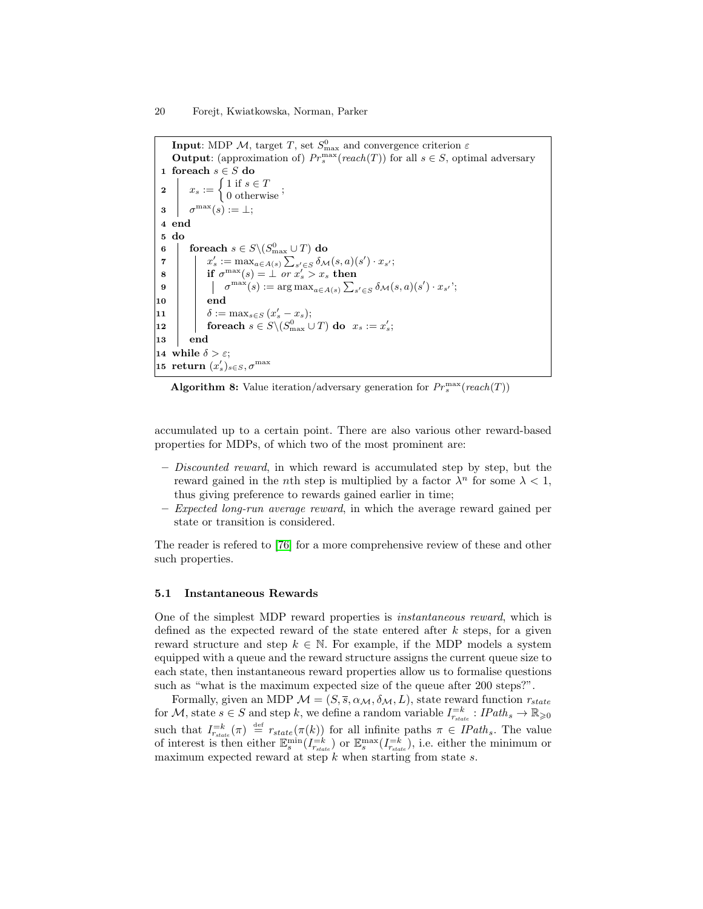```
Input: MDP \mathcal{M}, target T, set S_{\text{max}}^0 and convergence criterion \varepsilonOutput: (approximation of) Pr_s^{\max}(reach(T)) for all s \in S, optimal adversary
 1 for<br>each s \in S do
  2 x_s := \begin{cases} 1 \text{ if } s \in T \\ 0 \text{ otherwise} \end{cases}\begin{array}{ccc} \mathbf{3} & | & \sigma^{\max}(s) := \bot; \end{array}4 end
 5 do
  \begin{array}{ll} \mathbf{6} & \end{array} \quad \textbf{for each} \; s \in S \backslash (S_{\text{max}}^0 \cup T) \; \textbf{do}\begin{array}{ccc} \texttt{7} & | & | & x'_s := \max_{a \in A(s)} \sum_{s' \in S} \delta_{\mathcal{M}}(s,a)(s') \cdot x_{s'}; \end{array}8 if \sigma^{\max}(s) = \bot or x_s' > x_s then
  \begin{array}{ccc} \mathbf{9} & | & | & \sigma^{\max}(s):=\argmax_{a\in A(s)}\sum_{s'\in S}\delta_{\mathcal{M}}(s,a)(s')\cdot x_{s'} \end{array};10 \mid end
11 \delta := \max_{s \in S} (x_s' - x_s);12 foreach s \in S \setminus (S^0_{\text{max}} \cup T) do x_s := x_s';13 end
14 while \delta > \varepsilon;
15 return (x_s')_{s\in S}, \sigma^{\max}
```
<span id="page-19-0"></span>**Algorithm 8:** Value iteration/adversary generation for  $Pr_s^{\max}(reach(T))$ 

accumulated up to a certain point. There are also various other reward-based properties for MDPs, of which two of the most prominent are:

- Discounted reward, in which reward is accumulated step by step, but the reward gained in the *n*th step is multiplied by a factor  $\lambda^n$  for some  $\lambda < 1$ , thus giving preference to rewards gained earlier in time;
- Expected long-run average reward, in which the average reward gained per state or transition is considered.

The reader is refered to [\[76\]](#page-59-2) for a more comprehensive review of these and other such properties.

## 5.1 Instantaneous Rewards

One of the simplest MDP reward properties is instantaneous reward, which is defined as the expected reward of the state entered after  $k$  steps, for a given reward structure and step  $k \in \mathbb{N}$ . For example, if the MDP models a system equipped with a queue and the reward structure assigns the current queue size to each state, then instantaneous reward properties allow us to formalise questions such as "what is the maximum expected size of the queue after 200 steps?".

Formally, given an MDP  $\mathcal{M} = (S, \overline{s}, \alpha_{\mathcal{M}}, \delta_{\mathcal{M}}, L)$ , state reward function  $r_{state}$ for M, state  $s \in S$  and step k, we define a random variable  $I_{r_{state}}^{=k}: IPath_s \to \mathbb{R}_{\geqslant 0}$ such that  $I_{r_{state}}^{=k}(\pi) \stackrel{\text{def}}{=} r_{state}(\pi(k))$  for all infinite paths  $\pi \in$  IPath<sub>s</sub>. The value of interest is then either  $\mathbb{E}_s^{\min}(\overline{I_{r_{state}}^{=k}})$  or  $\mathbb{E}_s^{\max}(I_{r_{state}}^{=k})$ , i.e. either the minimum or maximum expected reward at step  $k$  when starting from state  $s$ .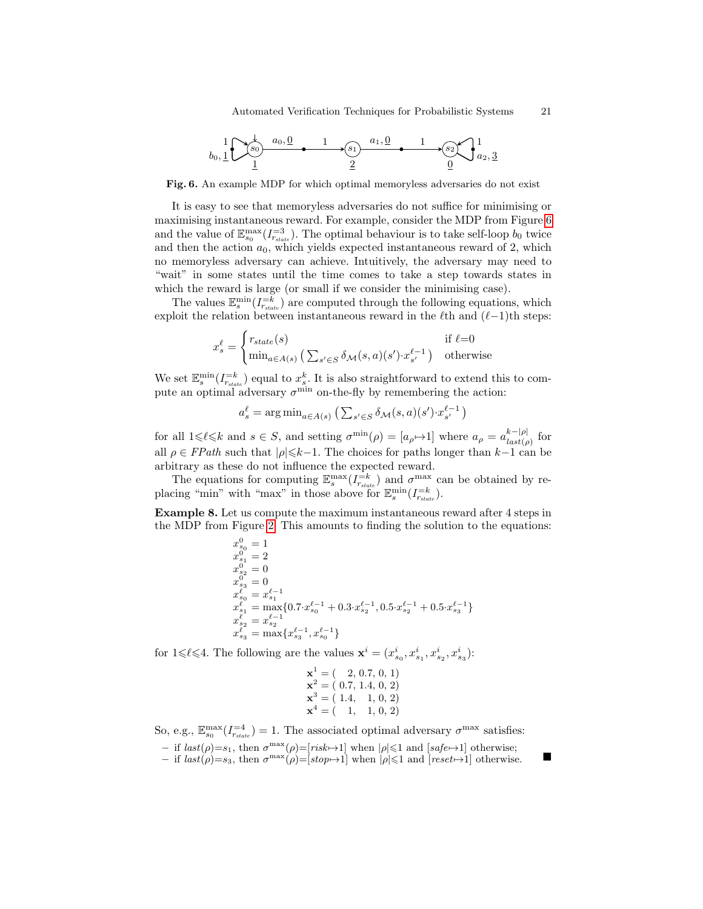$$
\begin{array}{ccc}\n & 1 & \sqrt{30} & a_0, \underline{0} & 1 & \sqrt{31} & a_1, \underline{0} & 1 & \sqrt{32} & 1 \\
 & & 1 & & \underline{2} & & \underline{0} & a_2, \underline{3} \\
 & & & 2 & & \underline{0} & & \n\end{array}
$$

<span id="page-20-0"></span>Fig. 6. An example MDP for which optimal memoryless adversaries do not exist

It is easy to see that memoryless adversaries do not suffice for minimising or maximising instantaneous reward. For example, consider the MDP from Figure [6](#page-20-0) and the value of  $\mathbb{E}_{s_0}^{\max}(I_{r_{state}}^{-3})$ . The optimal behaviour is to take self-loop  $b_0$  twice and then the action  $a_0$ , which yields expected instantaneous reward of 2, which no memoryless adversary can achieve. Intuitively, the adversary may need to "wait" in some states until the time comes to take a step towards states in which the reward is large (or small if we consider the minimising case).

The values  $\mathbb{E}_s^{\min}(I_{r_{state}}^{\equiv k})$  are computed through the following equations, which exploit the relation between instantaneous reward in the  $\ell$ th and  $(\ell-1)$ th steps:

$$
x_s^{\ell} = \begin{cases} r_{state}(s) & \text{if } \ell = 0\\ \min_{a \in A(s)} \left( \sum_{s' \in S} \delta_{\mathcal{M}}(s, a)(s') \cdot x_{s'}^{\ell - 1} \right) & \text{otherwise} \end{cases}
$$

We set  $\mathbb{E}_{s}^{\min}(I_{r_{state}}^{=k})$  equal to  $x_{s}^{k}$ . It is also straightforward to extend this to compute an optimal adversary  $\sigma^{\min}$  on-the-fly by remembering the action:

$$
a_s^{\ell} = \arg\min_{a \in A(s)} \left( \sum_{s' \in S} \delta_{\mathcal{M}}(s, a)(s') \cdot x_{s'}^{\ell - 1} \right)
$$

for all  $1 \leq \ell \leq k$  and  $s \in S$ , and setting  $\sigma^{\min}(\rho) = [a_{\rho} \mapsto 1]$  where  $a_{\rho} = a_{last(d)}^{k-|\rho|}$  $\frac{\kappa - |\rho|}{\ell_0}$  for all  $\rho \in FPath$  such that  $|\rho| \leq k-1$ . The choices for paths longer than  $k-1$  can be arbitrary as these do not influence the expected reward.

The equations for computing  $\mathbb{E}_s^{\max} (I_{r_{state}}^{-k})$  and  $\sigma^{\max}$  can be obtained by replacing "min" with "max" in those above for  $\mathbb{E}_s^{\min} (I_{r_{state}}^{=k}).$ 

<span id="page-20-1"></span>Example 8. Let us compute the maximum instantaneous reward after 4 steps in the MDP from Figure [2.](#page-5-0) This amounts to finding the solution to the equations:

$$
\begin{array}{l} x^0_{s_0}=1\\ x^0_{s_1}=2\\ x^0_{s_2}=0\\ x^0_{s_3}=0\\ x^{\ell}_{s_0}=x^{\ell-1}_{s_1}\\ x^{\ell}_{s_1}=\max\{0.7\cdot x^{\ell-1}_{s_0}+0.3\cdot x^{\ell-1}_{s_2},0.5\cdot x^{\ell-1}_{s_2}+0.5\cdot x^{\ell-1}_{s_3}\}\\ x^{\ell}_{s_2}=x^{\ell-1}_{s_2}\\ x^{\ell}_{s_3}=\max\{x^{\ell-1}_{s_3},x^{\ell-1}_{s_0}\}\end{array}
$$

for  $1 \leq \ell \leq 4$ . The following are the values  $x^i = (x^i_{s_0}, x^i_{s_1}, x^i_{s_2}, x^i_{s_3})$ :

$$
\mathbf{x}^{1} = (2, 0.7, 0, 1) \n\mathbf{x}^{2} = (0.7, 1.4, 0, 2) \n\mathbf{x}^{3} = (1.4, 1, 0, 2) \n\mathbf{x}^{4} = (1, 1, 0, 2)
$$

So, e.g.,  $\mathbb{E}_{s_0}^{\max}(I_{r_{state}}^{\equiv 4}) = 1$ . The associated optimal adversary  $\sigma^{\max}$  satisfies:

- if  $last(ρ)=s_1$ , then  $σ^{max}(ρ)=[risk \mapsto 1]$  when  $|ρ| ≤ 1$  and  $[safe \mapsto 1]$  otherwise;
- $-$  if last(ρ)=s<sub>3</sub>, then  $σ^{max}(ρ)$ =[stop→1] when  $|ρ| ≤ 1$  and [reset→1] otherwise.  $\blacksquare$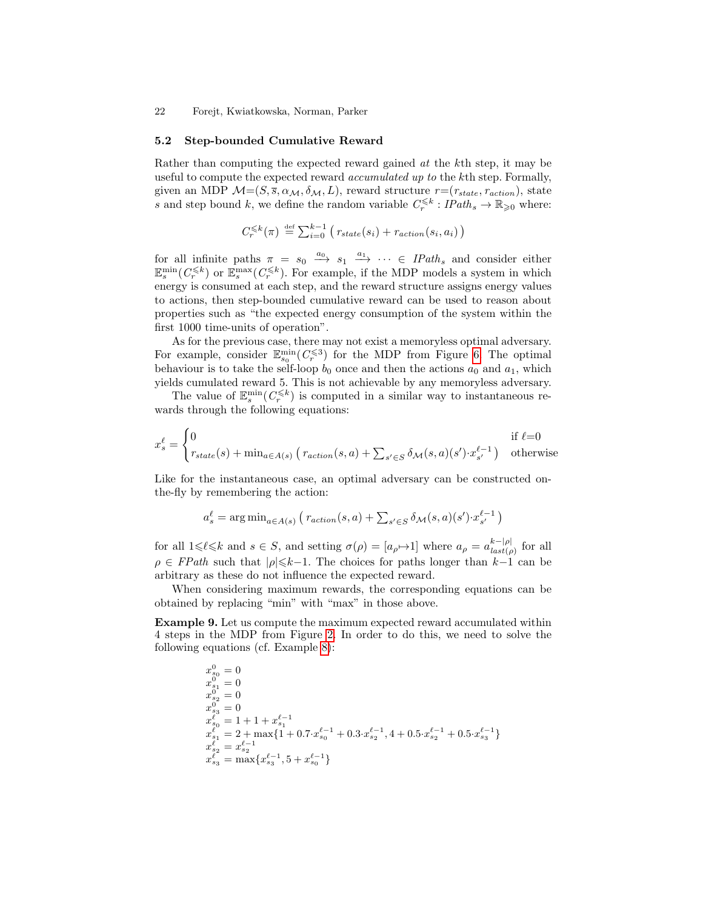#### 5.2 Step-bounded Cumulative Reward

Rather than computing the expected reward gained at the kth step, it may be useful to compute the expected reward accumulated up to the kth step. Formally, given an MDP  $\mathcal{M}=(S,\overline{s},\alpha_{\mathcal{M}},\delta_{\mathcal{M}},L)$ , reward structure  $r=(r_{state},r_{action})$ , state s and step bound k, we define the random variable  $C_r^{\leq k}$ : IPath<sub>s</sub>  $\rightarrow \mathbb{R}_{\geqslant 0}$  where:

$$
C_r^{\leq k}(\pi) \stackrel{\text{def}}{=} \sum_{i=0}^{k-1} (r_{state}(s_i) + r_{action}(s_i, a_i))
$$

for all infinite paths  $\pi = s_0 \stackrel{a_0}{\longrightarrow} s_1 \stackrel{a_1}{\longrightarrow} \cdots \in \text{IPath}_s$  and consider either  $\mathbb{E}_s^{\min}(C_r^{\leq k})$  or  $\mathbb{E}_s^{\max}(C_r^{\leq k})$ . For example, if the MDP models a system in which energy is consumed at each step, and the reward structure assigns energy values to actions, then step-bounded cumulative reward can be used to reason about properties such as "the expected energy consumption of the system within the first 1000 time-units of operation".

As for the previous case, there may not exist a memoryless optimal adversary. For example, consider  $\mathbb{E}_{s_0}^{\min}(C_r^{\leqslant 3})$  for the MDP from Figure [6.](#page-20-0) The optimal behaviour is to take the self-loop  $b_0$  once and then the actions  $a_0$  and  $a_1$ , which yields cumulated reward 5. This is not achievable by any memoryless adversary.

The value of  $\mathbb{E}_s^{\min}(C_r^{\leq k})$  is computed in a similar way to instantaneous rewards through the following equations:

$$
x_s^{\ell} = \begin{cases} 0 & \text{if } \ell = 0\\ r_{state}(s) + \min_{a \in A(s)} \left( r_{action}(s, a) + \sum_{s' \in S} \delta_{\mathcal{M}}(s, a)(s') \cdot x_{s'}^{\ell - 1} \right) & \text{otherwise} \end{cases}
$$

Like for the instantaneous case, an optimal adversary can be constructed onthe-fly by remembering the action:

$$
a_s^{\ell} = \arg\min_{a \in A(s)} \left( r_{action}(s, a) + \sum_{s' \in S} \delta_{\mathcal{M}}(s, a)(s') \cdot x_{s'}^{\ell-1} \right)
$$

for all  $1 \leq \ell \leq k$  and  $s \in S$ , and setting  $\sigma(\rho) = [a_{\rho} \rightarrow 1]$  where  $a_{\rho} = a_{last(\rho)}^{k-|\rho|}$  $\frac{\kappa - |\rho|}{\ell_0}$  for all  $\rho \in \mathbb{F}$ Path such that  $|\rho| \leq k-1$ . The choices for paths longer than  $k-1$  can be arbitrary as these do not influence the expected reward.

When considering maximum rewards, the corresponding equations can be obtained by replacing "min" with "max" in those above.

Example 9. Let us compute the maximum expected reward accumulated within 4 steps in the MDP from Figure [2.](#page-5-0) In order to do this, we need to solve the following equations (cf. Example [8\)](#page-20-1):

$$
\begin{array}{l} x^0_{s_0}=0\\ x^0_{s_1}=0\\ x^0_{s_2}=0\\ x^0_{s_3}=0\\ x^{\ell}_{s_4}=1+1+x^{\ell-1}_{s_1}\\ x^{\ell}_{s_1}=2+\max\{1+0.7\cdot x^{\ell-1}_{s_0}+0.3\cdot x^{\ell-1}_{s_2},4+0.5\cdot x^{\ell-1}_{s_2}+0.5\cdot x^{\ell-1}_{s_3}\}\\ x^{\ell}_{s_2}=x^{\ell-1}_{s_2}\\ x^{\ell}_{s_3}=\max\{x^{\ell-1}_{s_3},5+x^{\ell-1}_{s_0}\}\\ \end{array}
$$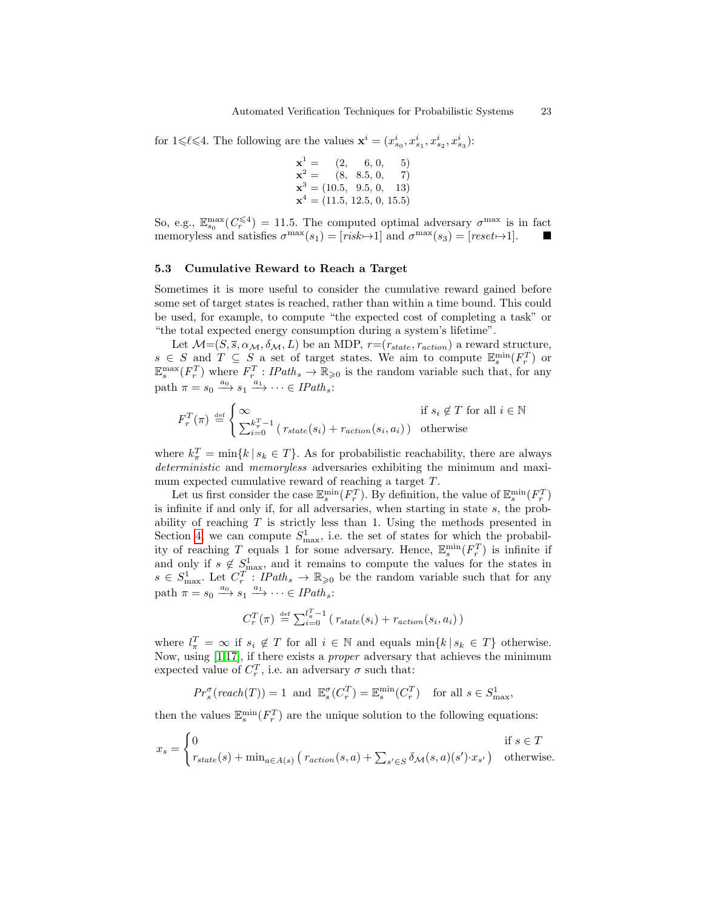for  $1 \leq \ell \leq 4$ . The following are the values  $\mathbf{x}^{i} = (x_{s_0}^{i}, x_{s_1}^{i}, x_{s_2}^{i}, x_{s_3}^{i})$ :

$$
\mathbf{x}^1 = (2, 6, 0, 5) \n\mathbf{x}^2 = (8, 8.5, 0, 7) \n\mathbf{x}^3 = (10.5, 9.5, 0, 13) \n\mathbf{x}^4 = (11.5, 12.5, 0, 15.5)
$$

So, e.g.,  $\mathbb{E}_{s_0}^{\max}(C_r^{\leq 4}) = 11.5$ . The computed optimal adversary  $\sigma^{\max}$  is in fact memoryless and satisfies  $\sigma^{\max}(s_1) = [risk \rightarrow 1]$  and  $\sigma^{\max}(s_3) = [reset \rightarrow 1]$ .

#### 5.3 Cumulative Reward to Reach a Target

Sometimes it is more useful to consider the cumulative reward gained before some set of target states is reached, rather than within a time bound. This could be used, for example, to compute "the expected cost of completing a task" or "the total expected energy consumption during a system's lifetime".

Let  $\mathcal{M}=(S,\overline{s},\alpha_{\mathcal{M}},\delta_{\mathcal{M}},L)$  be an MDP,  $r=(r_{state},r_{action})$  a reward structure,  $s \in S$  and  $T \subseteq S$  a set of target states. We aim to compute  $\mathbb{E}_s^{\min}(F_r^T)$  or  $\mathbb{E}_s^{\max}(F_r^T)$  where  $F_r^T: IPath_s \to \mathbb{R}_{\geqslant 0}$  is the random variable such that, for any path  $\pi = s_0 \xrightarrow{a_0} s_1 \xrightarrow{a_1} \cdots \in IPath_s$ :

$$
F_r^T(\pi) \stackrel{\text{def}}{=} \begin{cases} \infty & \text{if } s_i \notin T \text{ for all } i \in \mathbb{N} \\ \sum_{i=0}^{k_{\pi}^T - 1} \left( r_{state}(s_i) + r_{action}(s_i, a_i) \right) & \text{otherwise} \end{cases}
$$

where  $k_{\pi}^{T} = \min\{k \mid s_{k} \in T\}$ . As for probabilistic reachability, there are always deterministic and memoryless adversaries exhibiting the minimum and maximum expected cumulative reward of reaching a target T.

Let us first consider the case  $\mathbb{E}_s^{\min}(F_r^T)$ . By definition, the value of  $\mathbb{E}_s^{\min}(F_r^T)$ is infinite if and only if, for all adversaries, when starting in state s, the probability of reaching  $T$  is strictly less than 1. Using the methods presented in Section [4,](#page-9-0) we can compute  $S_{\text{max}}^1$ , i.e. the set of states for which the probability of reaching T equals 1 for some adversary. Hence,  $\mathbb{E}_s^{\min}(F_r^T)$  is infinite if and only if  $s \notin S^1_{\text{max}}$ , and it remains to compute the values for the states in  $s \in S^1_{\text{max}}$ . Let  $C^T_r$ : IPath<sub>s</sub>  $\to \mathbb{R}_{\geqslant 0}$  be the random variable such that for any path  $\pi = s_0 \xrightarrow{a_0} s_1 \xrightarrow{a_1} \cdots \in IPath_s$ :

$$
C_r^T(\pi) \stackrel{\text{def}}{=} \sum_{i=0}^{l_{\pi}^T-1} (r_{state}(s_i) + r_{action}(s_i, a_i))
$$

where  $l_{\pi}^{T} = \infty$  if  $s_i \notin T$  for all  $i \in \mathbb{N}$  and equals  $\min\{k \mid s_k \in T\}$  otherwise. Now, using [\[1,](#page-54-0)[17\]](#page-55-5), if there exists a proper adversary that achieves the minimum expected value of  $C_r^T$ , i.e. an adversary  $\sigma$  such that:

$$
Pr_s^{\sigma}(reach(T)) = 1
$$
 and  $\mathbb{E}_s^{\sigma}(C_r^T) = \mathbb{E}_s^{\min}(C_r^T)$  for all  $s \in S_{\max}^1$ ,

then the values  $\mathbb{E}_s^{\min}(F_r^T)$  are the unique solution to the following equations:

$$
x_s = \begin{cases} 0 & \text{if } s \in T \\ r_{state}(s) + \min_{a \in A(s)} \left( r_{action}(s, a) + \sum_{s' \in S} \delta_{\mathcal{M}}(s, a)(s') \cdot x_{s'} \right) & \text{otherwise.} \end{cases}
$$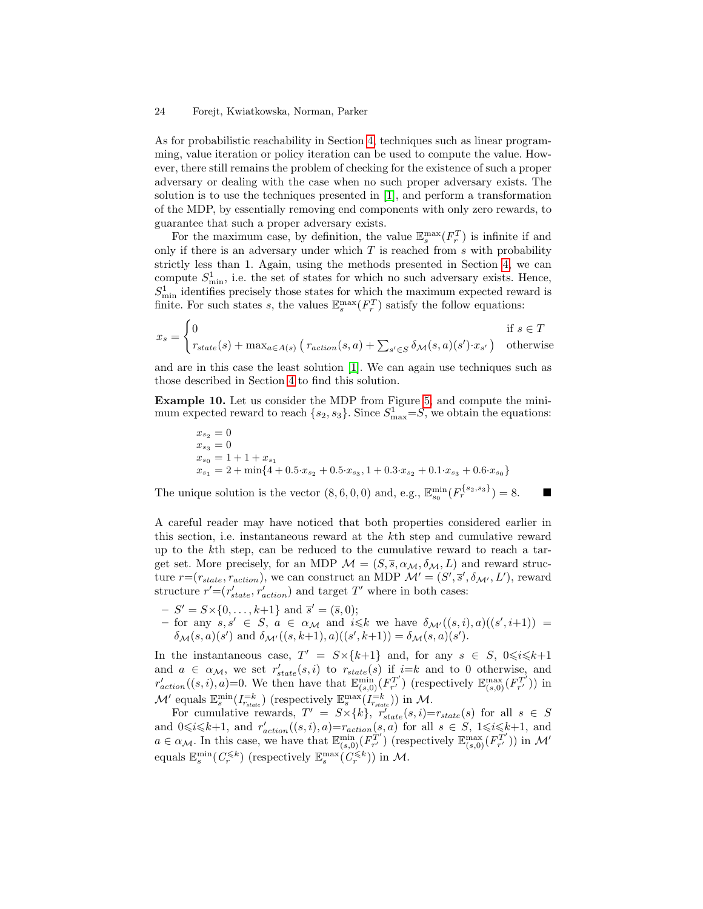As for probabilistic reachability in Section [4,](#page-9-0) techniques such as linear programming, value iteration or policy iteration can be used to compute the value. However, there still remains the problem of checking for the existence of such a proper adversary or dealing with the case when no such proper adversary exists. The solution is to use the techniques presented in [\[1\]](#page-54-0), and perform a transformation of the MDP, by essentially removing end components with only zero rewards, to guarantee that such a proper adversary exists.

For the maximum case, by definition, the value  $\mathbb{E}_{s}^{\max}(F_{r}^{T})$  is infinite if and only if there is an adversary under which  $T$  is reached from  $s$  with probability strictly less than 1. Again, using the methods presented in Section [4,](#page-9-0) we can compute  $S_{\text{min}}^1$ , i.e. the set of states for which no such adversary exists. Hence,  $S_{\text{min}}^1$  identifies precisely those states for which the maximum expected reward is finite. For such states s, the values  $\mathbb{E}_s^{\max}(F_r^T)$  satisfy the follow equations:

$$
x_s = \begin{cases} 0 & \text{if } s \in T \\ r_{state}(s) + \max_{a \in A(s)} (r_{action}(s, a) + \sum_{s' \in S} \delta_{\mathcal{M}}(s, a)(s') \cdot x_{s'}) & \text{otherwise} \end{cases}
$$

and are in this case the least solution [\[1\]](#page-54-0). We can again use techniques such as those described in Section [4](#page-9-0) to find this solution.

Example 10. Let us consider the MDP from Figure [5,](#page-15-0) and compute the minimum expected reward to reach  $\{s_2, s_3\}$ . Since  $S^1_{\text{max}} = S$ , we obtain the equations:

$$
x_{s_2} = 0
$$
  
\n
$$
x_{s_3} = 0
$$
  
\n
$$
x_{s_0} = 1 + 1 + x_{s_1}
$$
  
\n
$$
x_{s_1} = 2 + \min\{4 + 0.5 \cdot x_{s_2} + 0.5 \cdot x_{s_3}, 1 + 0.3 \cdot x_{s_2} + 0.1 \cdot x_{s_3} + 0.6 \cdot x_{s_0}\}
$$

The unique solution is the vector  $(8, 6, 0, 0)$  and, e.g.,  $\mathbb{E}_{s_0}^{\min}(F_r^{\{s_2, s_3\}}) = 8.$ 

A careful reader may have noticed that both properties considered earlier in this section, i.e. instantaneous reward at the kth step and cumulative reward up to the kth step, can be reduced to the cumulative reward to reach a target set. More precisely, for an MDP  $\mathcal{M} = (S, \overline{s}, \alpha_{\mathcal{M}}, \delta_{\mathcal{M}}, L)$  and reward structure  $r=(r_{state}, r_{action})$ , we can construct an MDP  $\mathcal{M}'=(S', \overline{s}', \delta_{\mathcal{M}'}, L')$ , reward structure  $r' = (r'_{state}, r'_{action})$  and target T' where in both cases:

- $-S' = S \times \{0, \ldots, k+1\}$  and  $\bar{s}' = (\bar{s}, 0);$
- $-$  for any  $s, s' \in S$ ,  $a \in \alpha_{\mathcal{M}}$  and  $i \leqslant k$  we have  $\delta_{\mathcal{M}'}((s, i), a)((s', i+1)) =$  $\delta_{\mathcal{M}}(s, a)(s')$  and  $\delta_{\mathcal{M}'}((s, k+1), a)((s', k+1)) = \delta_{\mathcal{M}}(s, a)(s').$

In the instantaneous case,  $T' = S \times \{k+1\}$  and, for any  $s \in S$ ,  $0 \le i \le k+1$ and  $a \in \alpha_{\mathcal{M}}$ , we set  $r'_{state}(s, i)$  to  $r_{state}(s)$  if  $i=k$  and to 0 otherwise, and  $r'_{action}((s, i), a) = 0$ . We then have that  $\mathbb{E}_{(s, 0)}^{\min}(F_{r'}^{T'})$  (respectively  $\mathbb{E}_{(s, 0)}^{\max}(F_{r'}^{T'})$ ) in  $\mathcal{M}'$  equals  $\mathbb{E}_{s}^{\min}(I_{r_{state}}^{-k})$  (respectively  $\mathbb{E}_{s}^{\max}(I_{r_{state}}^{-k}))$  in  $\mathcal{M}$ .

For cumulative rewards,  $T' = S \times \{k\}$ ,  $\overline{r'_{state}}(s, i) = r_{state}(s)$  for all  $s \in S$ and  $0 \leq i \leq k+1$ , and  $r'_{action}((s, i), a) = r_{action}(s, a)$  for all  $s \in S$ ,  $1 \leq i \leq k+1$ , and  $a \in \alpha_{\mathcal{M}}$ . In this case, we have that  $\mathbb{E}_{(s,0)}^{\min}(F_{r'}^{T'})$  (respectively  $\mathbb{E}_{(s,0)}^{\max}(F_{r'}^{T'})$ ) in M' equals  $\mathbb{E}_s^{\min}(C_r^{\leq k})$  (respectively  $\mathbb{E}_s^{\max}(C_r^{\leq k})$ ) in M.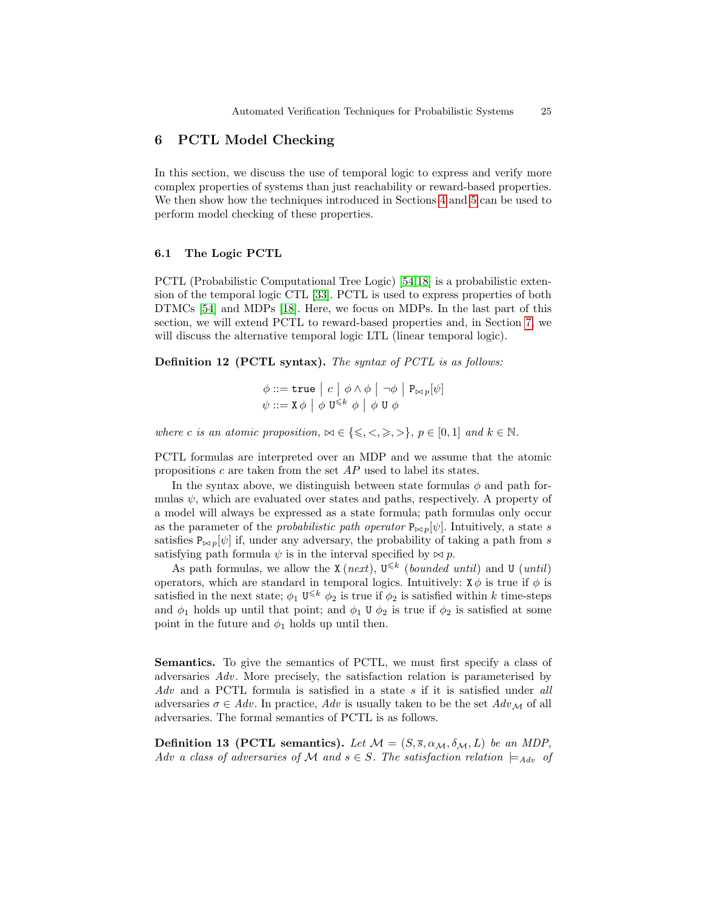## <span id="page-24-0"></span>6 PCTL Model Checking

In this section, we discuss the use of temporal logic to express and verify more complex properties of systems than just reachability or reward-based properties. We then show how the techniques introduced in Sections [4](#page-9-0) and [5](#page-18-0) can be used to perform model checking of these properties.

#### 6.1 The Logic PCTL

PCTL (Probabilistic Computational Tree Logic) [\[54,](#page-57-4)[18\]](#page-55-4) is a probabilistic extension of the temporal logic CTL [\[33\]](#page-56-3). PCTL is used to express properties of both DTMCs [\[54\]](#page-57-4) and MDPs [\[18\]](#page-55-4). Here, we focus on MDPs. In the last part of this section, we will extend PCTL to reward-based properties and, in Section [7,](#page-30-0) we will discuss the alternative temporal logic LTL (linear temporal logic).

Definition 12 (PCTL syntax). The syntax of PCTL is as follows:

$$
\begin{array}{c}\n\phi ::= \mathtt{true} \mid c \mid \phi \land \phi \mid \neg \phi \mid P_{\bowtie p}[\psi] \\
\psi ::= \mathtt{X} \phi \mid \phi \mathbf{U}^{\leq k} \phi \mid \phi \mathbf{U} \phi\n\end{array}
$$

where c is an atomic proposition,  $\bowtie \in \{\leq, <, \geq, >\}, p \in [0, 1]$  and  $k \in \mathbb{N}$ .

PCTL formulas are interpreted over an MDP and we assume that the atomic propositions  $c$  are taken from the set  $AP$  used to label its states.

In the syntax above, we distinguish between state formulas  $\phi$  and path formulas  $\psi$ , which are evaluated over states and paths, respectively. A property of a model will always be expressed as a state formula; path formulas only occur as the parameter of the *probabilistic path operator*  $P_{\bowtie p}[\psi]$ . Intuitively, a state s satisfies  $P_{\bowtie p}[\psi]$  if, under any adversary, the probability of taking a path from s satisfying path formula  $\psi$  is in the interval specified by  $\bowtie$  p.

As path formulas, we allow the  $X$  (*next*),  $U^{\leq k}$  (*bounded until*) and U (*until*) operators, which are standard in temporal logics. Intuitively:  $\mathbf{X} \phi$  is true if  $\phi$  is satisfied in the next state;  $\phi_1$  U<sup>\keeps</sup>  $\phi_2$  is true if  $\phi_2$  is satisfied within k time-steps and  $\phi_1$  holds up until that point; and  $\phi_1 \mathbf{U} \phi_2$  is true if  $\phi_2$  is satisfied at some point in the future and  $\phi_1$  holds up until then.

Semantics. To give the semantics of PCTL, we must first specify a class of adversaries Adv. More precisely, the satisfaction relation is parameterised by Adv and a PCTL formula is satisfied in a state s if it is satisfied under all adversaries  $\sigma \in Adv$ . In practice, Adv is usually taken to be the set Adv<sub>M</sub> of all adversaries. The formal semantics of PCTL is as follows.

<span id="page-24-1"></span>**Definition 13 (PCTL semantics).** Let  $\mathcal{M} = (S, \overline{s}, \alpha_{\mathcal{M}}, \delta_{\mathcal{M}}, L)$  be an MDP, Adv a class of adversaries of M and  $s \in S$ . The satisfaction relation  $\models_{Adv}$  of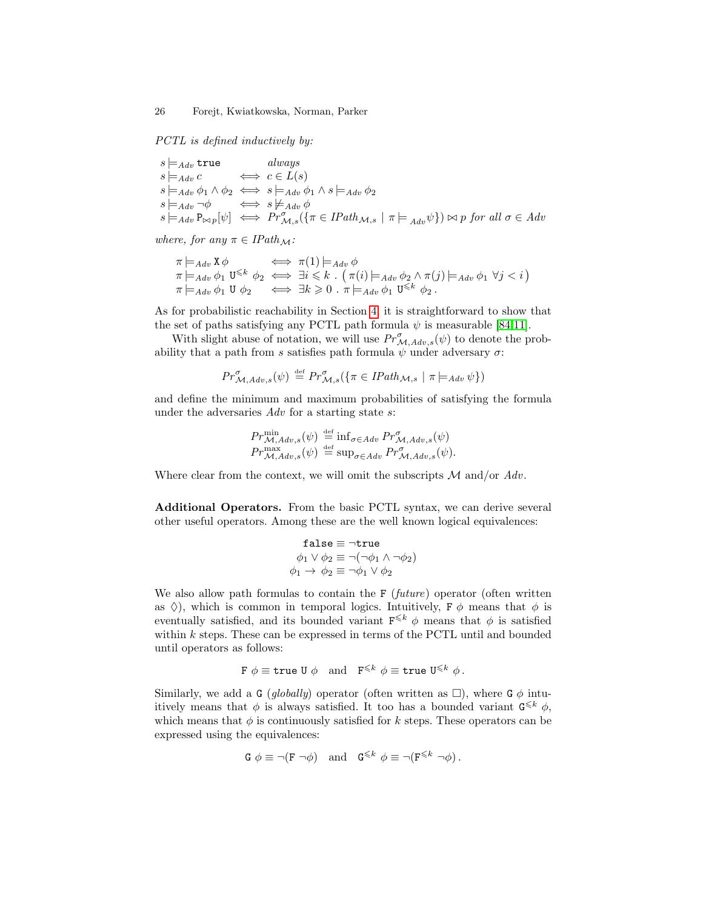PCTL is defined inductively by:

 $s \models_{Adv} \text{true}$  always  $s \models_{Adv} c \iff c \in L(s)$  $s \models_{Adv} \phi_1 \land \phi_2 \iff s \models_{Adv} \phi_1 \land s \models_{Adv} \phi_2$  $s \models_{Adv} \neg \phi \qquad \iff s \not\models_{Adv} \phi$  $s \models_{Adv} P_{\bowtie p}[\psi] \iff P_{\mathcal{M},s}^{\sigma}(\{\pi \in IPath_{\mathcal{M},s} \mid \pi \models_{Adv} \psi\}) \bowtie p \text{ for all } \sigma \in Adv$ 

where, for any  $\pi \in IPath_{\mathcal{M}}$ :

$$
\begin{array}{lcl}\n\pi \models_{Adv} \mathbf{X} \phi & \Longleftrightarrow & \pi(1) \models_{Adv} \phi \\
\pi \models_{Adv} \phi_1 \mathbf{U}^{\leq k} \phi_2 \iff \exists i \leq k \ . \ (\pi(i) \models_{Adv} \phi_2 \land \pi(j) \models_{Adv} \phi_1 \ \forall j < i) \\
\pi \models_{Adv} \phi_1 \mathbf{U} \phi_2 \iff \exists k \geq 0 \ . \ \pi \models_{Adv} \phi_1 \mathbf{U}^{\leq k} \phi_2.\n\end{array}
$$

As for probabilistic reachability in Section [4,](#page-9-0) it is straightforward to show that the set of paths satisfying any PCTL path formula  $\psi$  is measurable [\[84,](#page-59-6)[11\]](#page-55-0).

With slight abuse of notation, we will use  $Pr_{\mathcal{M}, Adv,s}^{\sigma}(\psi)$  to denote the probability that a path from s satisfies path formula  $\psi$  under adversary  $\sigma$ :

$$
Pr^{\sigma}_{\mathcal{M}, Adv,s}(\psi) \stackrel{\text{def}}{=} Pr^{\sigma}_{\mathcal{M},s}(\{\pi \in IPath_{\mathcal{M},s} \mid \pi \models_{Adv} \psi\})
$$

and define the minimum and maximum probabilities of satisfying the formula under the adversaries  $Adv$  for a starting state  $s$ :

$$
Pr^{\min}_{\mathcal{M}, Adv, s}(\psi) \stackrel{\text{def}}{=} \inf_{\sigma \in Adv} Pr^{\sigma}_{\mathcal{M}, Adv, s}(\psi)
$$
  

$$
Pr^{\max}_{\mathcal{M}, Adv, s}(\psi) \stackrel{\text{def}}{=} \sup_{\sigma \in Adv} Pr^{\sigma}_{\mathcal{M}, Adv, s}(\psi).
$$

Where clear from the context, we will omit the subscripts  $\mathcal M$  and/or  $Adv$ .

Additional Operators. From the basic PCTL syntax, we can derive several other useful operators. Among these are the well known logical equivalences:

false = 
$$
\neg
$$
true  
\n $\phi_1 \lor \phi_2 \equiv \neg(\neg \phi_1 \land \neg \phi_2)$   
\n $\phi_1 \rightarrow \phi_2 \equiv \neg \phi_1 \lor \phi_2$ 

We also allow path formulas to contain the  $F$  (*future*) operator (often written as  $\Diamond$ ), which is common in temporal logics. Intuitively, F  $\phi$  means that  $\phi$  is eventually satisfied, and its bounded variant  $F^{\leq k} \phi$  means that  $\phi$  is satisfied within  $k$  steps. These can be expressed in terms of the PCTL until and bounded until operators as follows:

$$
\mathbf{F}\;\phi\equiv \mathtt{true}\; \mathtt{U}\;\phi \quad \text{and}\quad \mathbf{F}^{\leqslant k}\;\phi\equiv \mathtt{true}\;\mathtt{U}^{\leqslant k}\;\phi\,.
$$

Similarly, we add a G (globally) operator (often written as  $\square$ ), where G  $\phi$  intuitively means that  $\phi$  is always satisfied. It too has a bounded variant  $\mathbf{G}^{\leq k}$   $\phi$ , which means that  $\phi$  is continuously satisfied for k steps. These operators can be expressed using the equivalences:

$$
\mathbf{G} \phi \equiv \neg(\mathbf{F} \neg \phi) \quad \text{and} \quad \mathbf{G}^{\leq k} \phi \equiv \neg(\mathbf{F}^{\leq k} \neg \phi).
$$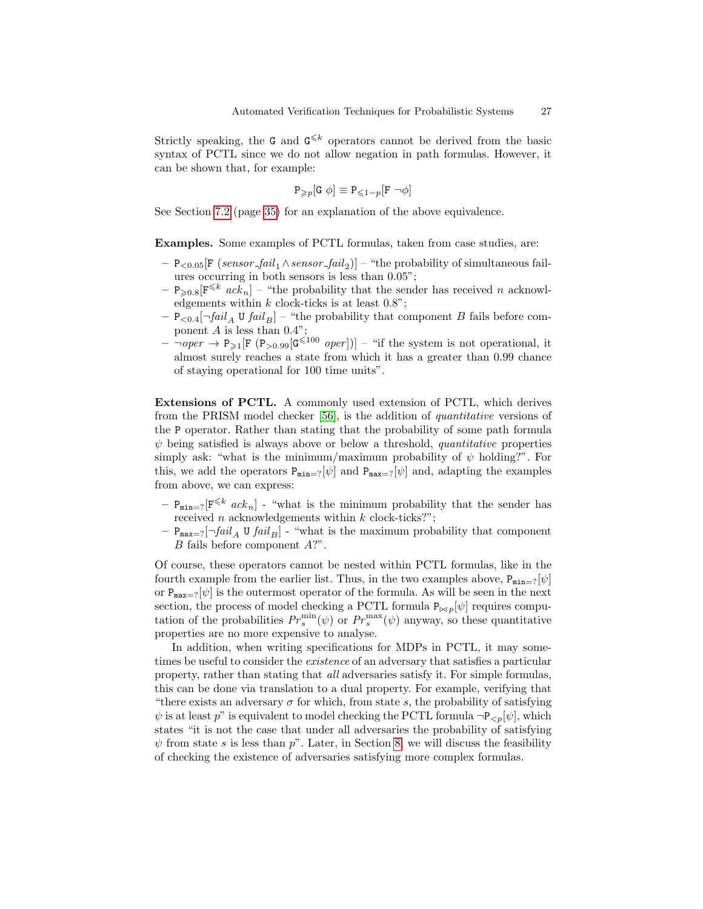Strictly speaking, the G and  $\mathbf{G}^{\leq k}$  operators cannot be derived from the basic syntax of PCTL since we do not allow negation in path formulas. However, it can be shown that, for example:

$$
\mathtt{P}_{\geqslant p}[\mathtt{G}\ \phi]\equiv \mathtt{P}_{\leqslant 1-p}[\mathtt{F}\ \neg\phi]
$$

See Section [7.2](#page-33-0) (page [35\)](#page-34-0) for an explanation of the above equivalence.

Examples. Some examples of PCTL formulas, taken from case studies, are:

- $-$  P<sub><0.05</sub> [F (*sensor\_fail*<sub>1</sub>  $\wedge$  *sensor\_fail*<sub>2</sub>)] "the probability of simultaneous failures occurring in both sensors is less than 0.05";
- $P_{\geqslant 0.8} [F^{\leqslant k} \ ack_n] -$  "the probability that the sender has received n acknowledgements within  $k$  clock-ticks is at least  $0.8$ ";
- $-P_{\leq 0.4}[\neg fail_A \cup fail_B]$  "the probability that component B fails before component A is less than  $0.4$ ";
- $\neg$ *oper*  $\rightarrow$  P<sub> $\geq 1$ </sub>[F (P<sub>>0.99</sub>[G<sup> $\leq$ 100</sup> *oper*])] "if the system is not operational, it almost surely reaches a state from which it has a greater than 0.99 chance of staying operational for 100 time units".

Extensions of PCTL. A commonly used extension of PCTL, which derives from the PRISM model checker [\[56\]](#page-57-0), is the addition of quantitative versions of the P operator. Rather than stating that the probability of some path formula  $\psi$  being satisfied is always above or below a threshold, *quantitative* properties simply ask: "what is the minimum/maximum probability of  $\psi$  holding?". For this, we add the operators  $P_{\min=?}[\psi]$  and  $P_{\max=?}[\psi]$  and, adapting the examples from above, we can express:

- $P_{\min=?}[F^{\leq k} \; ack_n]$  "what is the minimum probability that the sender has received *n* acknowledgements within  $k$  clock-ticks?";
- $P_{\text{max}=?}[-\text{fail}_A \text{ U } \text{fail}_B]$  "what is the maximum probability that component B fails before component A?".

Of course, these operators cannot be nested within PCTL formulas, like in the fourth example from the earlier list. Thus, in the two examples above,  $P_{\min=?}[\psi]$ or  $P_{\text{max}=?}[\psi]$  is the outermost operator of the formula. As will be seen in the next section, the process of model checking a PCTL formula  $P_{\bowtie p}[\psi]$  requires computation of the probabilities  $Pr_s^{\min}(\psi)$  or  $Pr_s^{\max}(\psi)$  anyway, so these quantitative properties are no more expensive to analyse.

In addition, when writing specifications for MDPs in PCTL, it may sometimes be useful to consider the *existence* of an adversary that satisfies a particular property, rather than stating that all adversaries satisfy it. For simple formulas, this can be done via translation to a dual property. For example, verifying that "there exists an adversary  $\sigma$  for which, from state s, the probability of satisfying  $\psi$  is at least p" is equivalent to model checking the PCTL formula  $\neg P_{\leq p}[\psi]$ , which states "it is not the case that under all adversaries the probability of satisfying  $\psi$  from state s is less than p". Later, in Section [8,](#page-38-0) we will discuss the feasibility of checking the existence of adversaries satisfying more complex formulas.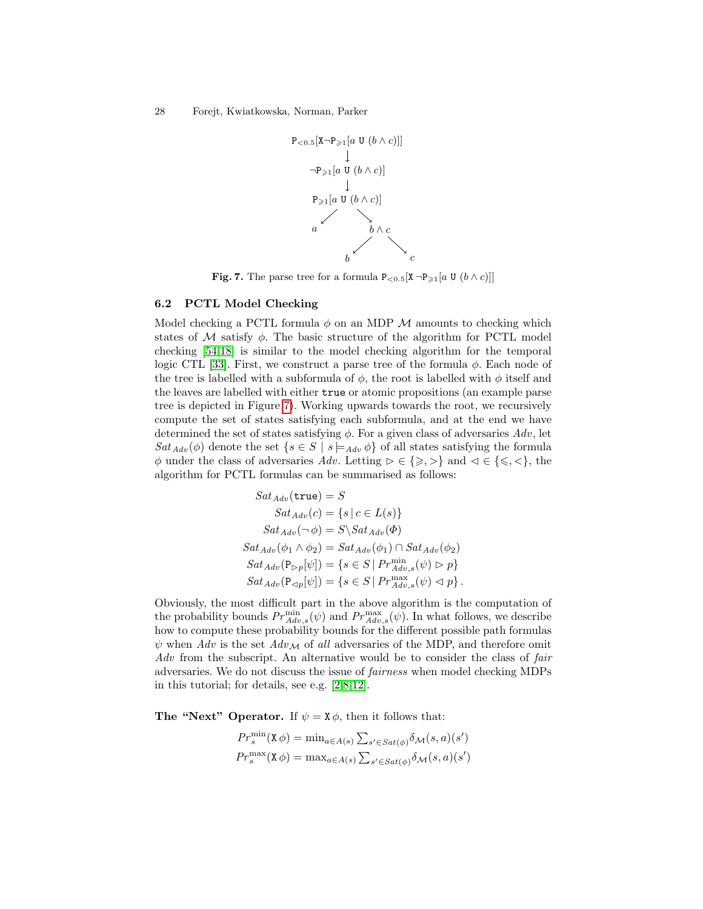

<span id="page-27-0"></span>**Fig. 7.** The parse tree for a formula  $P_{<0.5}[X \neg P_{\geq 1}[a \cup (b \wedge c)]]$ 

## 6.2 PCTL Model Checking

Model checking a PCTL formula  $\phi$  on an MDP M amounts to checking which states of  $M$  satisfy  $\phi$ . The basic structure of the algorithm for PCTL model checking [\[54,](#page-57-4)[18\]](#page-55-4) is similar to the model checking algorithm for the temporal logic CTL [\[33\]](#page-56-3). First, we construct a parse tree of the formula  $\phi$ . Each node of the tree is labelled with a subformula of  $\phi$ , the root is labelled with  $\phi$  itself and the leaves are labelled with either true or atomic propositions (an example parse tree is depicted in Figure [7\)](#page-27-0). Working upwards towards the root, we recursively compute the set of states satisfying each subformula, and at the end we have determined the set of states satisfying  $\phi$ . For a given class of adversaries  $Adv$ , let  $Sat_{Adv}(\phi)$  denote the set  $\{s \in S \mid s \models_{Adv} \phi\}$  of all states satisfying the formula  $\phi$  under the class of adversaries Adv. Letting  $\triangleright \in \{\geq, >\}$  and  $\triangleleft \in \{\leq, <\}$ , the algorithm for PCTL formulas can be summarised as follows:

$$
Sat_{Adv}(\mathbf{true}) = S
$$
  
\n
$$
Sat_{Adv}(c) = \{s \mid c \in L(s)\}
$$
  
\n
$$
Sat_{Adv}(\neg \phi) = S \setminus Sat_{Adv}(\Phi)
$$
  
\n
$$
Sat_{Adv}(\phi_1 \land \phi_2) = Sat_{Adv}(\phi_1) \cap Sat_{Adv}(\phi_2)
$$
  
\n
$$
Sat_{Adv}(\mathbf{P}_{\triangleright p}[\psi]) = \{s \in S \mid Pr_{Adv,s}^{\min}(\psi) \vartriangleright p\}
$$
  
\n
$$
Sat_{Adv}(\mathbf{P}_{\triangle p}[\psi]) = \{s \in S \mid Pr_{Adv,s}^{\max}(\psi) \vartriangleleft p\}.
$$

Obviously, the most difficult part in the above algorithm is the computation of the probability bounds  $Pr_{Adv,s}^{\min}(\psi)$  and  $Pr_{Adv,s}^{\max}(\psi)$ . In what follows, we describe how to compute these probability bounds for the different possible path formulas  $\psi$  when Adv is the set Adv<sub>M</sub> of all adversaries of the MDP, and therefore omit Adv from the subscript. An alternative would be to consider the class of fair adversaries. We do not discuss the issue of fairness when model checking MDPs in this tutorial; for details, see e.g. [\[2](#page-54-1)[,8,](#page-55-7)[12\]](#page-55-8).

The "Next" Operator. If  $\psi = \mathbf{X} \phi$ , then it follows that:

$$
Pr_s^{\min}(\mathbf{X}\,\phi) = \min_{a \in A(s)} \sum_{s' \in Sat(\phi)} \delta_{\mathcal{M}}(s, a)(s')
$$

$$
Pr_s^{\max}(\mathbf{X}\,\phi) = \max_{a \in A(s)} \sum_{s' \in Sat(\phi)} \delta_{\mathcal{M}}(s, a)(s')
$$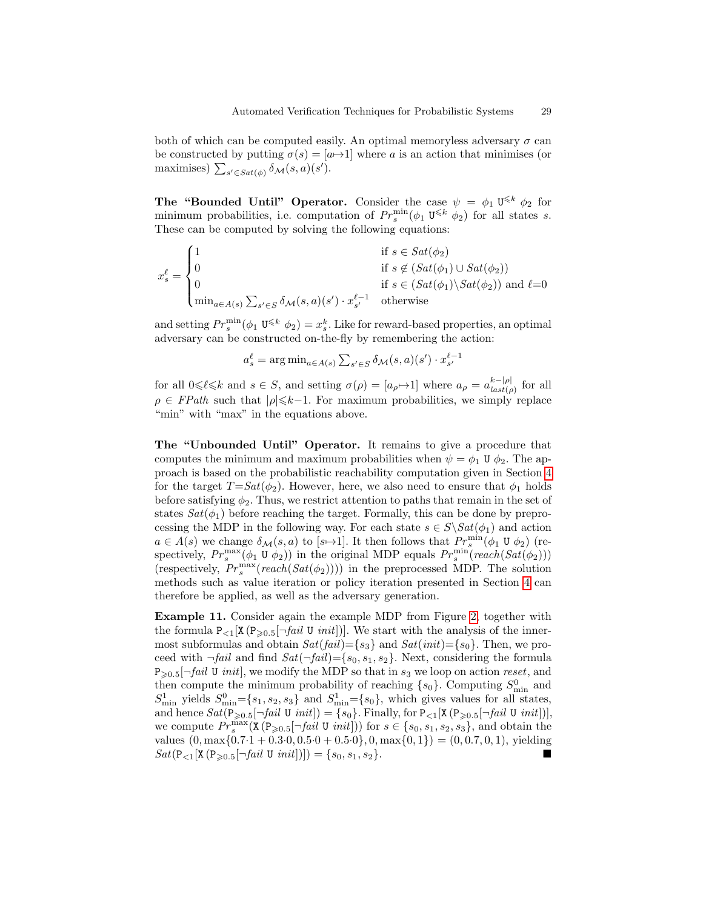both of which can be computed easily. An optimal memoryless adversary  $\sigma$  can be constructed by putting  $\sigma(s) = [a \rightarrow 1]$  where a is an action that minimises (or maximises)  $\sum_{s' \in Sat(\phi)} \delta_{\mathcal{M}}(s, a)(s')$ .

The "Bounded Until" Operator. Consider the case  $\psi = \phi_1 \cup \{\infty}^k \phi_2$  for minimum probabilities, i.e. computation of  $Pr_s^{\min}(\phi_1 \mathbf{U}^{\leq k} \phi_2)$  for all states s. These can be computed by solving the following equations:

$$
x_s^{\ell} = \begin{cases} 1 & \text{if } s \in Sat(\phi_2) \\ 0 & \text{if } s \notin (Sat(\phi_1) \cup Sat(\phi_2)) \\ 0 & \text{if } s \in (Sat(\phi_1) \setminus Sat(\phi_2)) \\ \min_{a \in A(s)} \sum_{s' \in S} \delta_{\mathcal{M}}(s, a)(s') \cdot x_{s'}^{\ell-1} & \text{otherwise} \end{cases}
$$

and setting  $Pr_s^{\min}(\phi_1 \, \mathbf{U}^{\leq k} \, \phi_2) = x_s^k$ . Like for reward-based properties, an optimal adversary can be constructed on-the-fly by remembering the action:

 $a_s^{\ell} = \arg \min_{a \in A(s)} \sum_{s' \in S} \delta_{\mathcal{M}}(s, a)(s') \cdot x_{s'}^{\ell-1}$ 

for all  $0 \leq \ell \leq k$  and  $s \in S$ , and setting  $\sigma(\rho) = [a_{\rho} \rightarrow 1]$  where  $a_{\rho} = a_{last(\rho)}^{k-|\rho|}$  $\frac{\kappa - |\rho|}{\ell_0}$  for all  $\rho \in \mathit{FPath}$  such that  $|\rho| \leq k-1$ . For maximum probabilities, we simply replace "min" with "max" in the equations above.

The "Unbounded Until" Operator. It remains to give a procedure that computes the minimum and maximum probabilities when  $\psi = \phi_1 \mathbf{U} \phi_2$ . The approach is based on the probabilistic reachability computation given in Section [4](#page-9-0) for the target  $T=Sat(\phi_2)$ . However, here, we also need to ensure that  $\phi_1$  holds before satisfying  $\phi_2$ . Thus, we restrict attention to paths that remain in the set of states  $Sat(\phi_1)$  before reaching the target. Formally, this can be done by preprocessing the MDP in the following way. For each state  $s \in S \setminus Sat(\phi_1)$  and action  $a \in A(s)$  we change  $\delta_{\mathcal{M}}(s, a)$  to [s + 1]. It then follows that  $Pr_s^{\min}(\phi_1 \cup \phi_2)$  (respectively,  $Pr_s^{\max}(\phi_1 \cup \phi_2)$  in the original MDP equals  $Pr_s^{\min}(reach(Sat(\phi_2)))$ (respectively,  $Pr_s^{\max}(reach(Sat(\phi_2))))$  in the preprocessed MDP. The solution methods such as value iteration or policy iteration presented in Section [4](#page-9-0) can therefore be applied, as well as the adversary generation.

Example 11. Consider again the example MDP from Figure [2,](#page-5-0) together with the formula  $P_{\leq 1}[X(P_{\geq 0.5}[-\text{fail }U \text{ init}])]$ . We start with the analysis of the innermost subformulas and obtain  $Sat(fail) = \{s_3\}$  and  $Sat(init) = \{s_0\}$ . Then, we proceed with  $\neg fail$  and find  $Sat(\neg fail) = \{s_0, s_1, s_2\}$ . Next, considering the formula  $P_{\geq 0.5}[\neg \text{fail } U \text{ init}]$ , we modify the MDP so that in  $s_3$  we loop on action reset, and then compute the minimum probability of reaching  $\{s_0\}$ . Computing  $S_{\text{min}}^0$  and  $S_{\text{min}}^1$  yields  $S_{\text{min}}^0 = \{s_1, s_2, s_3\}$  and  $S_{\text{min}}^1 = \{s_0\}$ , which gives values for all states, and hence  $Sat(\mathbf{P}_{\geq 0.5}[\neg fail \cup init]) = \{s_0\}$ . Finally, for  $\mathbf{P}_{\leq 1}[\mathbf{X}(\mathbf{P}_{\geq 0.5}[\neg fail \cup init])],$ we compute  $Pr_s^{\max}(\mathbf{X}(P_{\geq 0.5}[\neg fail \cup init]))$  for  $s \in \{s_0, s_1, s_2, s_3\}$ , and obtain the values  $(0, \max\{0.7\cdot1 + 0.3\cdot0, 0.5\cdot0 + 0.5\cdot0\}, 0, \max\{0, 1\}) = (0, 0.7, 0, 1),$  yielding  $Sat(P_{<1}[X(P_{\geq 0.5}[\neg fail \cup init]]) = \{s_0, s_1, s_2\}.$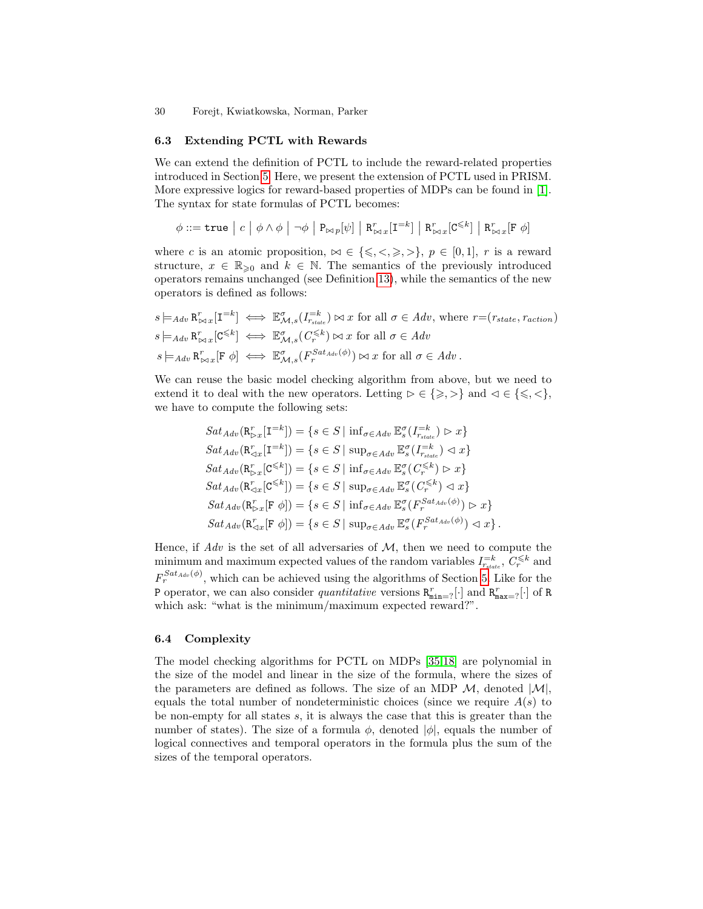#### 6.3 Extending PCTL with Rewards

We can extend the definition of PCTL to include the reward-related properties introduced in Section [5.](#page-18-0) Here, we present the extension of PCTL used in PRISM. More expressive logics for reward-based properties of MDPs can be found in [\[1\]](#page-54-0). The syntax for state formulas of PCTL becomes:

$$
\phi ::= \mathtt{true} ~\big|~ c ~\big|~ \phi \land \phi ~\big|~ \neg \phi ~\big| ~ \mathtt{P}_{\bowtie p}[\psi] ~\big| ~ \mathtt{R}_{\bowtie x}^r[\mathtt{I}^{=k}] ~\big| ~ \mathtt{R}_{\bowtie x}^r[\mathtt{C}^{\leqslant k}] ~\big| ~ \mathtt{R}_{\bowtie x}^r[\mathtt{F} ~\phi]
$$

where c is an atomic proposition,  $\bowtie \in \{\leqslant,\lt;,\geqslant,\gt\}, p \in [0,1], r$  is a reward structure,  $x \in \mathbb{R}_{\geqslant 0}$  and  $k \in \mathbb{N}$ . The semantics of the previously introduced operators remains unchanged (see Definition [13\)](#page-24-1), while the semantics of the new operators is defined as follows:

$$
s \models_{Adv} \mathbf{R}_{\bowtie x}^r[\mathbf{I}^{=k}] \iff \mathbb{E}_{\mathcal{M},s}^{\sigma}(I_{\text{state}}^{=k}) \bowtie x \text{ for all } \sigma \in Adv, \text{ where } r = (r_{state}, r_{action})
$$
  
\n
$$
s \models_{Adv} \mathbf{R}_{\bowtie x}^r[\mathbf{C}^{\leq k}] \iff \mathbb{E}_{\mathcal{M},s}^{\sigma}(C_{\sim}^{\leq k}) \bowtie x \text{ for all } \sigma \in Adv
$$
  
\n
$$
s \models_{Adv} \mathbf{R}_{\bowtie x}^r[\mathbf{F} \phi] \iff \mathbb{E}_{\mathcal{M},s}^{\sigma}(F_{\sim}^{Sat_{Adv}(\phi)}) \bowtie x \text{ for all } \sigma \in Adv.
$$

We can reuse the basic model checking algorithm from above, but we need to extend it to deal with the new operators. Letting  $\triangleright \in \{\geq, >\}$  and  $\triangleleft \in \{\leq, <\},\$ we have to compute the following sets:

$$
Sat_{Adv}(\mathbf{R}_{\varphi x}^{r}[\mathbf{I}^{=k}]) = \{s \in S \mid \inf_{\sigma \in Adv} \mathbb{E}_{s}^{\sigma}(I_{\text{state}}^{=k}) \vartriangleright x\}
$$
  
\n
$$
Sat_{Adv}(\mathbf{R}_{\varphi x}^{r}[\mathbf{I}^{=k}]) = \{s \in S \mid \sup_{\sigma \in Adv} \mathbb{E}_{s}^{\sigma}(I_{\text{state}}^{=k}) \vartriangleleft x\}
$$
  
\n
$$
Sat_{Adv}(\mathbf{R}_{\varphi x}^{r}[\mathbf{C}^{\leq k}]) = \{s \in S \mid \inf_{\sigma \in Adv} \mathbb{E}_{s}^{\sigma}(C_{r}^{\leq k}) \vartriangleright x\}
$$
  
\n
$$
Sat_{Adv}(\mathbf{R}_{\varphi x}^{r}[\mathbf{C}^{\leq k}]) = \{s \in S \mid \sup_{\sigma \in Adv} \mathbb{E}_{s}^{\sigma}(C_{r}^{\leq k}) \vartriangleleft x\}
$$
  
\n
$$
Sat_{Adv}(\mathbf{R}_{\varphi x}^{r}[\mathbf{F} \phi]) = \{s \in S \mid \inf_{\sigma \in Adv} \mathbb{E}_{s}^{\sigma}(F_{r}^{Stat_{Adv}(\phi)}) \vartriangleright x\}
$$
  
\n
$$
Sat_{Adv}(\mathbf{R}_{\varphi x}^{r}[\mathbf{F} \phi]) = \{s \in S \mid \sup_{\sigma \in Adv} \mathbb{E}_{s}^{\sigma}(F_{r}^{Stat_{Adv}(\phi)}) \vartriangleleft x\}.
$$

Hence, if  $Adv$  is the set of all adversaries of  $M$ , then we need to compute the minimum and maximum expected values of the random variables  $I_{r_{state}} = k$ ,  $C_r \le k$  and  $F_r^{Sat_{Adv}(\phi)}$ , which can be achieved using the algorithms of Section [5.](#page-18-0) Like for the P operator, we can also consider *quantitative* versions  $R_{\min=2}^r[\cdot]$  and  $R_{\max=2}^r[\cdot]$  of R which ask: "what is the minimum/maximum expected reward?".

#### 6.4 Complexity

The model checking algorithms for PCTL on MDPs [\[35,](#page-56-1)[18\]](#page-55-4) are polynomial in the size of the model and linear in the size of the formula, where the sizes of the parameters are defined as follows. The size of an MDP  $\mathcal{M}$ , denoted  $|\mathcal{M}|$ , equals the total number of nondeterministic choices (since we require  $A(s)$  to be non-empty for all states s, it is always the case that this is greater than the number of states). The size of a formula  $\phi$ , denoted  $|\phi|$ , equals the number of logical connectives and temporal operators in the formula plus the sum of the sizes of the temporal operators.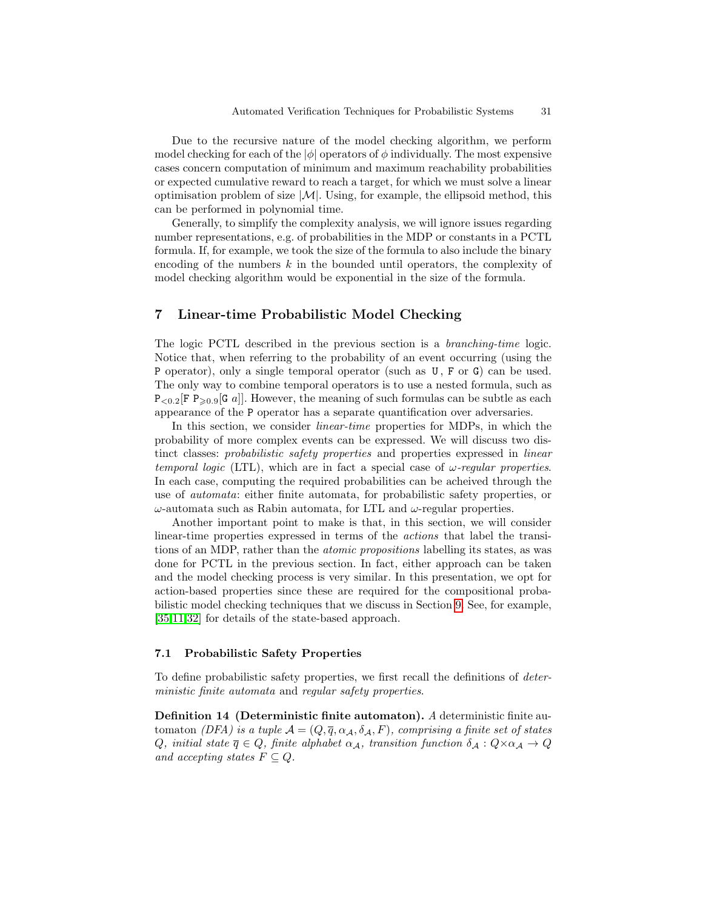Due to the recursive nature of the model checking algorithm, we perform model checking for each of the  $|\phi|$  operators of  $\phi$  individually. The most expensive cases concern computation of minimum and maximum reachability probabilities or expected cumulative reward to reach a target, for which we must solve a linear optimisation problem of size  $|\mathcal{M}|$ . Using, for example, the ellipsoid method, this can be performed in polynomial time.

Generally, to simplify the complexity analysis, we will ignore issues regarding number representations, e.g. of probabilities in the MDP or constants in a PCTL formula. If, for example, we took the size of the formula to also include the binary encoding of the numbers  $k$  in the bounded until operators, the complexity of model checking algorithm would be exponential in the size of the formula.

## <span id="page-30-0"></span>7 Linear-time Probabilistic Model Checking

The logic PCTL described in the previous section is a branching-time logic. Notice that, when referring to the probability of an event occurring (using the P operator), only a single temporal operator (such as U , F or G) can be used. The only way to combine temporal operators is to use a nested formula, such as  $P_{\leq 0.2}$  [F  $P_{\geq 0.9}$  [G a]. However, the meaning of such formulas can be subtle as each appearance of the P operator has a separate quantification over adversaries.

In this section, we consider linear-time properties for MDPs, in which the probability of more complex events can be expressed. We will discuss two distinct classes: *probabilistic safety properties* and properties expressed in *linear* temporal logic (LTL), which are in fact a special case of  $\omega$ -regular properties. In each case, computing the required probabilities can be acheived through the use of automata: either finite automata, for probabilistic safety properties, or  $\omega$ -automata such as Rabin automata, for LTL and  $\omega$ -regular properties.

Another important point to make is that, in this section, we will consider linear-time properties expressed in terms of the actions that label the transitions of an MDP, rather than the atomic propositions labelling its states, as was done for PCTL in the previous section. In fact, either approach can be taken and the model checking process is very similar. In this presentation, we opt for action-based properties since these are required for the compositional probabilistic model checking techniques that we discuss in Section [9.](#page-43-0) See, for example, [\[35](#page-56-1)[,11](#page-55-0)[,32\]](#page-56-4) for details of the state-based approach.

#### <span id="page-30-1"></span>7.1 Probabilistic Safety Properties

To define probabilistic safety properties, we first recall the definitions of deterministic finite automata and regular safety properties.

Definition 14 (Deterministic finite automaton). A deterministic finite automaton (DFA) is a tuple  $\mathcal{A} = (Q, \overline{q}, \alpha_{\mathcal{A}}, \delta_{\mathcal{A}}, F)$ , comprising a finite set of states Q, initial state  $\overline{q} \in Q$ , finite alphabet  $\alpha_{\mathcal{A}}$ , transition function  $\delta_{\mathcal{A}} : Q \times \alpha_{\mathcal{A}} \to Q$ and accepting states  $F \subseteq Q$ .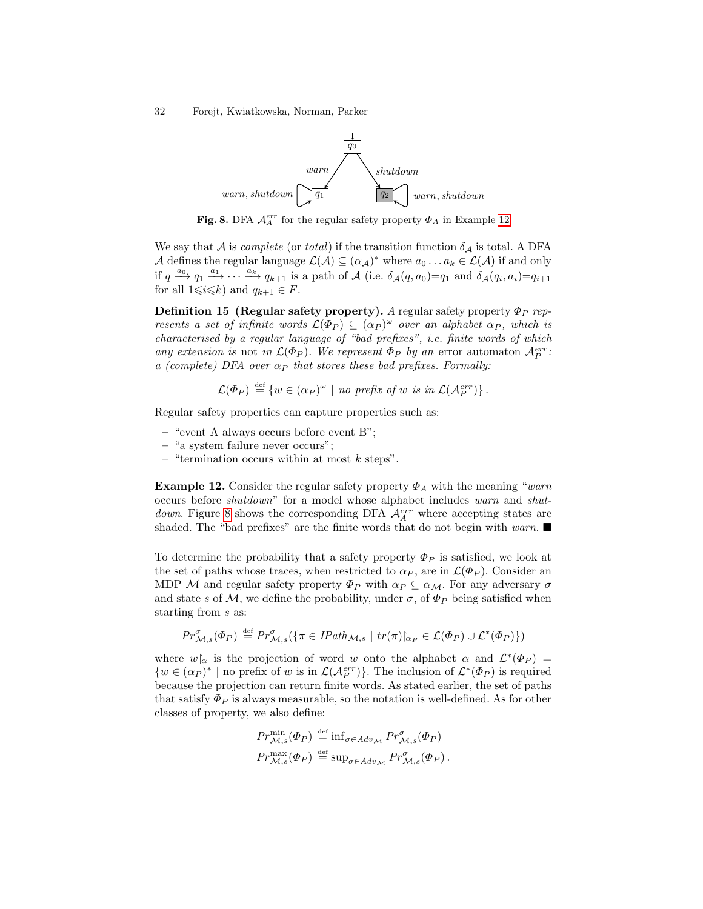

<span id="page-31-1"></span>Fig. 8. DFA  $\mathcal{A}_A^{err}$  for the regular safety property  $\Phi_A$  in Example [12](#page-31-0)

We say that A is *complete* (or *total*) if the transition function  $\delta_A$  is total. A DFA A defines the regular language  $\mathcal{L}(\mathcal{A}) \subseteq (\alpha_{\mathcal{A}})^*$  where  $a_0 \dots a_k \in \mathcal{L}(\mathcal{A})$  if and only if  $\overline{q} \xrightarrow{a_0} q_1 \xrightarrow{a_1} \cdots \xrightarrow{a_k} q_{k+1}$  is a path of  $\mathcal A$  (i.e.  $\delta_{\mathcal A}(\overline{q}, a_0) = q_1$  and  $\delta_{\mathcal A}(q_i, a_i) = q_{i+1}$ for all  $1\leq i\leq k$ ) and  $q_{k+1}\in F$ .

**Definition 15 (Regular safety property).** A regular safety property  $\Phi_P$  represents a set of infinite words  $\mathcal{L}(\Phi_P) \subseteq (\alpha_P)^\omega$  over an alphabet  $\alpha_P$ , which is characterised by a regular language of "bad prefixes", i.e. finite words of which any extension is not in  $\mathcal{L}(\Phi_P)$ . We represent  $\Phi_P$  by an error automaton  $\mathcal{A}_P^{err}$ : a (complete) DFA over  $\alpha_P$  that stores these bad prefixes. Formally:

$$
\mathcal{L}(\Phi_P) \stackrel{\text{def}}{=} \{ w \in (\alpha_P)^\omega \mid \text{no prefix of } w \text{ is in } \mathcal{L}(\mathcal{A}_P^{\text{err}}) \}.
$$

Regular safety properties can capture properties such as:

- "event A always occurs before event B";
- "a system failure never occurs";
- $-$  "termination occurs within at most  $k$  steps".

<span id="page-31-0"></span>**Example 12.** Consider the regular safety property  $\Phi_A$  with the meaning "warn occurs before shutdown" for a model whose alphabet includes warn and shut-down. Figure [8](#page-31-1) shows the corresponding DFA  $\mathcal{A}_{A}^{err}$  where accepting states are shaded. The "bad prefixes" are the finite words that do not begin with *warn*.

To determine the probability that a safety property  $\Phi_P$  is satisfied, we look at the set of paths whose traces, when restricted to  $\alpha_P$ , are in  $\mathcal{L}(\Phi_P)$ . Consider an MDP M and regular safety property  $\Phi_P$  with  $\alpha_P \subseteq \alpha_M$ . For any adversary  $\sigma$ and state s of M, we define the probability, under  $\sigma$ , of  $\Phi_P$  being satisfied when starting from s as:

$$
Pr^{\sigma}_{\mathcal{M},s}(\Phi_P) \stackrel{\text{def}}{=} Pr^{\sigma}_{\mathcal{M},s}(\{\pi \in IPath_{\mathcal{M},s} \mid tr(\pi)\}_{\alpha_P} \in \mathcal{L}(\Phi_P) \cup \mathcal{L}^*(\Phi_P)\})
$$

where  $w|_{\alpha}$  is the projection of word w onto the alphabet  $\alpha$  and  $\mathcal{L}^*(\Phi_P) =$  $\{w \in (\alpha_P)^* \mid \text{no prefix of } w \text{ is in } \mathcal{L}(\mathcal{A}_P^{err})\}$ . The inclusion of  $\mathcal{L}^*(\Phi_P)$  is required because the projection can return finite words. As stated earlier, the set of paths that satisfy  $\Phi_P$  is always measurable, so the notation is well-defined. As for other classes of property, we also define:

$$
Pr_{\mathcal{M},s}^{\min}(\Phi_P) \stackrel{\text{def}}{=} \inf_{\sigma \in Adv_{\mathcal{M}}} Pr_{\mathcal{M},s}^{\sigma}(\Phi_P)
$$
  

$$
Pr_{\mathcal{M},s}^{\max}(\Phi_P) \stackrel{\text{def}}{=} \sup_{\sigma \in Adv_{\mathcal{M}}} Pr_{\mathcal{M},s}^{\sigma}(\Phi_P).
$$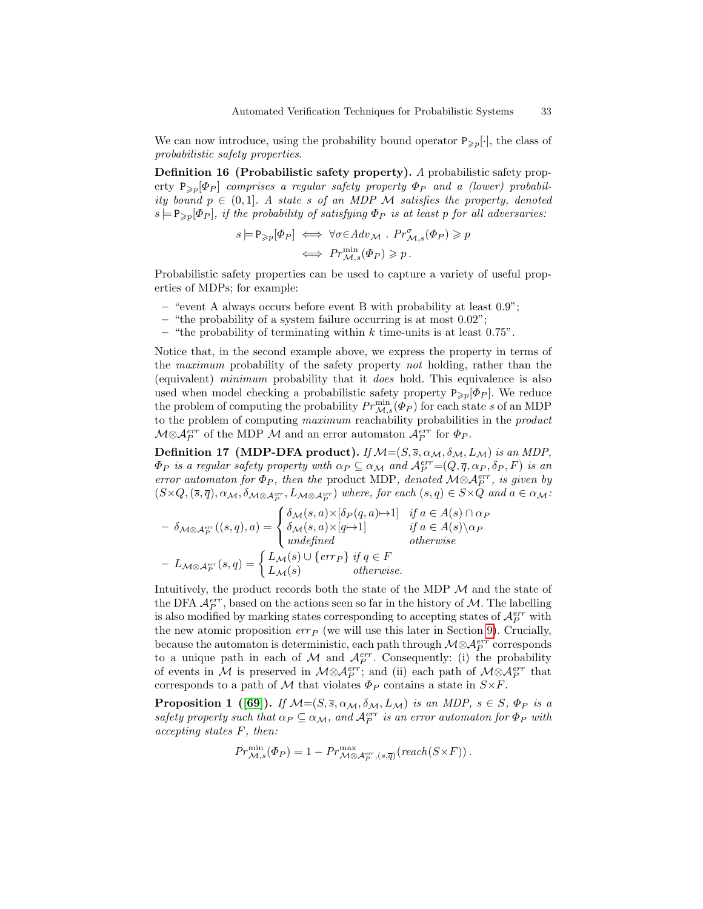We can now introduce, using the probability bound operator  $P_{\geq p}[\cdot]$ , the class of probabilistic safety properties.

Definition 16 (Probabilistic safety property). A probabilistic safety property  $P_{\geq p}[\Phi_P]$  comprises a regular safety property  $\Phi_P$  and a (lower) probability bound  $p \in (0,1]$ . A state s of an MDP M satisfies the property, denoted  $s = P_{\geq p}[\Phi_P]$ , if the probability of satisfying  $\Phi_P$  is at least p for all adversaries:

$$
s \models \mathbf{P}_{\geq p}[\Phi_P] \iff \forall \sigma \in Adv_{\mathcal{M}} \cdot Pr^{\sigma}_{\mathcal{M},s}(\Phi_P) \geq p
$$
  

$$
\iff Pr^{\min}_{\mathcal{M},s}(\Phi_P) \geq p.
$$

Probabilistic safety properties can be used to capture a variety of useful properties of MDPs; for example:

- $-$  "event A always occurs before event B with probability at least  $0.9$ ";
- "the probability of a system failure occurring is at most 0.02";
- "the probability of terminating within  $k$  time-units is at least  $0.75$ ".

Notice that, in the second example above, we express the property in terms of the maximum probability of the safety property not holding, rather than the (equivalent) minimum probability that it does hold. This equivalence is also used when model checking a probabilistic safety property  $P_{\geq p}[\Phi_P]$ . We reduce the problem of computing the probability  $Pr^{\min}_{\mathcal{M},s}(\Phi_P)$  for each state s of an MDP to the problem of computing *maximum* reachability probabilities in the *product*  $\mathcal{M} \otimes \mathcal{A}_{P}^{err}$  of the MDP  $\mathcal{M}$  and an error automaton  $\mathcal{A}_{P}^{err}$  for  $\Phi_{P}$ .

Definition 17 (MDP-DFA product). If  $M=(S,\overline{s},\alpha_{\mathcal{M}},\delta_{\mathcal{M}},L_{\mathcal{M}})$  is an MDP,  $\Phi_P$  is a regular safety property with  $\alpha_P \subseteq \alpha_{\mathcal{M}}$  and  $\mathcal{A}_P^{err} = (Q, \overline{q}, \alpha_P, \delta_P, F)$  is an error automaton for  $\Phi_P$ , then the product MDP, denoted  $\mathcal{M} \otimes \mathcal{A}_P^{err}$ , is given by  $(S\times Q, (\overline{s}, \overline{q}), \alpha_{\mathcal{M}}, \delta_{\mathcal{M}\otimes \mathcal{A}_P^{\rm err}}, L_{\mathcal{M}\otimes \mathcal{A}_P^{\rm err}})$  where, for each  $(s,q)\in S\times Q$  and  $a\in \alpha_{\mathcal{M}}$ :

$$
- \delta_{\mathcal{M}\otimes\mathcal{A}_P^{err}}((s,q),a) = \begin{cases} \delta_{\mathcal{M}}(s,a) \times [\delta_P(q,a) \to 1] & \text{if } a \in A(s) \cap \alpha_P \\ \delta_{\mathcal{M}}(s,a) \times [q \to 1] & \text{if } a \in A(s) \backslash \alpha_P \\ \text{undefined} & \text{otherwise} \end{cases}
$$

$$
- L_{\mathcal{M}\otimes\mathcal{A}_P^{err}}(s,q) = \begin{cases} L_{\mathcal{M}}(s) \cup \{ \text{err}_P \} & \text{if } q \in F \\ L_{\mathcal{M}}(s) & \text{otherwise.} \end{cases}
$$

Intuitively, the product records both the state of the MDP  $\mathcal M$  and the state of the DFA  $\mathcal{A}_P^{err}$ , based on the actions seen so far in the history of  $\mathcal{M}$ . The labelling is also modified by marking states corresponding to accepting states of  $\mathcal{A}_{P}^{err}$  with the new atomic proposition  $err_P$  (we will use this later in Section [9\)](#page-43-0). Crucially, because the automaton is deterministic, each path through  $\mathcal{M} \otimes \mathcal{A}_{P}^{err}$  corresponds to a unique path in each of  $\mathcal M$  and  $\mathcal{A}_P^{err}$ . Consequently: (i) the probability of events in M is preserved in  $\mathcal{M} \otimes \mathcal{A}_{P}^{err}$ ; and (ii) each path of  $\mathcal{M} \otimes \mathcal{A}_{P}^{err}$  that corresponds to a path of M that violates  $\Phi_P$  contains a state in  $S \times F$ .

**Proposition 1** ([\[69\]](#page-58-5)). If  $M=(S,\overline{s},\alpha_{\mathcal{M}},\delta_{\mathcal{M}},L_{\mathcal{M}})$  is an MDP,  $s \in S$ ,  $\Phi_P$  is a safety property such that  $\alpha_P \subseteq \alpha_{\mathcal{M}}$ , and  $\mathcal{A}_P^{err}$  is an error automaton for  $\Phi_P$  with accepting states F, then:

<span id="page-32-0"></span>
$$
Pr^{\min}_{\mathcal{M},s}(\Phi_P) = 1 - Pr^{\max}_{\mathcal{M} \otimes \mathcal{A}_P^{err},(s,\overline{q})}(reach(S \times F)).
$$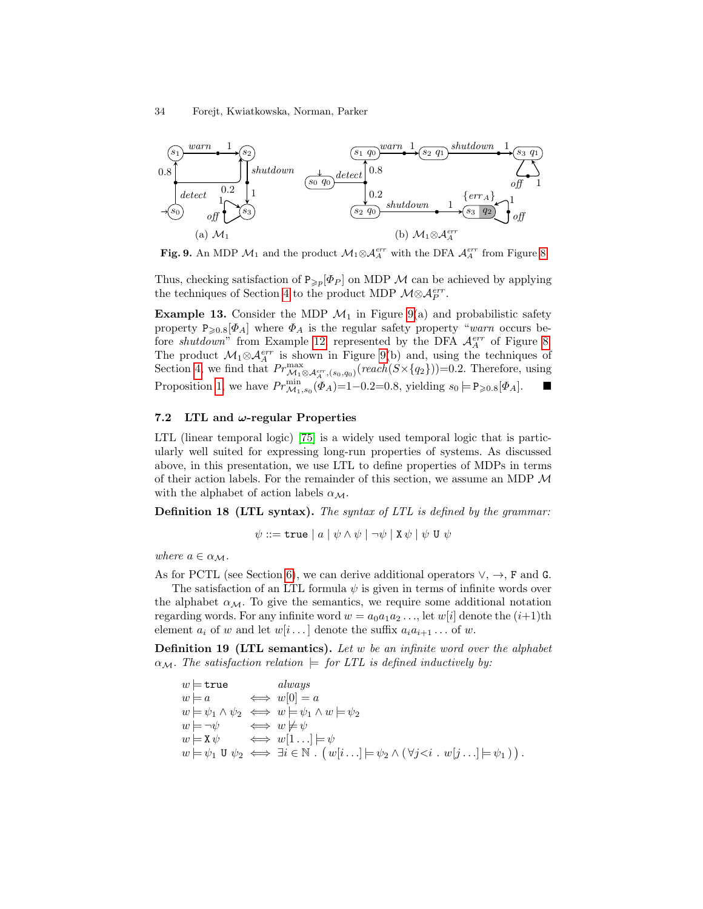

<span id="page-33-1"></span>Fig. 9. An MDP  $\mathcal{M}_1$  and the product  $\mathcal{M}_1 \otimes \mathcal{A}_A^{err}$  with the DFA  $\mathcal{A}_A^{err}$  from Figure [8](#page-31-1)

Thus, checking satisfaction of  $P_{\geq p}[\Phi_P]$  on MDP M can be achieved by applying the techniques of Section [4](#page-9-0) to the product MDP  $\mathcal{M} \otimes \mathcal{A}_P^{err}$ .

<span id="page-33-2"></span>**Example 13.** Consider the MDP  $\mathcal{M}_1$  in Figure [9\(](#page-33-1)a) and probabilistic safety property  $P_{\geq 0.8}[\Phi_A]$  where  $\Phi_A$  is the regular safety property "warn occurs be-fore shutdown" from Example [12,](#page-31-0) represented by the DFA  $\mathcal{A}_A^{err}$  of Figure [8.](#page-31-1) The product  $\mathcal{M}_1 \otimes \mathcal{A}_A^{err}$  is shown in Figure [9\(](#page-33-1)b) and, using the techniques of Section [4,](#page-9-0) we find that  $Pr_{\mathcal{M}_1 \otimes \mathcal{A}_{A}^{err}, (s_0, q_0)}^{max}(reach(S \times \{q_2\}))=0.2$ . Therefore, using Proposition [1,](#page-32-0) we have  $Pr_{\mathcal{M}_1,s_0}^{\min}(\Phi_A)=1-0.2=0.8$ , yielding  $s_0 \models \mathbb{P}_{\geqslant 0.8}[\Phi_A]$ .

#### <span id="page-33-0"></span>7.2 LTL and  $\omega$ -regular Properties

LTL (linear temporal logic) [\[75\]](#page-59-9) is a widely used temporal logic that is particularly well suited for expressing long-run properties of systems. As discussed above, in this presentation, we use LTL to define properties of MDPs in terms of their action labels. For the remainder of this section, we assume an MDP  $\mathcal M$ with the alphabet of action labels  $\alpha_{\mathcal{M}}$ .

Definition 18 (LTL syntax). The syntax of LTL is defined by the grammar:

$$
\psi ::= \mathtt{true} \mid a \mid \psi \wedge \psi \mid \neg \psi \mid \mathtt{X} \psi \mid \psi \mathtt{U} \psi
$$

where  $a \in \alpha_{\mathcal{M}}$ .

As for PCTL (see Section [6\)](#page-24-0), we can derive additional operators  $\vee$ ,  $\rightarrow$ , F and G.

The satisfaction of an LTL formula  $\psi$  is given in terms of infinite words over the alphabet  $\alpha_{\mathcal{M}}$ . To give the semantics, we require some additional notation regarding words. For any infinite word  $w = a_0a_1a_2...$ , let  $w[i]$  denote the  $(i+1)$ th element  $a_i$  of w and let  $w[i \dots]$  denote the suffix  $a_i a_{i+1} \dots$  of w.

Definition 19 (LTL semantics). Let w be an infinite word over the alphabet  $\alpha_{\mathcal{M}}$ . The satisfaction relation  $\models$  for LTL is defined inductively by:

```
w \modelstrue always
w \models a \qquad \iff w[0] = aw \models \psi_1 \land \psi_2 \iff w \models \psi_1 \land w \models \psi_2w \models \neg \psi \iff w \not\models \psiw \models \mathbf{X} \psi \qquad \Longleftrightarrow w[1 \dots] \models \psiw \models \psi_1 \,\,\mathsf{U} \,\,\psi_2 \iff \exists i \in \mathbb{N} \ . \ \big(\,w[i \ldots] \models \psi_2 \land (\forall j \lt i \ . \ \,w[j \ldots] \models \psi_1 \,) \,\big) \,.
```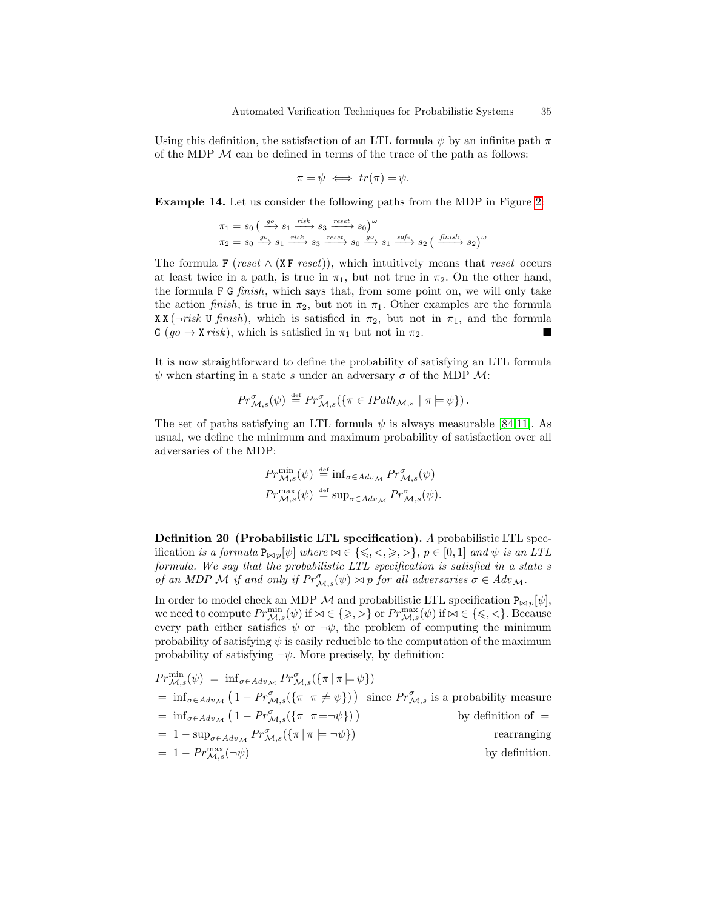Using this definition, the satisfaction of an LTL formula  $\psi$  by an infinite path  $\pi$ of the MDP  $\mathcal M$  can be defined in terms of the trace of the path as follows:

$$
\pi \models \psi \iff tr(\pi) \models \psi.
$$

Example 14. Let us consider the following paths from the MDP in Figure [2:](#page-5-0)

$$
\pi_1 = s_0 \left( \xrightarrow{go} s_1 \xrightarrow{risk} s_3 \xrightarrow{rest} s_0 \right) \omega
$$
  
\n
$$
\pi_2 = s_0 \xrightarrow{go} s_1 \xrightarrow{risk} s_3 \xrightarrow{reset} s_0 \xrightarrow{go} s_1 \xrightarrow{safe} s_2 \left( \xrightarrow{finish} s_2 \right) \omega
$$

The formula F (reset  $\wedge$  (XF reset)), which intuitively means that reset occurs at least twice in a path, is true in  $\pi_1$ , but not true in  $\pi_2$ . On the other hand, the formula F G finish, which says that, from some point on, we will only take the action finish, is true in  $\pi_2$ , but not in  $\pi_1$ . Other examples are the formula **XX** ( $\neg$ *risk* U *finish*), which is satisfied in  $\pi_2$ , but not in  $\pi_1$ , and the formula  $G (go \rightarrow X risk)$ , which is satisfied in  $\pi_1$  but not in  $\pi_2$ .

It is now straightforward to define the probability of satisfying an LTL formula  $\psi$  when starting in a state s under an adversary  $\sigma$  of the MDP M:

$$
Pr^{\sigma}_{\mathcal{M},s}(\psi) \stackrel{\text{def}}{=} Pr^{\sigma}_{\mathcal{M},s}(\{\pi \in IPath_{\mathcal{M},s} \mid \pi \models \psi\}).
$$

The set of paths satisfying an LTL formula  $\psi$  is always measurable [\[84](#page-59-6)[,11\]](#page-55-0). As usual, we define the minimum and maximum probability of satisfaction over all adversaries of the MDP:

$$
Pr_{\mathcal{M},s}^{\min}(\psi) \stackrel{\text{def}}{=} \inf_{\sigma \in Adv_{\mathcal{M}}} Pr_{\mathcal{M},s}^{\sigma}(\psi)
$$

$$
Pr_{\mathcal{M},s}^{\max}(\psi) \stackrel{\text{def}}{=} \sup_{\sigma \in Adv_{\mathcal{M}}} Pr_{\mathcal{M},s}^{\sigma}(\psi).
$$

<span id="page-34-0"></span>Definition 20 (Probabilistic LTL specification). A probabilistic LTL specification is a formula  $P_{\bowtie p}[\psi]$  where  $\bowtie \in \{\leq, <, \geq, >\}, p \in [0, 1]$  and  $\psi$  is an LTL formula. We say that the probabilistic LTL specification is satisfied in a state s of an MDP M if and only if  $Pr^{\sigma}_{\mathcal{M},s}(\psi) \bowtie p$  for all adversaries  $\sigma \in Adv_{\mathcal{M}}$ .

In order to model check an MDP M and probabilistic LTL specification  $P_{\bowtie p}[\psi],$ we need to compute  $Pr_{\mathcal{M},s}^{\min}(\psi)$  if  $\bowtie \in \{\geqslant,\geqslant\}$  or  $Pr_{\mathcal{M},s}^{\max}(\psi)$  if  $\bowtie \in \{\leqslant,\leqslant\}$ . Because every path either satisfies  $\psi$  or  $\neg \psi$ , the problem of computing the minimum probability of satisfying  $\psi$  is easily reducible to the computation of the maximum probability of satisfying  $\neg \psi$ . More precisely, by definition:

$$
Pr_{\mathcal{M},s}^{\min}(\psi) = \inf_{\sigma \in Adv_{\mathcal{M}}} Pr_{\mathcal{M},s}^{\sigma}(\{\pi \mid \pi \models \psi\})
$$
  
\n
$$
= \inf_{\sigma \in Adv_{\mathcal{M}}} (1 - Pr_{\mathcal{M},s}^{\sigma}(\{\pi \mid \pi \not\models \psi\})) \text{ since } Pr_{\mathcal{M},s}^{\sigma} \text{ is a probability measure}
$$
  
\n
$$
= \inf_{\sigma \in Adv_{\mathcal{M}}} (1 - Pr_{\mathcal{M},s}^{\sigma}(\{\pi \mid \pi \models \neg \psi\})) \text{ by definition of } \models
$$
  
\n
$$
= 1 - \sup_{\sigma \in Adv_{\mathcal{M}}} Pr_{\mathcal{M},s}^{\sigma}(\{\pi \mid \pi \models \neg \psi\}) \text{ rearranging}
$$
  
\n
$$
= 1 - Pr_{\mathcal{M},s}^{\max}(\neg \psi) \text{ by definition.}
$$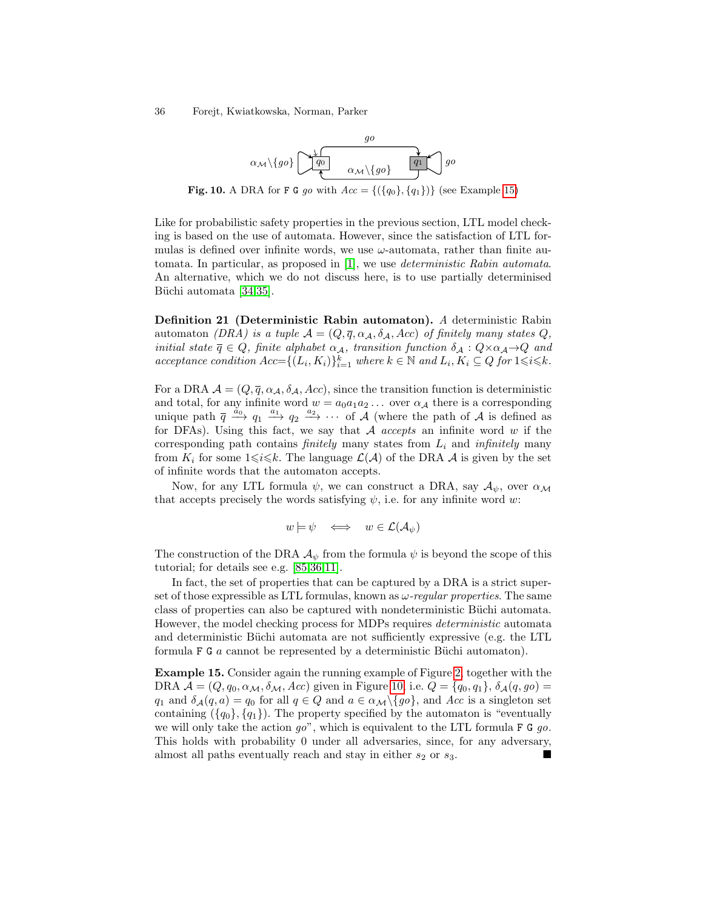

<span id="page-35-1"></span>**Fig. 10.** A DRA for **F G** go with  $Acc = \{\left(\{q_0\}, \{q_1\}\right)\}\$  (see Example [15\)](#page-35-0)

Like for probabilistic safety properties in the previous section, LTL model checking is based on the use of automata. However, since the satisfaction of LTL formulas is defined over infinite words, we use  $\omega$ -automata, rather than finite automata. In particular, as proposed in [\[1\]](#page-54-0), we use deterministic Rabin automata. An alternative, which we do not discuss here, is to use partially determinised Büchi automata [\[34](#page-56-0)[,35\]](#page-56-1).

Definition 21 (Deterministic Rabin automaton). A deterministic Rabin automaton (DRA) is a tuple  $A = (Q, \overline{q}, \alpha_{\mathcal{A}}, \delta_{\mathcal{A}}, Acc)$  of finitely many states Q, initial state  $\overline{q} \in Q$ , finite alphabet  $\alpha_{\mathcal{A}}$ , transition function  $\delta_{\mathcal{A}} : Q \times \alpha_{\mathcal{A}} \rightarrow Q$  and acceptance condition  $Acc = \{(L_i, K_i)\}_{i=1}^k$  where  $k \in \mathbb{N}$  and  $L_i, K_i \subseteq Q$  for  $1 \leq i \leq k$ .

For a DRA  $A = (Q, \overline{q}, \alpha_A, \delta_A, Acc)$ , since the transition function is deterministic and total, for any infinite word  $w = a_0 a_1 a_2 \dots$  over  $\alpha_A$  there is a corresponding unique path  $\overline{q} \xrightarrow{\tilde{a}_0} q_1 \xrightarrow{a_1} q_2 \xrightarrow{a_2} \cdots$  of  $\overline{\mathcal{A}}$  (where the path of  $\overline{\mathcal{A}}$  is defined as for DFAs). Using this fact, we say that  $A$  accepts an infinite word  $w$  if the corresponding path contains *finitely* many states from  $L_i$  and *infinitely* many from  $K_i$  for some  $1 \leq i \leq k$ . The language  $\mathcal{L}(\mathcal{A})$  of the DRA  $\mathcal{A}$  is given by the set of infinite words that the automaton accepts.

Now, for any LTL formula  $\psi$ , we can construct a DRA, say  $\mathcal{A}_{\psi}$ , over  $\alpha_{\mathcal{M}}$ that accepts precisely the words satisfying  $\psi$ , i.e. for any infinite word w:

$$
w \models \psi \iff w \in \mathcal{L}(\mathcal{A}_{\psi})
$$

The construction of the DRA  $\mathcal{A}_{\psi}$  from the formula  $\psi$  is beyond the scope of this tutorial; for details see e.g. [\[85](#page-59-10)[,36,](#page-56-5)[11\]](#page-55-0).

In fact, the set of properties that can be captured by a DRA is a strict superset of those expressible as LTL formulas, known as  $\omega$ -regular properties. The same class of properties can also be captured with nondeterministic Büchi automata. However, the model checking process for MDPs requires deterministic automata and deterministic Büchi automata are not sufficiently expressive (e.g. the LTL formula  $F G a$  cannot be represented by a deterministic Büchi automaton).

<span id="page-35-0"></span>Example 15. Consider again the running example of Figure [2,](#page-5-0) together with the DRA  $\mathcal{A} = (Q, q_0, \alpha_{\mathcal{M}}, \delta_{\mathcal{M}}, Acc)$  given in Figure [10,](#page-35-1) i.e.  $Q = \{q_0, q_1\}, \delta_{\mathcal{A}}(q, go) =$  $q_1$  and  $\delta_{\mathcal{A}}(q, a) = q_0$  for all  $q \in Q$  and  $a \in \alpha_{\mathcal{M}} \setminus \{go\}$ , and Acc is a singleton set containing  $({q_0}, {q_1})$ . The property specified by the automaton is "eventually we will only take the action  $go$ ", which is equivalent to the LTL formula **F G**  $go$ . This holds with probability 0 under all adversaries, since, for any adversary, almost all paths eventually reach and stay in either  $s_2$  or  $s_3$ .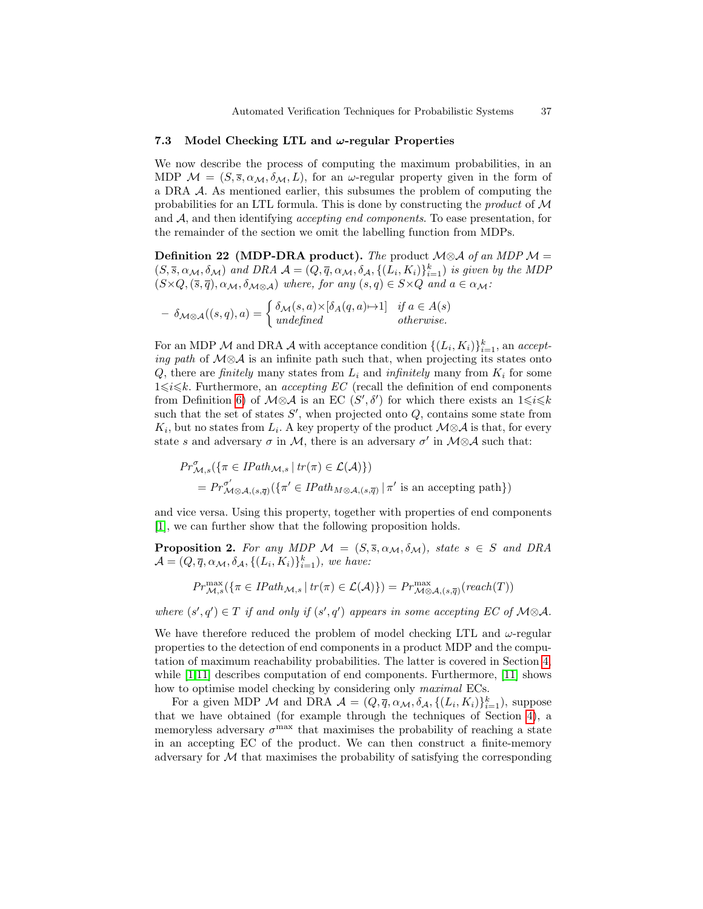#### 7.3 Model Checking LTL and  $\omega$ -regular Properties

We now describe the process of computing the maximum probabilities, in an MDP  $\mathcal{M} = (S, \bar{s}, \alpha_{\mathcal{M}}, \delta_{\mathcal{M}}, L)$ , for an  $\omega$ -regular property given in the form of a DRA A. As mentioned earlier, this subsumes the problem of computing the probabilities for an LTL formula. This is done by constructing the *product* of  $\mathcal M$ and  $A$ , and then identifying *accepting end components*. To ease presentation, for the remainder of the section we omit the labelling function from MDPs.

**Definition 22 (MDP-DRA product).** The product  $\mathcal{M} \otimes \mathcal{A}$  of an MDP  $\mathcal{M} =$  $(S, \overline{s}, \alpha_{\mathcal{M}}, \delta_{\mathcal{M}})$  and DRA  $\mathcal{A} = (Q, \overline{q}, \alpha_{\mathcal{M}}, \delta_{\mathcal{A}}, \{(L_i, K_i)\}_{i=1}^k)$  is given by the MDP  $(S\times Q, (\overline{s}, \overline{q}), \alpha_{\mathcal{M}}, \delta_{\mathcal{M}\otimes \mathcal{A}})$  where, for any  $(s, q) \in S \times Q$  and  $a \in \alpha_{\mathcal{M}}$ :

$$
- \delta_{\mathcal{M}\otimes\mathcal{A}}((s,q),a) = \begin{cases} \delta_{\mathcal{M}}(s,a)\times[\delta_A(q,a)\mapsto 1] & \text{if } a \in A(s) \\ \text{undefined} & \text{otherwise.} \end{cases}
$$

For an MDP  $\mathcal M$  and DRA  $\mathcal A$  with acceptance condition  $\{(L_i, K_i)\}_{i=1}^k$ , an accepting path of M⊗A is an infinite path such that, when projecting its states onto Q, there are finitely many states from  $L_i$  and infinitely many from  $K_i$  for some  $1\leq i\leq k$ . Furthermore, an *accepting EC* (recall the definition of end components from Definition [6\)](#page-5-2) of  $\mathcal{M}\otimes\mathcal{A}$  is an EC  $(S',\delta')$  for which there exists an  $1\leqslant i\leqslant k$ such that the set of states  $S'$ , when projected onto  $Q$ , contains some state from  $K_i$ , but no states from  $L_i$ . A key property of the product  $\mathcal{M} \otimes \mathcal{A}$  is that, for every state s and adversary  $\sigma$  in M, there is an adversary  $\sigma'$  in M⊗A such that:

$$
Pr^{\sigma}_{\mathcal{M},s}(\{\pi \in IPath_{\mathcal{M},s} \mid tr(\pi) \in \mathcal{L}(\mathcal{A})\})
$$
  
= 
$$
Pr^{\sigma'}_{\mathcal{M}\otimes\mathcal{A},(s,\overline{q})}(\{\pi' \in IPath_{M\otimes\mathcal{A},(s,\overline{q})} \mid \pi' \text{ is an accepting path}\})
$$

and vice versa. Using this property, together with properties of end components [\[1\]](#page-54-0), we can further show that the following proposition holds.

**Proposition 2.** For any MDP  $M = (S, \overline{s}, \alpha_{M}, \delta_{M})$ , state  $s \in S$  and DRA  $\mathcal{A} = (Q, \overline{q}, \alpha_{\mathcal{M}}, \delta_{\mathcal{A}}, \{(L_i, K_i)\}_{i=1}^k)$ , we have:

<span id="page-36-0"></span>
$$
Pr_{\mathcal{M},s}^{\max}(\{\pi \in IPath_{\mathcal{M},s} \mid tr(\pi) \in \mathcal{L}(\mathcal{A})\}) = Pr_{\mathcal{M} \otimes \mathcal{A},(s,\overline{q})}^{\max}(reach(T))
$$

where  $(s', q') \in T$  if and only if  $(s', q')$  appears in some accepting EC of M $\otimes A$ .

We have therefore reduced the problem of model checking LTL and  $\omega$ -regular properties to the detection of end components in a product MDP and the computation of maximum reachability probabilities. The latter is covered in Section [4,](#page-9-0) while [\[1,](#page-54-0)[11\]](#page-55-0) describes computation of end components. Furthermore, [\[11\]](#page-55-0) shows how to optimise model checking by considering only *maximal* ECs.

For a given MDP M and DRA  $A = (Q, \overline{q}, \alpha_{\mathcal{M}}, \delta_{\mathcal{A}}, \{(L_i, K_i)\}_{i=1}^k)$ , suppose that we have obtained (for example through the techniques of Section [4\)](#page-9-0), a memoryless adversary  $\sigma^{\text{max}}$  that maximises the probability of reaching a state in an accepting EC of the product. We can then construct a finite-memory adversary for  $\mathcal M$  that maximises the probability of satisfying the corresponding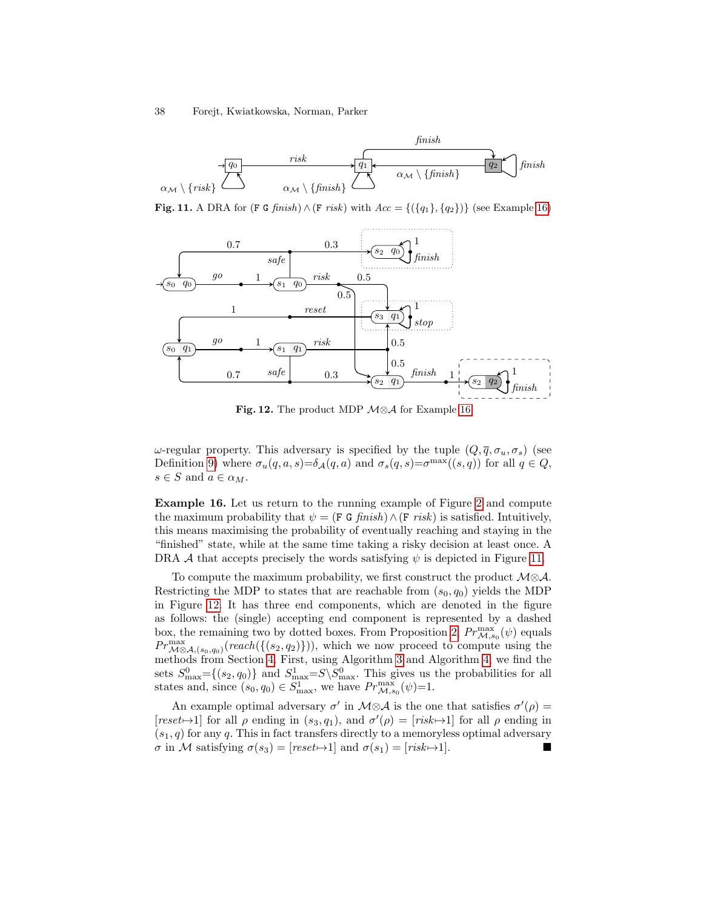

<span id="page-37-1"></span>**Fig. 11.** A DRA for (**F** G finish)  $\wedge$  (**F** risk) with  $Acc = \{ (\{q_1\}, \{q_2\}) \}$  (see Example [16\)](#page-37-0)



<span id="page-37-2"></span>Fig. 12. The product MDP M⊗A for Example [16](#page-37-0)

ω-regular property. This adversary is specified by the tuple  $(Q, \overline{q}, \sigma_u, \sigma_s)$  (see Definition [9\)](#page-6-0) where  $\sigma_u(q, a, s) = \delta_{\mathcal{A}}(q, a)$  and  $\sigma_s(q, s) = \sigma^{\max}((s, q))$  for all  $q \in Q$ ,  $s \in S$  and  $a \in \alpha_M$ .

<span id="page-37-0"></span>Example 16. Let us return to the running example of Figure [2](#page-5-0) and compute the maximum probability that  $\psi = (\mathbf{F} \mathbf{G} \text{ finish}) \wedge (\mathbf{F} \text{ risk})$  is satisfied. Intuitively, this means maximising the probability of eventually reaching and staying in the "finished" state, while at the same time taking a risky decision at least once. A DRA A that accepts precisely the words satisfying  $\psi$  is depicted in Figure [11.](#page-37-1)

To compute the maximum probability, we first construct the product M⊗A. Restricting the MDP to states that are reachable from  $(s_0, q_0)$  yields the MDP in Figure [12.](#page-37-2) It has three end components, which are denoted in the figure as follows: the (single) accepting end component is represented by a dashed box, the remaining two by dotted boxes. From Proposition [2,](#page-36-0)  $Pr_{\mathcal{M},s_0}^{\max}(\psi)$  equals  $Pr_{\mathcal{M}\otimes\mathcal{A},(s_0,q_0)}^{max}(reach(\{(s_2,q_2)\})),$  which we now proceed to compute using the methods from Section [4.](#page-9-0) First, using Algorithm [3](#page-12-1) and Algorithm [4,](#page-12-0) we find the sets  $S_{\text{max}}^0 = \{(s_2, q_0)\}\$  and  $S_{\text{max}}^1 = S \setminus S_{\text{max}}^0$ . This gives us the probabilities for all states and, since  $(s_0, q_0) \in S^1_{\text{max}}$ , we have  $Pr_{\mathcal{M}, s_0}^{\text{max}}(\psi) = 1$ .

An example optimal adversary  $\sigma'$  in  $\mathcal{M} \otimes \mathcal{A}$  is the one that satisfies  $\sigma'(\rho) =$ [ $reset \rightarrow 1$ ] for all  $\rho$  ending in  $(s_3, q_1)$ , and  $\sigma'(\rho) = [risk \rightarrow 1]$  for all  $\rho$  ending in  $(s_1, q)$  for any q. This in fact transfers directly to a memoryless optimal adversary  $\sigma$  in M satisfying  $\sigma(s_3) = [reset \rightarrow 1]$  and  $\sigma(s_1) = [risk \rightarrow 1]$ .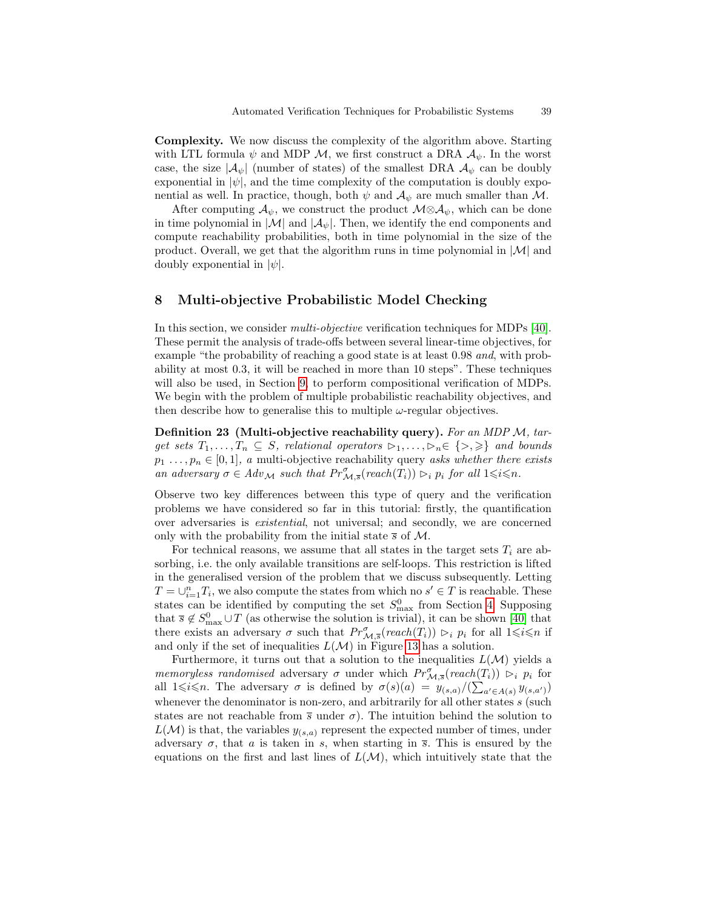Complexity. We now discuss the complexity of the algorithm above. Starting with LTL formula  $\psi$  and MDP M, we first construct a DRA  $\mathcal{A}_{\psi}$ . In the worst case, the size  $|\mathcal{A}_{\psi}|$  (number of states) of the smallest DRA  $\mathcal{A}_{\psi}$  can be doubly exponential in  $|\psi|$ , and the time complexity of the computation is doubly exponential as well. In practice, though, both  $\psi$  and  $\mathcal{A}_{\psi}$  are much smaller than M.

After computing  $\mathcal{A}_{\psi}$ , we construct the product  $\mathcal{M} \otimes \mathcal{A}_{\psi}$ , which can be done in time polynomial in  $|\mathcal{M}|$  and  $|\mathcal{A}_{\psi}|$ . Then, we identify the end components and compute reachability probabilities, both in time polynomial in the size of the product. Overall, we get that the algorithm runs in time polynomial in  $|\mathcal{M}|$  and doubly exponential in  $|\psi|$ .

## <span id="page-38-0"></span>8 Multi-objective Probabilistic Model Checking

In this section, we consider multi-objective verification techniques for MDPs [\[40\]](#page-57-5). These permit the analysis of trade-offs between several linear-time objectives, for example "the probability of reaching a good state is at least 0.98 and, with probability at most 0.3, it will be reached in more than 10 steps". These techniques will also be used, in Section [9,](#page-43-0) to perform compositional verification of MDPs. We begin with the problem of multiple probabilistic reachability objectives, and then describe how to generalise this to multiple  $\omega$ -regular objectives.

Definition 23 (Multi-objective reachability query). For an MDP  $M$ , target sets  $T_1, \ldots, T_n \subseteq S$ , relational operators  $\triangleright_1, \ldots, \triangleright_n \in \{>, \geq\}$  and bounds  $p_1 \ldots, p_n \in [0,1],$  a multi-objective reachability query asks whether there exists an adversary  $\sigma \in Adv_{\mathcal{M}}$  such that  $Pr_{\mathcal{M}, \overline{s}}^{\sigma}(reach(T_i)) >_i p_i$  for all  $1 \leq i \leq n$ .

Observe two key differences between this type of query and the verification problems we have considered so far in this tutorial: firstly, the quantification over adversaries is existential, not universal; and secondly, we are concerned only with the probability from the initial state  $\bar{s}$  of M.

For technical reasons, we assume that all states in the target sets  $T_i$  are absorbing, i.e. the only available transitions are self-loops. This restriction is lifted in the generalised version of the problem that we discuss subsequently. Letting  $T = \bigcup_{i=1}^{n} T_i$ , we also compute the states from which no  $s' \in T$  is reachable. These states can be identified by computing the set  $S^0_{\text{max}}$  from Section [4.](#page-9-0) Supposing that  $\bar{s} \notin S^0_{\text{max}} \cup T$  (as otherwise the solution is trivial), it can be shown [\[40\]](#page-57-5) that there exists an adversary  $\sigma$  such that  $Pr^{\sigma}_{\mathcal{M},\bar{s}}(reach(T_i)) >_i p_i$  for all  $1 \leq i \leq n$  if and only if the set of inequalities  $L(\mathcal{M})$  in Figure [13](#page-39-0) has a solution.

Furthermore, it turns out that a solution to the inequalities  $L(\mathcal{M})$  yields a memoryless randomised adversary  $\sigma$  under which  $Pr_{\mathcal{M},\bar{s}}^{\sigma}(reach(T_i)) >i p_i$  for all  $1 \leq i \leq n$ . The adversary  $\sigma$  is defined by  $\sigma(s)(a) = y_{(s,a)}/(\sum_{a' \in A(s)} y_{(s,a')})$ whenever the denominator is non-zero, and arbitrarily for all other states s (such states are not reachable from  $\bar{s}$  under  $\sigma$ ). The intuition behind the solution to  $L(\mathcal{M})$  is that, the variables  $y_{(s,a)}$  represent the expected number of times, under adversary  $\sigma$ , that a is taken in s, when starting in  $\bar{s}$ . This is ensured by the equations on the first and last lines of  $L(\mathcal{M})$ , which intuitively state that the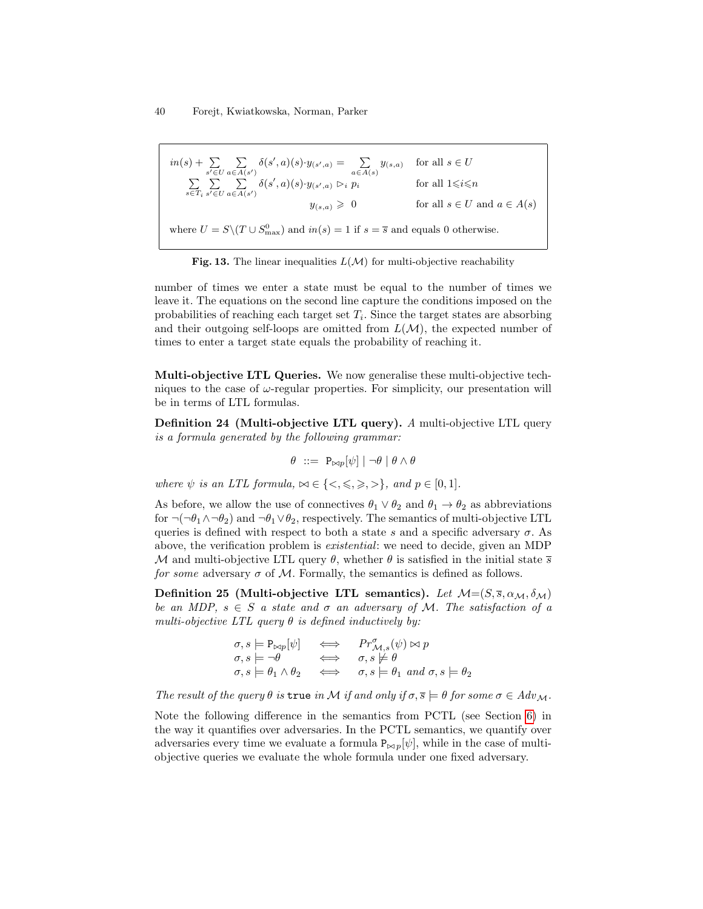$$
in(s) + \sum_{s' \in U} \sum_{a \in A(s')} \delta(s', a)(s) \cdot y_{(s', a)} = \sum_{a \in A(s)} y_{(s, a)} \quad \text{for all } s \in U
$$
  

$$
\sum_{s \in T_i} \sum_{s' \in U} \sum_{a \in A(s')} \delta(s', a)(s) \cdot y_{(s', a)} \rhd_i p_i \qquad \text{for all } 1 \le i \le n
$$
  

$$
y_{(s, a)} \ge 0 \qquad \text{for all } s \in U \text{ and } a \in A(s)
$$
  
where  $U = S \setminus (T \cup S_{\text{max}}^0)$  and  $in(s) = 1$  if  $s = \overline{s}$  and equals 0 otherwise.

<span id="page-39-0"></span>Fig. 13. The linear inequalities  $L(\mathcal{M})$  for multi-objective reachability

number of times we enter a state must be equal to the number of times we leave it. The equations on the second line capture the conditions imposed on the probabilities of reaching each target set  $T_i$ . Since the target states are absorbing and their outgoing self-loops are omitted from  $L(\mathcal{M})$ , the expected number of times to enter a target state equals the probability of reaching it.

Multi-objective LTL Queries. We now generalise these multi-objective techniques to the case of  $\omega$ -regular properties. For simplicity, our presentation will be in terms of LTL formulas.

Definition 24 (Multi-objective LTL query). A multi-objective LTL query is a formula generated by the following grammar:

<span id="page-39-1"></span>
$$
\theta \ ::= \ \mathbf{P}_{\bowtie p}[\psi] \mid \neg \theta \mid \theta \land \theta
$$

where  $\psi$  is an LTL formula,  $\bowtie \in \{<,\leqslant,\geqslant,>\}$ , and  $p \in [0, 1].$ 

As before, we allow the use of connectives  $\theta_1 \vee \theta_2$  and  $\theta_1 \rightarrow \theta_2$  as abbreviations for  $\neg(\neg \theta_1 \land \neg \theta_2)$  and  $\neg \theta_1 \lor \theta_2$ , respectively. The semantics of multi-objective LTL queries is defined with respect to both a state s and a specific adversary  $\sigma$ . As above, the verification problem is existential: we need to decide, given an MDP M and multi-objective LTL query  $\theta$ , whether  $\theta$  is satisfied in the initial state  $\bar{s}$ for some adversary  $\sigma$  of M. Formally, the semantics is defined as follows.

Definition 25 (Multi-objective LTL semantics). Let  $\mathcal{M} = (S, \overline{s}, \alpha_{\mathcal{M}}, \delta_{\mathcal{M}})$ be an MDP,  $s \in S$  a state and  $\sigma$  an adversary of M. The satisfaction of a multi-objective LTL query  $\theta$  is defined inductively by:

$$
\begin{array}{llll} \sigma, s \models \mathtt{P}_{\bowtie p}[\psi] & \iff & Pr^{\sigma}_{\mathcal{M},s}(\psi) \bowtie p \\ \sigma, s \models \neg \theta & \iff & \sigma, s \not\models \theta \\ \sigma, s \models \theta_1 \land \theta_2 & \iff & \sigma, s \models \theta_1 \text{ and } \sigma, s \models \theta_2 \end{array}
$$

The result of the query  $\theta$  is true in M if and only if  $\sigma, \overline{s} \models \theta$  for some  $\sigma \in Adv_M$ .

Note the following difference in the semantics from PCTL (see Section [6\)](#page-24-0) in the way it quantifies over adversaries. In the PCTL semantics, we quantify over adversaries every time we evaluate a formula  $P_{\bowtie p}[\psi]$ , while in the case of multiobjective queries we evaluate the whole formula under one fixed adversary.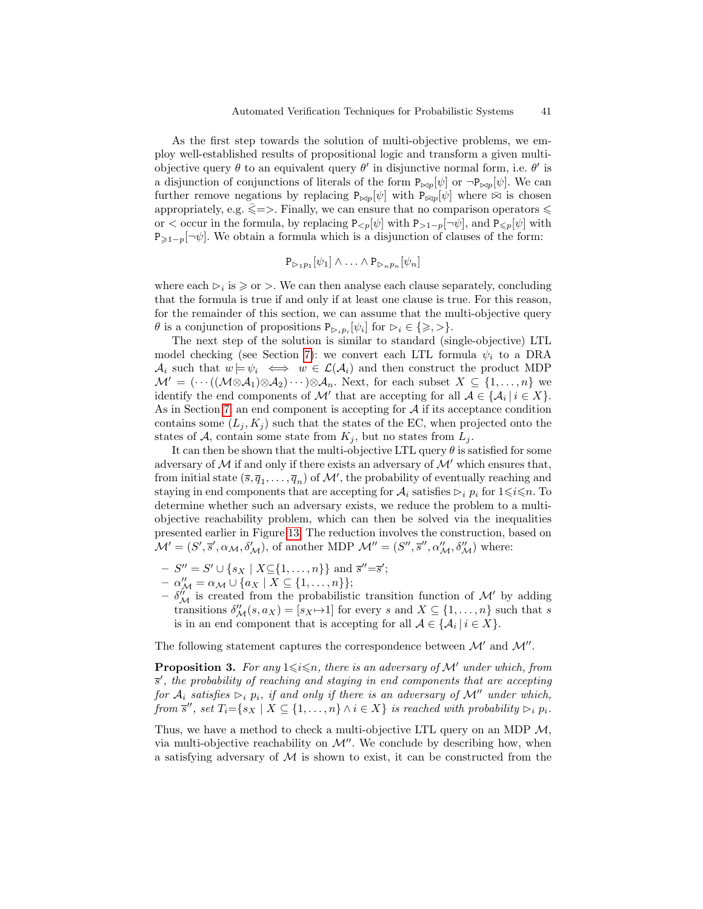As the first step towards the solution of multi-objective problems, we employ well-established results of propositional logic and transform a given multiobjective query  $\theta$  to an equivalent query  $\theta'$  in disjunctive normal form, i.e.  $\theta'$  is a disjunction of conjunctions of literals of the form  $P_{\bowtie p}[\psi]$  or  $\neg P_{\bowtie p}[\psi]$ . We can further remove negations by replacing  $P_{\bowtie p}[\psi]$  with  $P_{\bar{\bowtie} p}[\psi]$  where  $\bar{\bowtie}$  is chosen appropriately, e.g.  $\bar{\le}=\gt$ . Finally, we can ensure that no comparison operators  $\leq$ or  $\lt$  occur in the formula, by replacing  $P_{\lt p}[\psi]$  with  $P_{\gt 1-p}[\neg \psi]$ , and  $P_{\leq p}[\psi]$  with  $P_{\geq 1-p}[\neg \psi]$ . We obtain a formula which is a disjunction of clauses of the form:

$$
P_{\triangleright_1 p_1} [\psi_1] \wedge \ldots \wedge P_{\triangleright_n p_n} [\psi_n]
$$

where each  $\triangleright_i$  is  $\geq$  or  $\gt$ . We can then analyse each clause separately, concluding that the formula is true if and only if at least one clause is true. For this reason, for the remainder of this section, we can assume that the multi-objective query  $\theta$  is a conjunction of propositions  $P_{\triangleright_i p_i}[\psi_i]$  for  $\triangleright_i \in \{\geq, >\}.$ 

The next step of the solution is similar to standard (single-objective) LTL model checking (see Section [7\)](#page-30-0): we convert each LTL formula  $\psi_i$  to a DRA  $\mathcal{A}_i$  such that  $w \models \psi_i \iff w \in \mathcal{L}(\mathcal{A}_i)$  and then construct the product MDP  $\mathcal{M}' = (\cdots((\mathcal{M}\otimes\mathcal{A}_1)\otimes\mathcal{A}_2)\cdots)\otimes\mathcal{A}_n$ . Next, for each subset  $X \subseteq \{1,\ldots,n\}$  we identify the end components of  $\mathcal{M}'$  that are accepting for all  $\mathcal{A} \in \{ \mathcal{A}_i | i \in X \}.$ As in Section [7,](#page-30-0) an end component is accepting for  $A$  if its acceptance condition contains some  $(L_i, K_i)$  such that the states of the EC, when projected onto the states of A, contain some state from  $K_j$ , but no states from  $L_j$ .

It can then be shown that the multi-objective LTL query  $\theta$  is satisfied for some adversary of  $\mathcal M$  if and only if there exists an adversary of  $\mathcal M'$  which ensures that, from initial state  $(\bar{s}, \bar{q}_1, \ldots, \bar{q}_n)$  of  $\mathcal{M}'$ , the probability of eventually reaching and staying in end components that are accepting for  $A_i$  satisfies  $\triangleright_i p_i$  for  $1 \leq i \leq n$ . To determine whether such an adversary exists, we reduce the problem to a multiobjective reachability problem, which can then be solved via the inequalities presented earlier in Figure [13.](#page-39-0) The reduction involves the construction, based on  $\mathcal{M}' = (S', \bar{s}', \alpha_{\mathcal{M}}, \delta'_{\mathcal{M}})$ , of another MDP  $\mathcal{M}'' = (S'', \bar{s}'', \alpha''_{\mathcal{M}}, \delta''_{\mathcal{M}})$  where:

- $-S'' = S' \cup \{s_X \mid X \subseteq \{1, ..., n\}\}\$ and  $\overline{s}'' = \overline{s}'$ ;
- $\alpha''_{\mathcal{M}} = \alpha_{\mathcal{M}} \cup \{a_X \mid X \subseteq \{1, \ldots, n\}\};$
- $-\delta_{\mathcal{M}}^{ij}$  is created from the probabilistic transition function of  $\mathcal{M}'$  by adding transitions  $\delta''_{\mathcal{M}}(s,a_X) = [s_X \rightarrow 1]$  for every s and  $X \subseteq \{1,\ldots,n\}$  such that s is in an end component that is accepting for all  $A \in \{A_i | i \in X\}$ .

The following statement captures the correspondence between  $\mathcal{M}'$  and  $\mathcal{M}''$ .

**Proposition 3.** For any  $1 \le i \le n$ , there is an adversary of M' under which, from  $\bar{s}'$ , the probability of reaching and staying in end components that are accepting for  $A_i$  satisfies  $\triangleright_i$   $p_i$ , if and only if there is an adversary of M<sup>n</sup> under which, from  $\bar{s}''$ , set  $T_i = \{s_X \mid X \subseteq \{1, \ldots, n\} \land i \in X\}$  is reached with probability  $\triangleright_i p_i$ .

Thus, we have a method to check a multi-objective LTL query on an MDP  $\mathcal{M}$ , via multi-objective reachability on  $\mathcal{M}''$ . We conclude by describing how, when a satisfying adversary of  $M$  is shown to exist, it can be constructed from the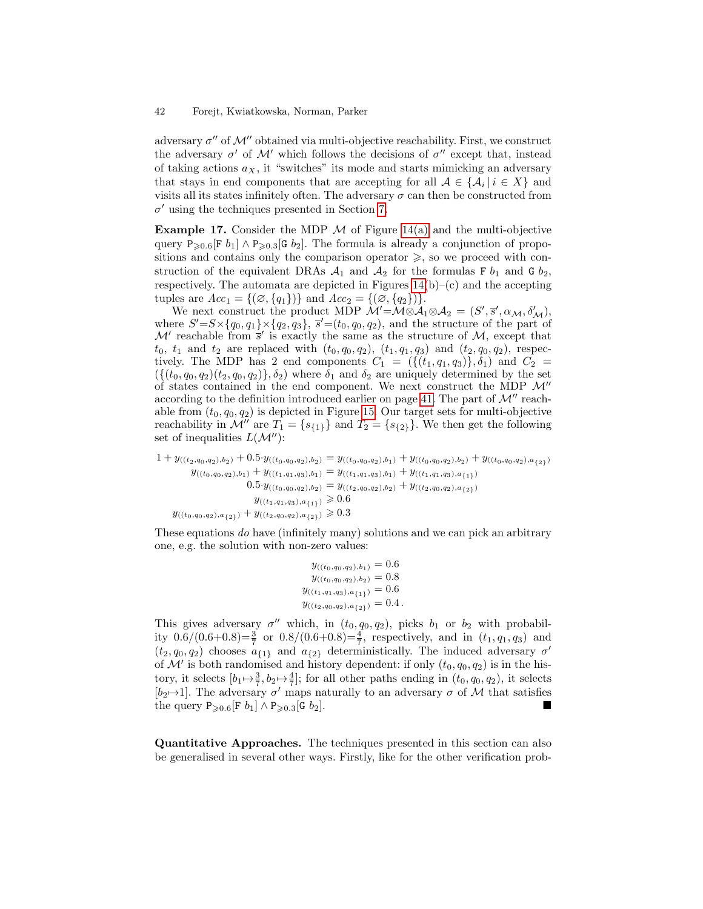adversary  $\sigma''$  of  $\mathcal{M}''$  obtained via multi-objective reachability. First, we construct the adversary  $\sigma'$  of  $\mathcal{M}'$  which follows the decisions of  $\sigma''$  except that, instead of taking actions  $a_X$ , it "switches" its mode and starts mimicking an adversary that stays in end components that are accepting for all  $A \in \{A_i | i \in X\}$  and visits all its states infinitely often. The adversary  $\sigma$  can then be constructed from  $\sigma'$  using the techniques presented in Section [7.](#page-30-0)

<span id="page-41-0"></span>**Example 17.** Consider the MDP  $\mathcal M$  of Figure [14\(a\)](#page-42-0) and the multi-objective query P<sub>>0.6</sub> [F  $b_1$ ]  $\wedge$  P<sub>>0.3</sub> [G  $b_2$ ]. The formula is already a conjunction of propositions and contains only the comparison operator  $\geq$ , so we proceed with construction of the equivalent DRAs  $A_1$  and  $A_2$  for the formulas F  $b_1$  and G  $b_2$ , respectively. The automata are depicted in Figures  $14(b)$ –(c) and the accepting tuples are  $Acc_1 = \{(\emptyset, \{q_1\})\}$  and  $Acc_2 = \{(\emptyset, \{q_2\})\}.$ 

We next construct the product MDP  $\mathcal{M}' = \mathcal{M} \otimes \mathcal{A}_1 \otimes \mathcal{A}_2 = (S', \bar{s}', \alpha_{\mathcal{M}}, \delta_{\mathcal{M}}'),$ where  $S' = S \times \{q_0, q_1\} \times \{q_2, q_3\}$ ,  $\overline{s}' = (t_0, q_0, q_2)$ , and the structure of the part of  $\mathcal{M}'$  reachable from  $\overline{s}'$  is exactly the same as the structure of  $\mathcal{M}$ , except that  $t_0$ ,  $t_1$  and  $t_2$  are replaced with  $(t_0, q_0, q_2)$ ,  $(t_1, q_1, q_3)$  and  $(t_2, q_0, q_2)$ , respectively. The MDP has 2 end components  $C_1 = (\{(t_1, q_1, q_3)\}, \delta_1)$  and  $C_2$  $({(t_0, q_0, q_2)(t_2, q_0, q_2)}, \delta_2)$  where  $\delta_1$  and  $\delta_2$  are uniquely determined by the set of states contained in the end component. We next construct the MDP  $\mathcal{M}''$ according to the definition introduced earlier on page [41.](#page-39-1) The part of  $\mathcal{M}$ <sup>"</sup> reachable from  $(t_0, q_0, q_2)$  is depicted in Figure [15.](#page-42-2) Our target sets for multi-objective reachability in  $\mathcal{M}''$  are  $T_1 = \{s_{\{1\}}\}$  and  $T_2 = \{s_{\{2\}}\}$ . We then get the following set of inequalities  $L(\mathcal{M}'')$ :

$$
1 + y_{((t_2,q_0,q_2),b_2)} + 0.5 \cdot y_{((t_0,q_0,q_2),b_2)} = y_{((t_0,q_0,q_2),b_1)} + y_{((t_0,q_0,q_2),b_2)} + y_{((t_0,q_0,q_2),a_{\{2\}})}
$$
  
\n
$$
y_{((t_0,q_0,q_2),b_1)} + y_{((t_1,q_1,q_3),b_1)} = y_{((t_1,q_1,q_3),b_1)} + y_{((t_1,q_1,q_3),a_{\{1\}})}
$$
  
\n
$$
0.5 \cdot y_{((t_0,q_0,q_2),b_2)} = y_{((t_2,q_0,q_2),b_2)} + y_{((t_2,q_0,q_2),a_{\{2\}})}
$$
  
\n
$$
y_{((t_1,q_1,q_3),a_{\{1\}})} \geq 0.6
$$
  
\n
$$
y_{((t_0,q_0,q_2),a_{\{2\}})} + y_{((t_2,q_0,q_2),a_{\{2\}})} \geq 0.3
$$

These equations do have (infinitely many) solutions and we can pick an arbitrary one, e.g. the solution with non-zero values:

$$
y_{((t_0,q_0,q_2),b_1)} = 0.6
$$
  
\n
$$
y_{((t_0,q_0,q_2),b_2)} = 0.8
$$
  
\n
$$
y_{((t_1,q_1,q_3),a_{\{1\}})} = 0.6
$$
  
\n
$$
y_{((t_2,q_0,q_2),a_{\{2\}})} = 0.4
$$

This gives adversary  $\sigma''$  which, in  $(t_0, q_0, q_2)$ , picks  $b_1$  or  $b_2$  with probability  $0.6/(0.6+0.8)=\frac{3}{7}$  or  $0.8/(0.6+0.8)=\frac{4}{7}$ , respectively, and in  $(t_1, q_1, q_3)$  and  $(t_2, q_0, q_2)$  chooses  $a_{\{1\}}$  and  $a_{\{2\}}$  deterministically. The induced adversary  $\sigma'$ of  $\mathcal{M}'$  is both randomised and history dependent: if only  $(t_0, q_0, q_2)$  is in the history, it selects  $[b_1 \mapsto \frac{3}{7}, b_2 \mapsto \frac{4}{7}]$ ; for all other paths ending in  $(t_0, q_0, q_2)$ , it selects  $[b_2 \rightarrow 1]$ . The adversary  $\sigma'$  maps naturally to an adversary  $\sigma$  of M that satisfies the query  $P_{\geq 0.6}$ [F  $b_1$ ]  $\wedge$   $P_{\geq 0.3}$ [G  $b_2$ ].

Quantitative Approaches. The techniques presented in this section can also be generalised in several other ways. Firstly, like for the other verification prob-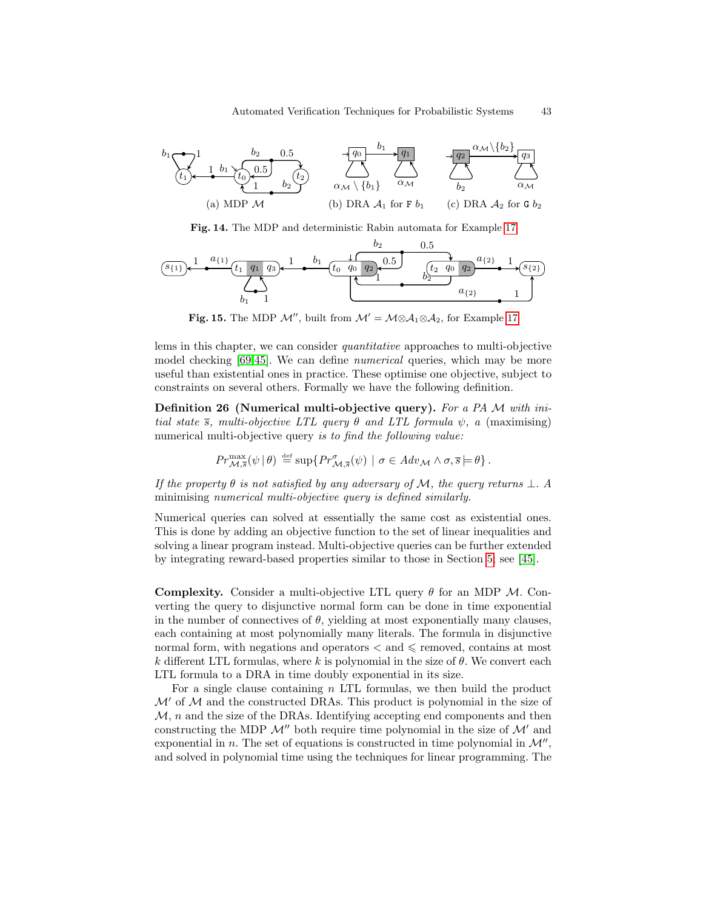<span id="page-42-0"></span>

<span id="page-42-1"></span>Fig. 14. The MDP and deterministic Rabin automata for Example [17](#page-41-0)

 $\mathbf{z}$ 

$$
\underbrace{\frac{b_2}{b_1}}_{b_1} \underbrace{a_{\{1\}}_{q_1} \underbrace{a_{\{1\}}_{q_2} \underbrace{a_{\{2\}}}_{q_1} + \cdots + \underbrace{b_1}_{q_1} \underbrace{b_2}_{q_2} \underbrace{0.5}_{q_2} \underbrace{0.5}_{q_2} \underbrace{a_{\{2\}}_{q_2} \underbrace{a_{\{2\}}}_{q_1} + \cdots + \underbrace{b_{\{2\}}}_{q_{\{2\}}}
$$

<span id="page-42-2"></span>Fig. 15. The MDP  $\mathcal{M}''$ , built from  $\mathcal{M}' = \mathcal{M} \otimes \mathcal{A}_1 \otimes \mathcal{A}_2$ , for Example [17](#page-41-0)

lems in this chapter, we can consider quantitative approaches to multi-objective model checking [\[69,](#page-58-5)[45\]](#page-57-6). We can define numerical queries, which may be more useful than existential ones in practice. These optimise one objective, subject to constraints on several others. Formally we have the following definition.

**Definition 26 (Numerical multi-objective query).** For a PA  $\mathcal M$  with initial state  $\bar{s}$ , multi-objective LTL query  $\theta$  and LTL formula  $\psi$ , a (maximising) numerical multi-objective query is to find the following value:

$$
Pr_{\mathcal{M},\overline{s}}^{\max}(\psi \,|\, \theta) \stackrel{\text{def}}{=} \sup \{ Pr_{\mathcal{M},\overline{s}}^{\sigma}(\psi) \mid \sigma \in Adv_{\mathcal{M}} \wedge \sigma, \overline{s} \models \theta \}.
$$

If the property  $\theta$  is not satisfied by any adversary of M, the query returns  $\perp$ . minimising numerical multi-objective query is defined similarly.

Numerical queries can solved at essentially the same cost as existential ones. This is done by adding an objective function to the set of linear inequalities and solving a linear program instead. Multi-objective queries can be further extended by integrating reward-based properties similar to those in Section [5;](#page-18-0) see [\[45\]](#page-57-6).

**Complexity.** Consider a multi-objective LTL query  $\theta$  for an MDP  $\mathcal{M}$ . Converting the query to disjunctive normal form can be done in time exponential in the number of connectives of  $\theta$ , yielding at most exponentially many clauses, each containing at most polynomially many literals. The formula in disjunctive normal form, with negations and operators  $\lt$  and  $\le$  removed, contains at most k different LTL formulas, where k is polynomial in the size of  $\theta$ . We convert each LTL formula to a DRA in time doubly exponential in its size.

For a single clause containing  $n$  LTL formulas, we then build the product  $\mathcal{M}'$  of  $\mathcal M$  and the constructed DRAs. This product is polynomial in the size of  $\mathcal{M}, n$  and the size of the DRAs. Identifying accepting end components and then constructing the MDP  $\mathcal{M}''$  both require time polynomial in the size of  $\mathcal{M}'$  and exponential in n. The set of equations is constructed in time polynomial in  $\mathcal{M}''$ , and solved in polynomial time using the techniques for linear programming. The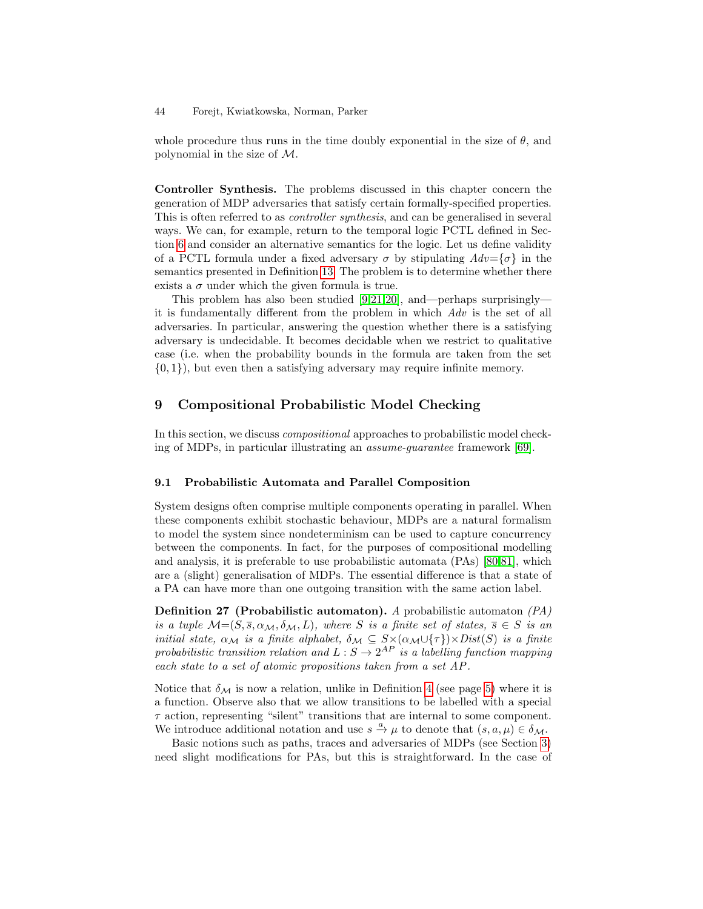whole procedure thus runs in the time doubly exponential in the size of  $\theta$ , and polynomial in the size of M.

Controller Synthesis. The problems discussed in this chapter concern the generation of MDP adversaries that satisfy certain formally-specified properties. This is often referred to as controller synthesis, and can be generalised in several ways. We can, for example, return to the temporal logic PCTL defined in Section [6](#page-24-0) and consider an alternative semantics for the logic. Let us define validity of a PCTL formula under a fixed adversary  $\sigma$  by stipulating  $Adv = {\sigma}$  in the semantics presented in Definition [13.](#page-24-1) The problem is to determine whether there exists a  $\sigma$  under which the given formula is true.

This problem has also been studied  $[9,21,20]$  $[9,21,20]$  $[9,21,20]$ , and—perhaps surprisingly it is fundamentally different from the problem in which Adv is the set of all adversaries. In particular, answering the question whether there is a satisfying adversary is undecidable. It becomes decidable when we restrict to qualitative case (i.e. when the probability bounds in the formula are taken from the set  $\{0, 1\}$ , but even then a satisfying adversary may require infinite memory.

## <span id="page-43-0"></span>9 Compositional Probabilistic Model Checking

In this section, we discuss compositional approaches to probabilistic model checking of MDPs, in particular illustrating an assume-guarantee framework [\[69\]](#page-58-5).

#### 9.1 Probabilistic Automata and Parallel Composition

System designs often comprise multiple components operating in parallel. When these components exhibit stochastic behaviour, MDPs are a natural formalism to model the system since nondeterminism can be used to capture concurrency between the components. In fact, for the purposes of compositional modelling and analysis, it is preferable to use probabilistic automata (PAs) [\[80,](#page-59-1)[81\]](#page-59-4), which are a (slight) generalisation of MDPs. The essential difference is that a state of a PA can have more than one outgoing transition with the same action label.

Definition 27 (Probabilistic automaton). A probabilistic automaton (PA) is a tuple  $\mathcal{M}=(S,\overline{s},\alpha_{\mathcal{M}},\delta_{\mathcal{M}},L)$ , where S is a finite set of states,  $\overline{s} \in S$  is an initial state,  $\alpha_{\mathcal{M}}$  is a finite alphabet,  $\delta_{\mathcal{M}} \subseteq S \times (\alpha_{\mathcal{M}} \cup {\tau}) \times Dist(S)$  is a finite probabilistic transition relation and  $L : S \to 2^{AP}$  is a labelling function mapping each state to a set of atomic propositions taken from a set AP .

Notice that  $\delta_{\mathcal{M}}$  is now a relation, unlike in Definition [4](#page-4-0) (see page [5\)](#page-4-0) where it is a function. Observe also that we allow transitions to be labelled with a special  $\tau$  action, representing "silent" transitions that are internal to some component. We introduce additional notation and use  $s \stackrel{a}{\rightarrow} \mu$  to denote that  $(s, a, \mu) \in \delta_{\mathcal{M}}$ .

Basic notions such as paths, traces and adversaries of MDPs (see Section [3\)](#page-3-0) need slight modifications for PAs, but this is straightforward. In the case of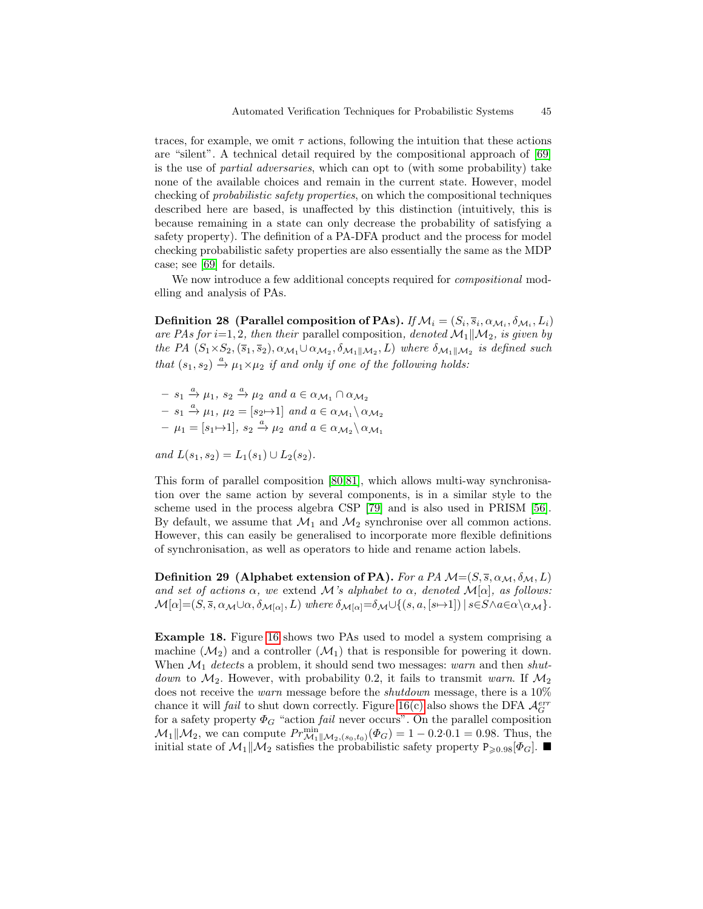traces, for example, we omit  $\tau$  actions, following the intuition that these actions are "silent". A technical detail required by the compositional approach of [\[69\]](#page-58-5) is the use of partial adversaries, which can opt to (with some probability) take none of the available choices and remain in the current state. However, model checking of probabilistic safety properties, on which the compositional techniques described here are based, is unaffected by this distinction (intuitively, this is because remaining in a state can only decrease the probability of satisfying a safety property). The definition of a PA-DFA product and the process for model checking probabilistic safety properties are also essentially the same as the MDP case; see [\[69\]](#page-58-5) for details.

We now introduce a few additional concepts required for *compositional* modelling and analysis of PAs.

Definition 28 (Parallel composition of PAs). If  $\mathcal{M}_i=(S_i,\overline{s}_i,\alpha_{\mathcal{M}_i},\delta_{\mathcal{M}_i},L_i)$ are PAs for  $i=1, 2$ , then their parallel composition, denoted  $\mathcal{M}_1 || \mathcal{M}_2$ , is given by the PA  $(S_1 \times S_2, (\bar{s}_1, \bar{s}_2), \alpha_{\mathcal{M}_1} \cup \alpha_{\mathcal{M}_2}, \delta_{\mathcal{M}_1 || \mathcal{M}_2}, L)$  where  $\delta_{\mathcal{M}_1 || \mathcal{M}_2}$  is defined such that  $(s_1, s_2) \stackrel{a}{\rightarrow} \mu_1 \times \mu_2$  if and only if one of the following holds:

 $- s_1 \xrightarrow{a} \mu_1, s_2 \xrightarrow{a} \mu_2 \text{ and } a \in \alpha_{\mathcal{M}_1} \cap \alpha_{\mathcal{M}_2}$  $- s_1 \xrightarrow{a} \mu_1, \mu_2 = [s_2 \mapsto 1]$  and  $a \in \alpha_{\mathcal{M}_1} \setminus \alpha_{\mathcal{M}_2}$  $- \mu_1 = [s_1 \mapsto 1], s_2 \xrightarrow{a} \mu_2 \text{ and } a \in \alpha_{\mathcal{M}_2} \backslash \alpha_{\mathcal{M}_1}$ 

and  $L(s_1, s_2) = L_1(s_1) \cup L_2(s_2)$ .

This form of parallel composition [\[80,](#page-59-1)[81\]](#page-59-4), which allows multi-way synchronisation over the same action by several components, is in a similar style to the scheme used in the process algebra CSP [\[79\]](#page-59-11) and is also used in PRISM [\[56\]](#page-57-0). By default, we assume that  $\mathcal{M}_1$  and  $\mathcal{M}_2$  synchronise over all common actions. However, this can easily be generalised to incorporate more flexible definitions of synchronisation, as well as operators to hide and rename action labels.

Definition 29 (Alphabet extension of PA). For a PA  $\mathcal{M} = (S, \overline{s}, \alpha_{\mathcal{M}}, \delta_{\mathcal{M}}, L)$ and set of actions  $\alpha$ , we extend M's alphabet to  $\alpha$ , denoted M[ $\alpha$ ], as follows:  $\mathcal{M}[\alpha]\!=\!(S,\overline{s},\alpha_{\mathcal{M}}\cup\alpha,\delta_{\mathcal{M}[\alpha]},L)$  where  $\delta_{\mathcal{M}[\alpha]}\!=\!\delta_{\mathcal{M}}\cup\{(s,a,[s\mapsto 1])|\ s\!\in\!S\wedge a\!\in\!\alpha\setminus\!\alpha_{\mathcal{M}}\}.$ 

<span id="page-44-0"></span>Example 18. Figure [16](#page-45-0) shows two PAs used to model a system comprising a machine  $(\mathcal{M}_2)$  and a controller  $(\mathcal{M}_1)$  that is responsible for powering it down. When  $\mathcal{M}_1$  detects a problem, it should send two messages: warn and then shut*down* to  $M_2$ . However, with probability 0.2, it fails to transmit warn. If  $M_2$ does not receive the *warn* message before the *shutdown* message, there is a  $10\%$ chance it will *fail* to shut down correctly. Figure [16\(c\)](#page-45-1) also shows the DFA  $\mathcal{A}_G^{err}$ for a safety property  $\Phi_G$  "action fail never occurs". On the parallel composition  $\mathcal{M}_1 \| \mathcal{M}_2$ , we can compute  $Pr_{\mathcal{M}_1 \| \mathcal{M}_2(s_0, t_0)}^{min}(\Phi_G) = 1 - 0.2 \cdot 0.1 = 0.98$ . Thus, the initial state of  $\mathcal{M}_1|\mathcal{M}_2$  satisfies the probabilistic safety property  $P_{\geq 0.98}[\Phi_G]$ .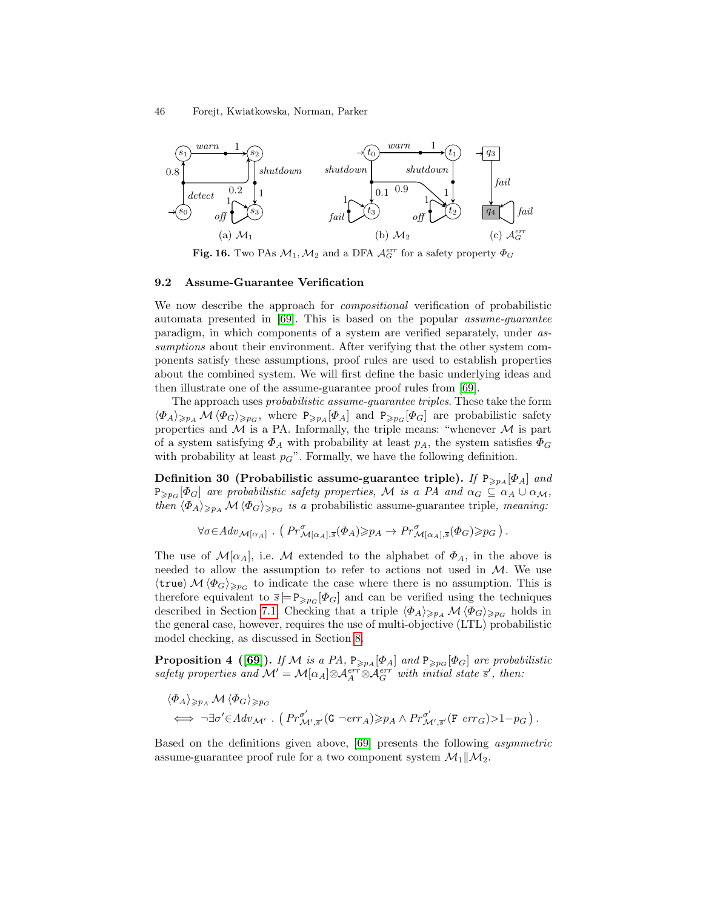

<span id="page-45-1"></span><span id="page-45-0"></span>Fig. 16. Two PAs  $\mathcal{M}_1$ ,  $\mathcal{M}_2$  and a DFA  $\mathcal{A}_G^{err}$  for a safety property  $\Phi_G$ 

#### 9.2 Assume-Guarantee Verification

We now describe the approach for *compositional* verification of probabilistic automata presented in [\[69\]](#page-58-5). This is based on the popular assume-guarantee paradigm, in which components of a system are verified separately, under assumptions about their environment. After verifying that the other system components satisfy these assumptions, proof rules are used to establish properties about the combined system. We will first define the basic underlying ideas and then illustrate one of the assume-guarantee proof rules from [\[69\]](#page-58-5).

The approach uses probabilistic assume-guarantee triples. These take the form  $\langle \Phi_A \rangle_{\geq p_A} \mathcal{M} \langle \Phi_G \rangle_{\geq p_G}$ , where  $P_{\geq p_A}[\Phi_A]$  and  $P_{\geq p_G}[\Phi_G]$  are probabilistic safety properties and  $M$  is a PA. Informally, the triple means: "whenever  $M$  is part of a system satisfying  $\Phi_A$  with probability at least  $p_A$ , the system satisfies  $\Phi_G$ with probability at least  $p<sub>G</sub>$ ". Formally, we have the following definition.

Definition 30 (Probabilistic assume-guarantee triple). If  $P_{\geqslant p_A}[\Phi_A]$  and  $P_{\geqslant p_G}[\Phi_G]$  are probabilistic safety properties, M is a PA and  $\alpha_G \subseteq \alpha_A \cup \alpha_M$ , then  $\langle \Phi_A \rangle_{\geq p_A} M \langle \Phi_G \rangle_{\geq p_G}$  is a probabilistic assume-guarantee triple, meaning:

<span id="page-45-2"></span>
$$
\forall \sigma \in Adv_{\mathcal{M}[\alpha_A]} \ . \ \left(\mathit{Pr}^{\sigma}_{\mathcal{M}[\alpha_A],\overline{s}}(\Phi_A) \geqslant p_A \rightarrow \mathit{Pr}^{\sigma}_{\mathcal{M}[\alpha_A],\overline{s}}(\Phi_G) \geqslant p_G\right).
$$

The use of  $\mathcal{M}[\alpha_A]$ , i.e. M extended to the alphabet of  $\Phi_A$ , in the above is needed to allow the assumption to refer to actions not used in  $M$ . We use  $\langle \text{true} \rangle \mathcal{M} \langle \Phi_G \rangle_{\geq p_G}$  to indicate the case where there is no assumption. This is therefore equivalent to  $\bar{s} \models P_{\geq p_G}[\Phi_G]$  and can be verified using the techniques described in Section [7.1.](#page-30-1) Checking that a triple  $\langle \Phi_A \rangle_{\geq p_A} \mathcal{M} \langle \Phi_G \rangle_{\geq p_G}$  holds in the general case, however, requires the use of multi-objective (LTL) probabilistic model checking, as discussed in Section [8.](#page-38-0)

**Proposition 4** ([\[69\]](#page-58-5)). If M is a PA,  $P_{\geq p_A}[\Phi_A]$  and  $P_{\geq p_G}[\Phi_G]$  are probabilistic safety properties and  $\mathcal{M}' = \mathcal{M}[\alpha_A] \otimes \mathcal{A}_A^{err} \otimes \mathcal{A}_G^{err}$  with initial state  $\bar{s}'$ , then:

<span id="page-45-3"></span>
$$
\langle \Phi_A \rangle_{\geqslant p_A} \mathcal{M} \langle \Phi_G \rangle_{\geqslant p_G} \n\Longleftrightarrow \neg \exists \sigma' \in Adv_{\mathcal{M}'} . \ (Pr^{\sigma'}_{\mathcal{M}', \overline{s}'}(G \neg err_A) \geqslant p_A \wedge Pr^{\sigma'}_{\mathcal{M}', \overline{s}'}(F \, err_G) > 1 - p_G).
$$

Based on the definitions given above, [\[69\]](#page-58-5) presents the following asymmetric assume-guarantee proof rule for a two component system  $\mathcal{M}_1 || \mathcal{M}_2$ .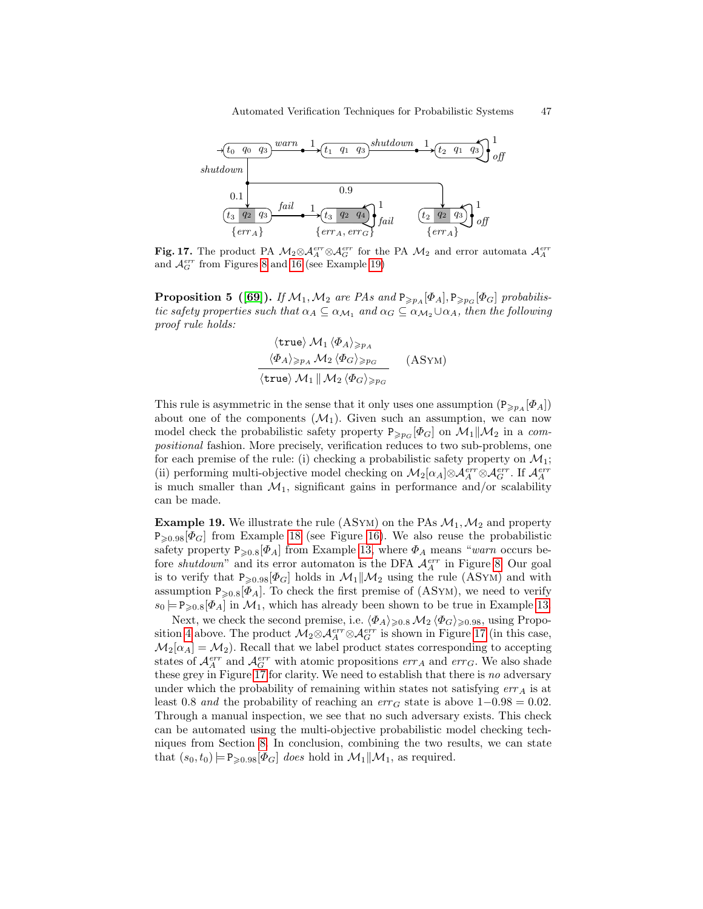

<span id="page-46-1"></span>Fig. 17. The product PA  $M_2 \otimes A^{err}_A \otimes A^{err}_G$  for the PA  $M_2$  and error automata  $\mathcal{A}^{err}_A$ and  $\mathcal{A}_G^{err}$  from Figures [8](#page-31-1) and [16](#page-45-0) (see Example [19\)](#page-46-0)

**Proposition 5** ([\[69\]](#page-58-5)). If  $\mathcal{M}_1, \mathcal{M}_2$  are PAs and  $P_{\geq p_A}[\Phi_A], P_{\geq p_G}[\Phi_G]$  probabilistic safety properties such that  $\alpha_A \subseteq \alpha_{M_1}$  and  $\alpha_G \subseteq \alpha_{M_2} \cup \alpha_A$ , then the following proof rule holds:

$$
\langle \text{true} \rangle \mathcal{M}_1 \langle \Phi_A \rangle_{\geqslant p_A} \n\langle \Phi_A \rangle_{\geqslant p_A} \mathcal{M}_2 \langle \Phi_G \rangle_{\geqslant p_G} \qquad \text{(ASYM)}
$$
\n
$$
\langle \text{true} \rangle \mathcal{M}_1 \|\mathcal{M}_2 \langle \Phi_G \rangle_{\geqslant p_G}
$$

This rule is asymmetric in the sense that it only uses one assumption  $(P_{\geq p_A}[\Phi_A])$ about one of the components  $(\mathcal{M}_1)$ . Given such an assumption, we can now model check the probabilistic safety property  $P_{\geqslant p_G}[\Phi_G]$  on  $\mathcal{M}_1||\mathcal{M}_2$  in a compositional fashion. More precisely, verification reduces to two sub-problems, one for each premise of the rule: (i) checking a probabilistic safety property on  $\mathcal{M}_1$ ; (ii) performing multi-objective model checking on  $M_2[\alpha_A] \otimes \mathcal{A}_A^{err} \otimes \mathcal{A}_G^{err}$ . If  $\mathcal{A}_A^{err}$ is much smaller than  $\mathcal{M}_1$ , significant gains in performance and/or scalability can be made.

<span id="page-46-0"></span>**Example 19.** We illustrate the rule (ASYM) on the PAs  $\mathcal{M}_1, \mathcal{M}_2$  and property  $P_{\geq 0.98}[\Phi_G]$  from Example [18](#page-44-0) (see Figure [16\)](#page-45-0). We also reuse the probabilistic safety property  $P_{\geq 0.8}[\Phi_A]$  from Example [13,](#page-33-2) where  $\Phi_A$  means "warn occurs before *shutdown*" and its error automaton is the DFA  $\mathcal{A}_{A}^{err}$  in Figure [8.](#page-31-1) Our goal is to verify that  $P_{\geq 0.98}[\Phi_G]$  holds in  $\mathcal{M}_1||\mathcal{M}_2$  using the rule (ASYM) and with assumption  $P_{\geq 0.8}[\Phi_A]$ . To check the first premise of (ASYM), we need to verify  $s_0 \models P_{\geqslant 0.8}[\Phi_A]$  in  $\mathcal{M}_1$ , which has already been shown to be true in Example [13.](#page-33-2)

Next, we check the second premise, i.e.  $\langle \Phi_A \rangle_{\geqslant 0.8} \mathcal{M}_2 \langle \Phi_G \rangle_{\geqslant 0.98}$ , using Propo-sition [4](#page-45-2) above. The product  $\mathcal{M}_2 \otimes \mathcal{A}_A^{err} \otimes \mathcal{A}_G^{err}$  is shown in Figure [17](#page-46-1) (in this case,  $\mathcal{M}_2[\alpha_A] = \mathcal{M}_2$ . Recall that we label product states corresponding to accepting states of  $\mathcal{A}_A^{err}$  and  $\mathcal{A}_G^{err}$  with atomic propositions  $err_A$  and  $err_G$ . We also shade these grey in Figure [17](#page-46-1) for clarity. We need to establish that there is no adversary under which the probability of remaining within states not satisfying  $err_A$  is at least 0.8 and the probability of reaching an  $err_G$  state is above  $1-0.98 = 0.02$ . Through a manual inspection, we see that no such adversary exists. This check can be automated using the multi-objective probabilistic model checking techniques from Section [8.](#page-38-0) In conclusion, combining the two results, we can state that  $(s_0, t_0)$   $\models$  P<sub> $\geq 0.98[\Phi_G]$ </sub> does hold in  $\mathcal{M}_1 || \mathcal{M}_1$ , as required.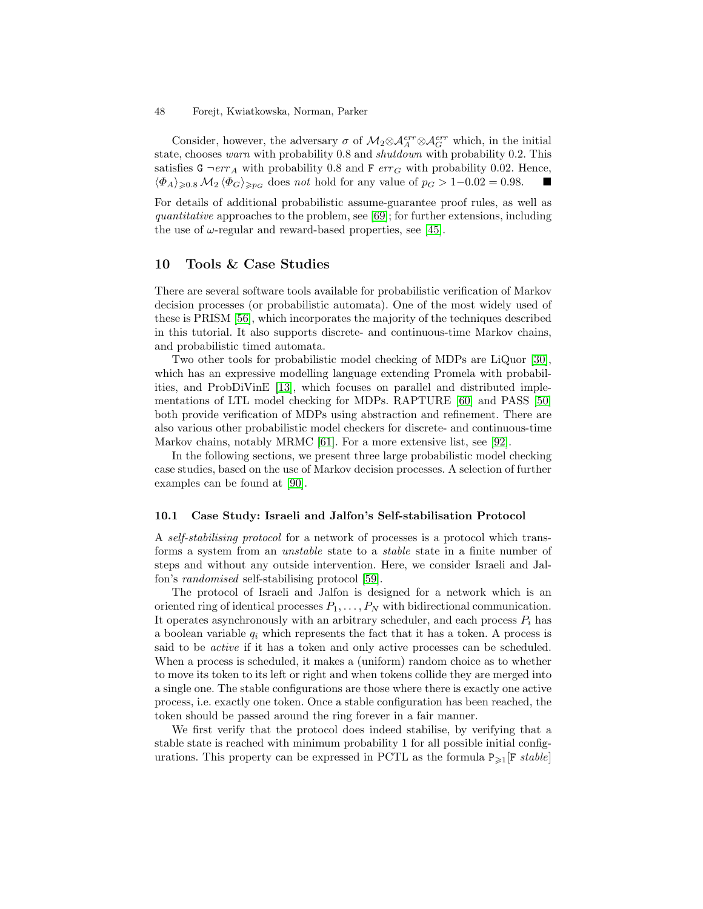Consider, however, the adversary  $\sigma$  of  $M_2 \otimes \mathcal{A}_A^{err} \otimes \mathcal{A}_G^{err}$  which, in the initial state, chooses warn with probability 0.8 and shutdown with probability 0.2. This satisfies  $G \nightharpoonup err_A$  with probability 0.8 and F  $err_G$  with probability 0.02. Hence,  $\langle \Phi_A \rangle_{\geqslant 0.8}$   $\mathcal{M}_2 \langle \Phi_G \rangle_{\geqslant p_G}$  does not hold for any value of  $p_G > 1-0.02 = 0.98$ .

For details of additional probabilistic assume-guarantee proof rules, as well as quantitative approaches to the problem, see [\[69\]](#page-58-5); for further extensions, including the use of  $\omega$ -regular and reward-based properties, see [\[45\]](#page-57-6).

## <span id="page-47-0"></span>10 Tools & Case Studies

There are several software tools available for probabilistic verification of Markov decision processes (or probabilistic automata). One of the most widely used of these is PRISM [\[56\]](#page-57-0), which incorporates the majority of the techniques described in this tutorial. It also supports discrete- and continuous-time Markov chains, and probabilistic timed automata.

Two other tools for probabilistic model checking of MDPs are LiQuor [\[30\]](#page-56-6), which has an expressive modelling language extending Promela with probabilities, and ProbDiVinE [\[13\]](#page-55-12), which focuses on parallel and distributed implementations of LTL model checking for MDPs. RAPTURE [\[60\]](#page-58-6) and PASS [\[50\]](#page-57-7) both provide verification of MDPs using abstraction and refinement. There are also various other probabilistic model checkers for discrete- and continuous-time Markov chains, notably MRMC [\[61\]](#page-58-7). For a more extensive list, see [\[92\]](#page-59-12).

In the following sections, we present three large probabilistic model checking case studies, based on the use of Markov decision processes. A selection of further examples can be found at [\[90\]](#page-59-13).

#### 10.1 Case Study: Israeli and Jalfon's Self-stabilisation Protocol

A self-stabilising protocol for a network of processes is a protocol which transforms a system from an unstable state to a stable state in a finite number of steps and without any outside intervention. Here, we consider Israeli and Jalfon's randomised self-stabilising protocol [\[59\]](#page-58-8).

The protocol of Israeli and Jalfon is designed for a network which is an oriented ring of identical processes  $P_1, \ldots, P_N$  with bidirectional communication. It operates asynchronously with an arbitrary scheduler, and each process  $P_i$  has a boolean variable  $q_i$  which represents the fact that it has a token. A process is said to be active if it has a token and only active processes can be scheduled. When a process is scheduled, it makes a (uniform) random choice as to whether to move its token to its left or right and when tokens collide they are merged into a single one. The stable configurations are those where there is exactly one active process, i.e. exactly one token. Once a stable configuration has been reached, the token should be passed around the ring forever in a fair manner.

We first verify that the protocol does indeed stabilise, by verifying that a stable state is reached with minimum probability 1 for all possible initial configurations. This property can be expressed in PCTL as the formula  $P_{\geq 1}[F \; stable]$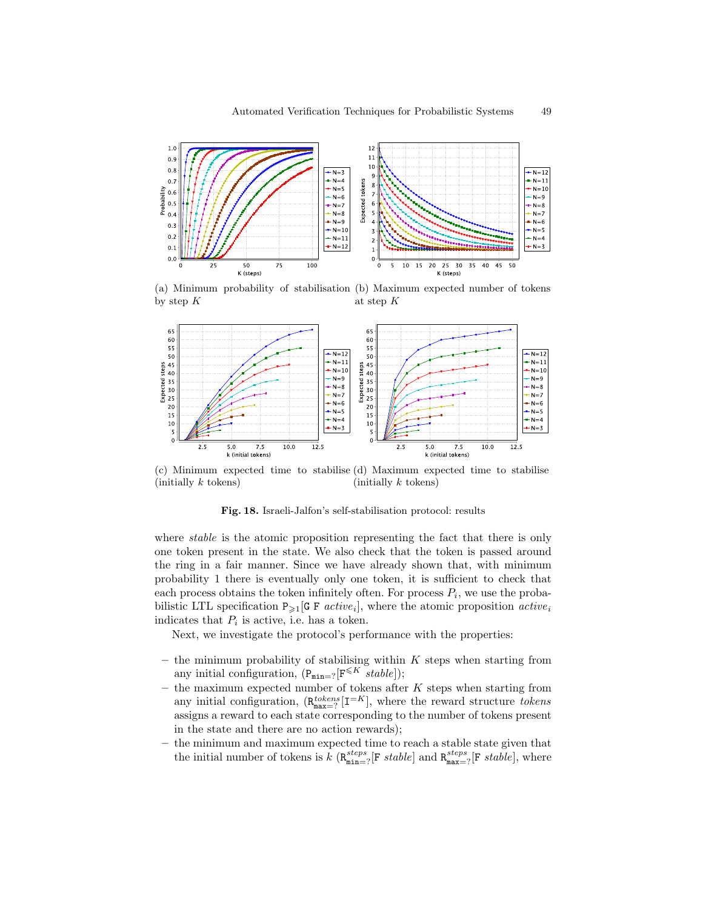

(a) Minimum probability of stabilisation (b) Maximum expected number of tokens by step  $K$ at step K



(c) Minimum expected time to stabilise (d) Maximum expected time to stabilise  $(i$ nitially  $k$  tokens)  $(i$ nitially  $k$  tokens)

<span id="page-48-0"></span>Fig. 18. Israeli-Jalfon's self-stabilisation protocol: results

where *stable* is the atomic proposition representing the fact that there is only one token present in the state. We also check that the token is passed around the ring in a fair manner. Since we have already shown that, with minimum probability 1 there is eventually only one token, it is sufficient to check that each process obtains the token infinitely often. For process  $P_i$ , we use the probabilistic LTL specification  $P_{\geq 1}[G \ F \ active_i],$  where the atomic proposition  $active_i$ indicates that  $P_i$  is active, i.e. has a token.

Next, we investigate the protocol's performance with the properties:

- the minimum probability of stabilising within  $K$  steps when starting from any initial configuration,  $(P_{\min=?}[F^{\leq K} \; stable]);$
- the maximum expected number of tokens after  $K$  steps when starting from any initial configuration,  $(R_{\text{max}=?}^{tokens}[I^{=K}],$  where the reward structure tokens assigns a reward to each state corresponding to the number of tokens present in the state and there are no action rewards);
- the minimum and maximum expected time to reach a stable state given that the initial number of tokens is  $\hat{k}$  ( $\mathbf{R}^{steps}_{\text{min}=?}[\textbf{F} \; stable]$  and  $\mathbf{R}^{steps}_{\text{max}=?}[\textbf{F} \; stable]$ , where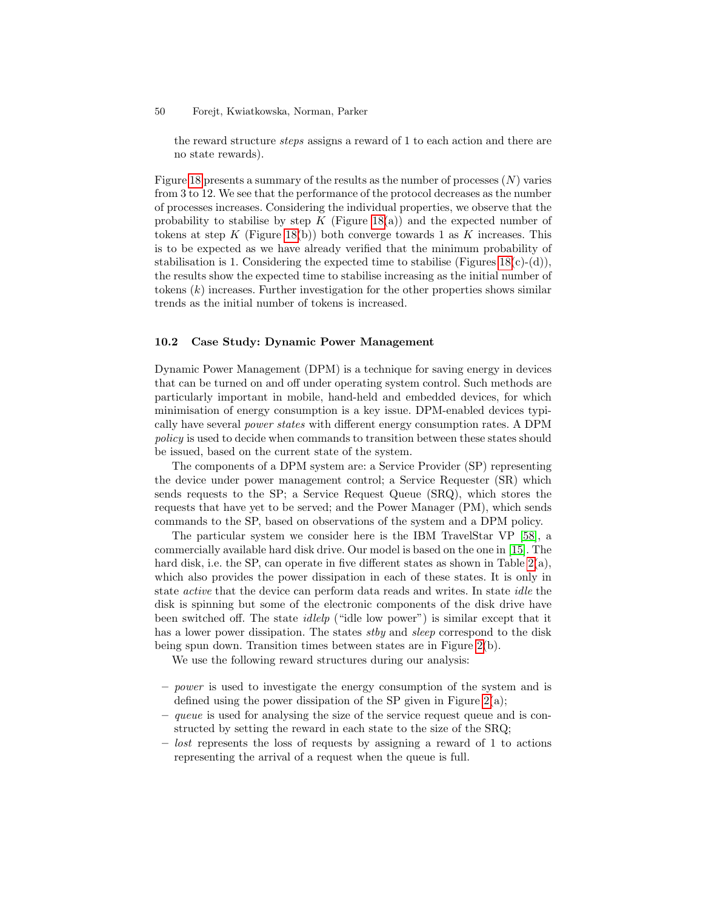the reward structure steps assigns a reward of 1 to each action and there are no state rewards).

Figure [18](#page-48-0) presents a summary of the results as the number of processes  $(N)$  varies from 3 to 12. We see that the performance of the protocol decreases as the number of processes increases. Considering the individual properties, we observe that the probability to stabilise by step K (Figure  $18(a)$ ) and the expected number of tokens at step K (Figure [18\(](#page-48-0)b)) both converge towards 1 as K increases. This is to be expected as we have already verified that the minimum probability of stabilisation is 1. Considering the expected time to stabilise (Figures  $18(c)$ -(d)), the results show the expected time to stabilise increasing as the initial number of tokens  $(k)$  increases. Further investigation for the other properties shows similar trends as the initial number of tokens is increased.

#### 10.2 Case Study: Dynamic Power Management

Dynamic Power Management (DPM) is a technique for saving energy in devices that can be turned on and off under operating system control. Such methods are particularly important in mobile, hand-held and embedded devices, for which minimisation of energy consumption is a key issue. DPM-enabled devices typically have several power states with different energy consumption rates. A DPM policy is used to decide when commands to transition between these states should be issued, based on the current state of the system.

The components of a DPM system are: a Service Provider (SP) representing the device under power management control; a Service Requester (SR) which sends requests to the SP; a Service Request Queue (SRQ), which stores the requests that have yet to be served; and the Power Manager (PM), which sends commands to the SP, based on observations of the system and a DPM policy.

The particular system we consider here is the IBM TravelStar VP [\[58\]](#page-58-9), a commercially available hard disk drive. Our model is based on the one in [\[15\]](#page-55-13). The hard disk, i.e. the SP, can operate in five different states as shown in Table  $2(a)$ . which also provides the power dissipation in each of these states. It is only in state *active* that the device can perform data reads and writes. In state *idle* the disk is spinning but some of the electronic components of the disk drive have been switched off. The state *idlelp* ("idle low power") is similar except that it has a lower power dissipation. The states *stby* and *sleep* correspond to the disk being spun down. Transition times between states are in Figure [2\(](#page-50-0)b).

We use the following reward structures during our analysis:

- power is used to investigate the energy consumption of the system and is defined using the power dissipation of the SP given in Figure  $2(a)$ ;
- queue is used for analysing the size of the service request queue and is constructed by setting the reward in each state to the size of the SRQ;
- $-$  lost represents the loss of requests by assigning a reward of 1 to actions representing the arrival of a request when the queue is full.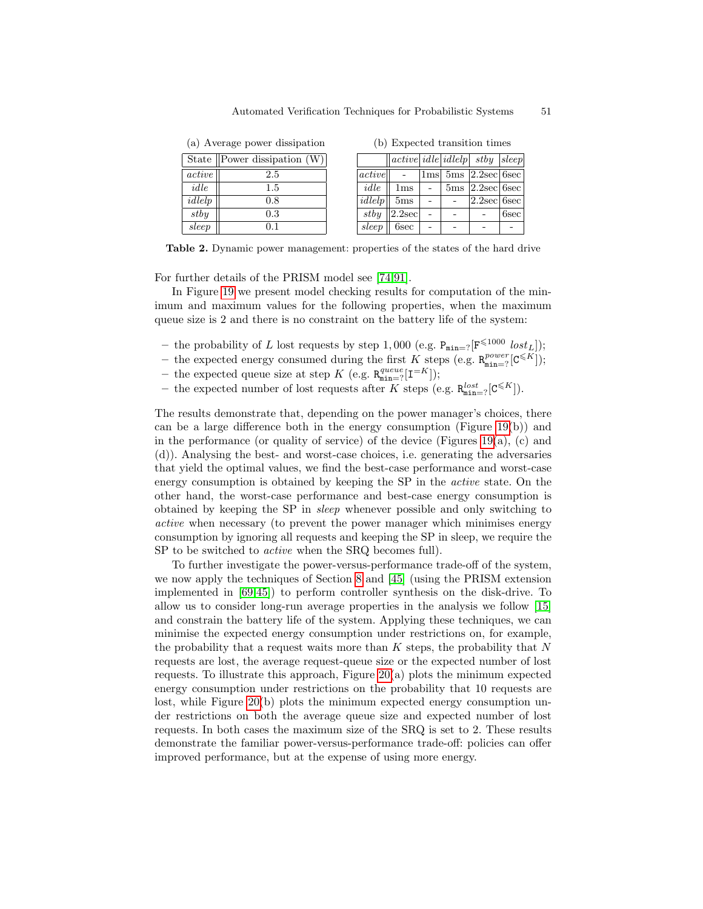| (a) Average power dissipation |                                 |  |        |  |  |
|-------------------------------|---------------------------------|--|--------|--|--|
|                               | State   Power dissipation $(W)$ |  |        |  |  |
| active                        | 2.5                             |  | active |  |  |
| idle                          | 1.5                             |  | idle   |  |  |
| idlelp                        | 0.8                             |  | idlelp |  |  |
| stby                          | 0.3                             |  | stby   |  |  |
| sleep                         |                                 |  | sleep  |  |  |

(b) Expected transition times

|        |                 |     | <i>active idle idlelp stby sleep</i> |      |
|--------|-----------------|-----|--------------------------------------|------|
| active |                 |     | $1ms$ 5ms 2.2sec 6sec                |      |
| idle   | 1 <sub>ms</sub> | 5ms | $ 2.2\text{sec} 6\text{sec}$         |      |
| idlelp | 5ms             |     | $ 2.2\text{sec} $ 6sec               |      |
| stbu   | 2.2sec          |     |                                      | 6sec |
| sleep  | 6sec            |     |                                      |      |

<span id="page-50-0"></span>Table 2. Dynamic power management: properties of the states of the hard drive

For further details of the PRISM model see [\[74](#page-59-14)[,91\]](#page-59-0).

In Figure [19](#page-51-0) we present model checking results for computation of the minimum and maximum values for the following properties, when the maximum queue size is 2 and there is no constraint on the battery life of the system:

- the probability of L lost requests by step 1,000 (e.g.  $P_{min=?}[F^{\leq 1000}$   $lost_L]$ );
- the expected energy consumed during the first K steps (e.g.  $\mathbb{R}_{\min=?}^{power}[\mathbf{C}^{\leq K}])$ ;
- the expected queue size at step K (e.g.  $\mathbb{R}^{queue}_{\min=?}[\mathbf{I}^{=K}])$ ;
- the expected number of lost requests after K steps (e.g.  $R_{\min=2}^{lost} [C^{\leq K}]$ ).

The results demonstrate that, depending on the power manager's choices, there can be a large difference both in the energy consumption (Figure 19 $(b)$ ) and in the performance (or quality of service) of the device (Figures  $19(a)$ , (c) and (d)). Analysing the best- and worst-case choices, i.e. generating the adversaries that yield the optimal values, we find the best-case performance and worst-case energy consumption is obtained by keeping the SP in the active state. On the other hand, the worst-case performance and best-case energy consumption is obtained by keeping the SP in sleep whenever possible and only switching to active when necessary (to prevent the power manager which minimises energy consumption by ignoring all requests and keeping the SP in sleep, we require the SP to be switched to *active* when the SRQ becomes full).

To further investigate the power-versus-performance trade-off of the system, we now apply the techniques of Section [8](#page-38-0) and [\[45\]](#page-57-6) (using the PRISM extension implemented in [\[69,](#page-58-5)[45\]](#page-57-6)) to perform controller synthesis on the disk-drive. To allow us to consider long-run average properties in the analysis we follow [\[15\]](#page-55-13) and constrain the battery life of the system. Applying these techniques, we can minimise the expected energy consumption under restrictions on, for example, the probability that a request waits more than  $K$  steps, the probability that  $N$ requests are lost, the average request-queue size or the expected number of lost requests. To illustrate this approach, Figure [20\(](#page-52-0)a) plots the minimum expected energy consumption under restrictions on the probability that 10 requests are lost, while Figure [20\(](#page-52-0)b) plots the minimum expected energy consumption under restrictions on both the average queue size and expected number of lost requests. In both cases the maximum size of the SRQ is set to 2. These results demonstrate the familiar power-versus-performance trade-off: policies can offer improved performance, but at the expense of using more energy.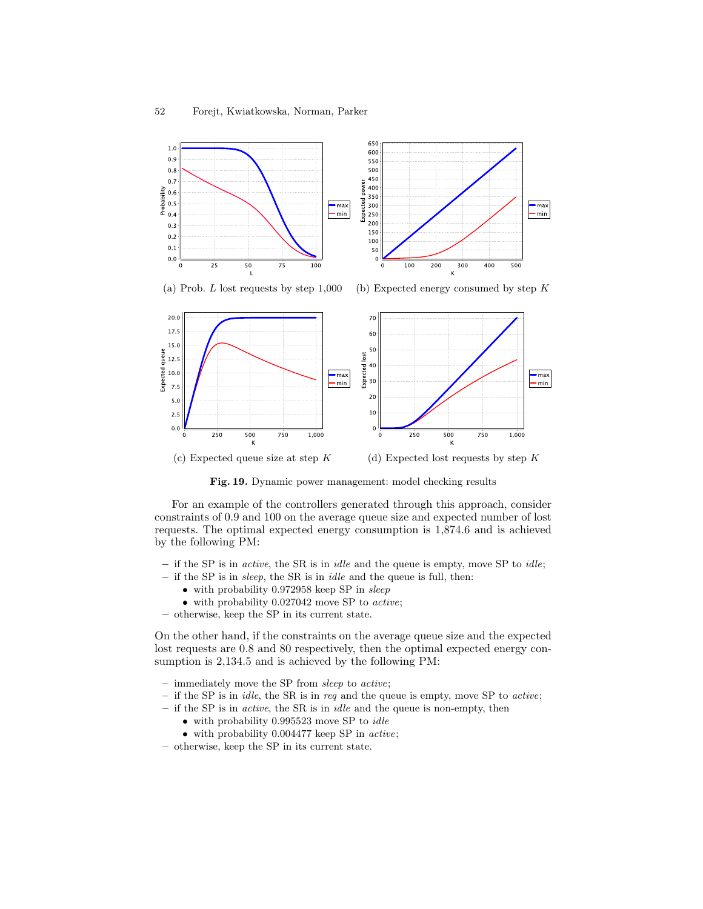

(a) Prob.  $L$  lost requests by step 1,000 (b) Expected energy consumed by step  $K$ 



<span id="page-51-0"></span>Fig. 19. Dynamic power management: model checking results

For an example of the controllers generated through this approach, consider constraints of 0.9 and 100 on the average queue size and expected number of lost requests. The optimal expected energy consumption is 1,874.6 and is achieved by the following PM:

- if the SP is in active, the SR is in idle and the queue is empty, move SP to idle;
- if the SP is in sleep, the SR is in idle and the queue is full, then:
	- with probability 0.972958 keep SP in *sleep*
	- with probability 0.027042 move SP to active;
- otherwise, keep the SP in its current state.

On the other hand, if the constraints on the average queue size and the expected lost requests are 0.8 and 80 respectively, then the optimal expected energy consumption is 2,134.5 and is achieved by the following PM:

- immediately move the SP from sleep to active;
- if the SP is in *idle*, the SR is in req and the queue is empty, move SP to *active*;
- $-$  if the SP is in *active*, the SR is in *idle* and the queue is non-empty, then
	- with probability 0.995523 move SP to idle
	- with probability 0.004477 keep SP in active;
- otherwise, keep the SP in its current state.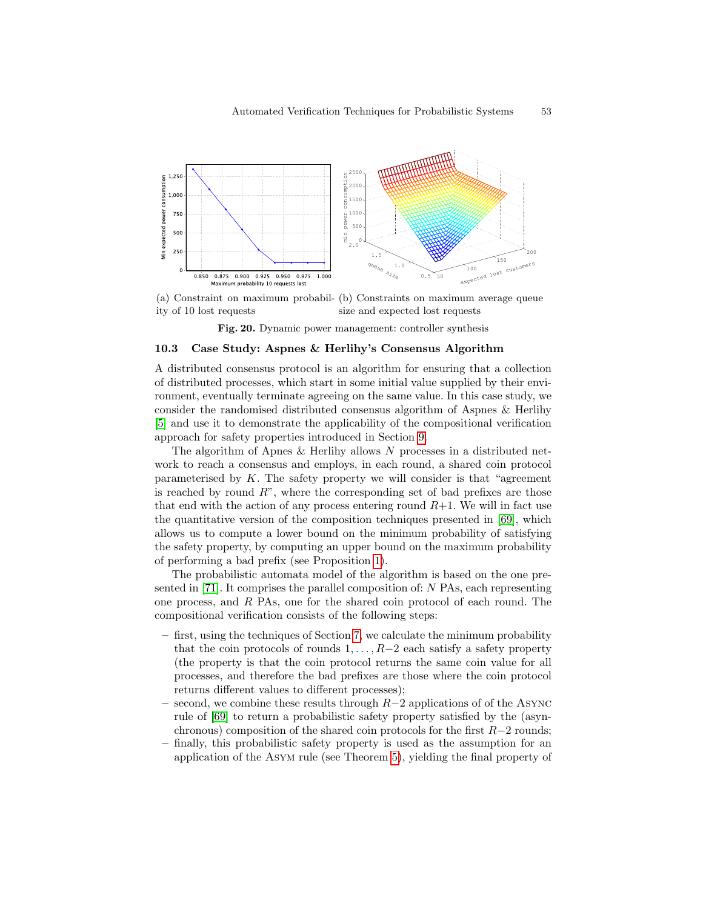

(a) Constraint on maximum probabil-(b) Constraints on maximum average queue ity of 10 lost requests size and expected lost requests

<span id="page-52-0"></span>Fig. 20. Dynamic power management: controller synthesis

## 10.3 Case Study: Aspnes & Herlihy's Consensus Algorithm

A distributed consensus protocol is an algorithm for ensuring that a collection of distributed processes, which start in some initial value supplied by their environment, eventually terminate agreeing on the same value. In this case study, we consider the randomised distributed consensus algorithm of Aspnes & Herlihy [\[5\]](#page-54-2) and use it to demonstrate the applicability of the compositional verification approach for safety properties introduced in Section [9.](#page-43-0)

The algorithm of Apnes & Herlihy allows N processes in a distributed network to reach a consensus and employs, in each round, a shared coin protocol parameterised by  $K$ . The safety property we will consider is that "agreement" is reached by round  $R$ ", where the corresponding set of bad prefixes are those that end with the action of any process entering round  $R+1$ . We will in fact use the quantitative version of the composition techniques presented in [\[69\]](#page-58-5), which allows us to compute a lower bound on the minimum probability of satisfying the safety property, by computing an upper bound on the maximum probability of performing a bad prefix (see Proposition [1\)](#page-32-0).

The probabilistic automata model of the algorithm is based on the one presented in [\[71\]](#page-58-10). It comprises the parallel composition of: N PAs, each representing one process, and R PAs, one for the shared coin protocol of each round. The compositional verification consists of the following steps:

- first, using the techniques of Section [7,](#page-30-0) we calculate the minimum probability that the coin protocols of rounds  $1, \ldots, R-2$  each satisfy a safety property (the property is that the coin protocol returns the same coin value for all processes, and therefore the bad prefixes are those where the coin protocol returns different values to different processes);
- second, we combine these results through  $R-2$  applications of of the ASYNC rule of [\[69\]](#page-58-5) to return a probabilistic safety property satisfied by the (asynchronous) composition of the shared coin protocols for the first  $R-2$  rounds;
- finally, this probabilistic safety property is used as the assumption for an application of the Asym rule (see Theorem [5\)](#page-45-3), yielding the final property of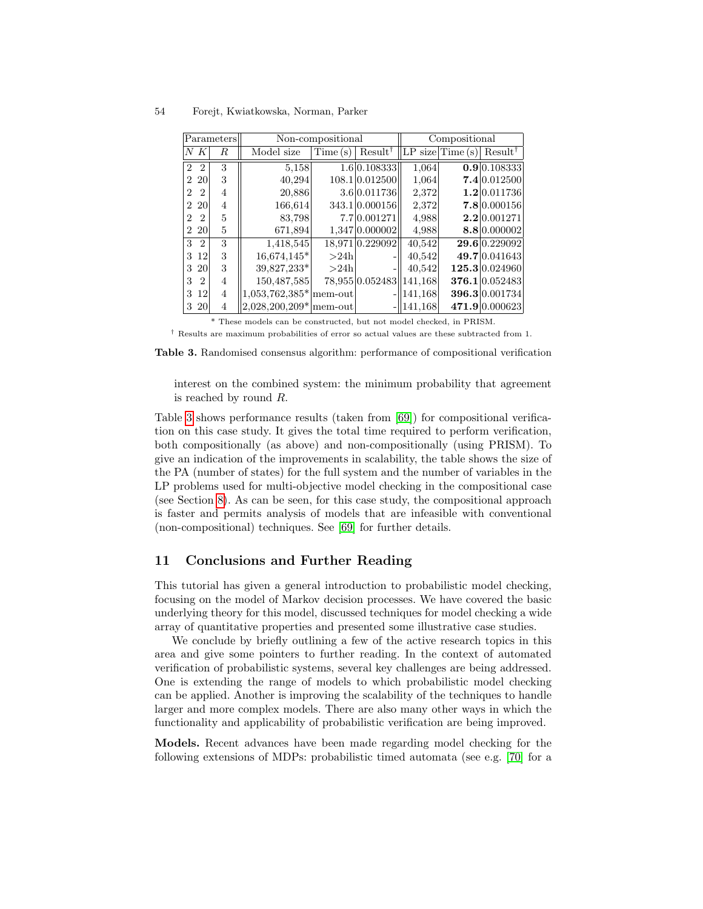54 Forejt, Kwiatkowska, Norman, Parker

|                                   | Parameters     |                  | Non-compositional |                     | Compositional              |                      |                     |
|-----------------------------------|----------------|------------------|-------------------|---------------------|----------------------------|----------------------|---------------------|
| $N$ K                             | R              | Model size       | Time(s)           | Result <sup>†</sup> |                            | $LP$ size Time $(s)$ | Result <sup>T</sup> |
| $\overline{2}$<br>$\mathfrak{D}$  | 3              | 5,158            |                   | 1.6 0.108333        | 1,064                      |                      | 0.9 0.108333        |
| $\overline{2}$<br>-20             | 3              | 40,294           |                   | 108.1 0.012500      | 1,064                      |                      | 7.4 0.012500        |
| 2<br>$\overline{2}$               | $\overline{4}$ | 20,886           |                   | 3.6 0.011736        | 2,372                      |                      | 1.2 0.011736        |
| 20<br>$\mathcal{D}_{\mathcal{L}}$ | 4              | 166,614          |                   | 343.1 0.000156      | 2,372                      |                      | 7.8 0.000156        |
| $\overline{2}$<br>2               | 5              | 83,798           |                   | 7.7 0.001271        | 4,988                      |                      | 2.2 0.001271        |
| 20<br>$\overline{2}$              | 5              | 671,894          |                   | 1,347 0.000002      | 4,988                      |                      | 8.8 0.000002        |
| 3<br>$\mathcal{D}$                | 3              | 1,418,545        |                   | 18,971 0.229092     | 40,542                     |                      | 29.6 0.229092       |
| 3<br>12                           | 3              | $16,674,145*$    | >24h              |                     | 40,542                     |                      | 49.7 0.041643       |
| 20<br>3                           | 3              | 39,827,233*      | >24h              |                     | 40,542                     |                      | 125.3 0.024960      |
| 3<br>$\overline{2}$               | $\overline{4}$ | 150,487,585      |                   | 78,955 0.052483     | 141,168                    |                      | 376.1 0.052483      |
| 12<br>3                           | 4              | $1,053,762,385*$ | mem-out           | $\overline{a}$      | $\vert\vert 141.168 \vert$ |                      | 396.3 0.001734      |
| 3 20                              | $\overline{4}$ | 2,028,200,209*   | mem-out           | $\overline{a}$      | 141,168                    |                      | 471.9 0.000623      |

<span id="page-53-1"></span>\* These models can be constructed, but not model checked, in PRISM.

† Results are maximum probabilities of error so actual values are these subtracted from 1.

Table 3. Randomised consensus algorithm: performance of compositional verification

interest on the combined system: the minimum probability that agreement is reached by round R.

Table [3](#page-53-1) shows performance results (taken from [\[69\]](#page-58-5)) for compositional verification on this case study. It gives the total time required to perform verification, both compositionally (as above) and non-compositionally (using PRISM). To give an indication of the improvements in scalability, the table shows the size of the PA (number of states) for the full system and the number of variables in the LP problems used for multi-objective model checking in the compositional case (see Section [8\)](#page-38-0). As can be seen, for this case study, the compositional approach is faster and permits analysis of models that are infeasible with conventional (non-compositional) techniques. See [\[69\]](#page-58-5) for further details.

## <span id="page-53-0"></span>11 Conclusions and Further Reading

This tutorial has given a general introduction to probabilistic model checking, focusing on the model of Markov decision processes. We have covered the basic underlying theory for this model, discussed techniques for model checking a wide array of quantitative properties and presented some illustrative case studies.

We conclude by briefly outlining a few of the active research topics in this area and give some pointers to further reading. In the context of automated verification of probabilistic systems, several key challenges are being addressed. One is extending the range of models to which probabilistic model checking can be applied. Another is improving the scalability of the techniques to handle larger and more complex models. There are also many other ways in which the functionality and applicability of probabilistic verification are being improved.

Models. Recent advances have been made regarding model checking for the following extensions of MDPs: probabilistic timed automata (see e.g. [\[70\]](#page-58-11) for a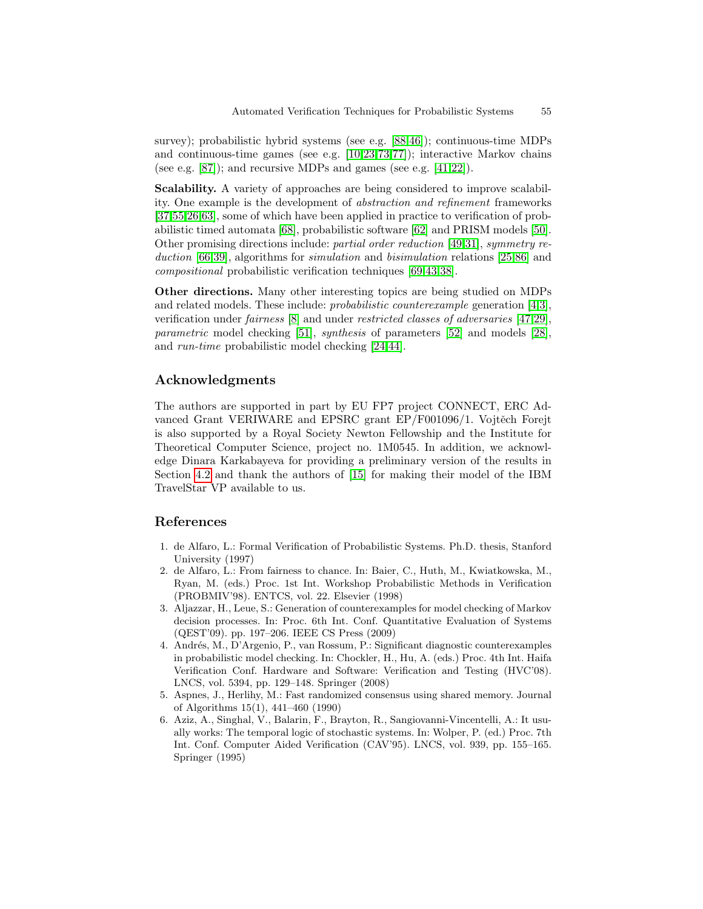survey); probabilistic hybrid systems (see e.g. [\[88,](#page-59-15)[46\]](#page-57-8)); continuous-time MDPs and continuous-time games (see e.g. [\[10,](#page-55-14)[23,](#page-55-15)[73,](#page-59-16)[77\]](#page-59-17)); interactive Markov chains (see e.g. [\[87\]](#page-59-18)); and recursive MDPs and games (see e.g. [\[41,](#page-57-9)[22\]](#page-55-16)).

Scalability. A variety of approaches are being considered to improve scalability. One example is the development of abstraction and refinement frameworks [\[37](#page-56-7)[,55](#page-57-10)[,26,](#page-56-8)[63\]](#page-58-12), some of which have been applied in practice to verification of probabilistic timed automata [\[68\]](#page-58-13), probabilistic software [\[62\]](#page-58-14) and PRISM models [\[50\]](#page-57-7). Other promising directions include: partial order reduction [\[49,](#page-57-11)[31\]](#page-56-9), symmetry reduction [\[66](#page-58-15)[,39\]](#page-56-10), algorithms for simulation and bisimulation relations [\[25,](#page-56-11)[86\]](#page-59-19) and compositional probabilistic verification techniques [\[69,](#page-58-5)[43,](#page-57-12)[38\]](#page-56-12).

Other directions. Many other interesting topics are being studied on MDPs and related models. These include: probabilistic counterexample generation [\[4](#page-54-3)[,3\]](#page-54-4), verification under fairness [\[8\]](#page-55-7) and under restricted classes of adversaries [\[47](#page-57-13)[,29\]](#page-56-13), parametric model checking [\[51\]](#page-57-14), synthesis of parameters [\[52\]](#page-57-15) and models [\[28\]](#page-56-14), and run-time probabilistic model checking [\[24,](#page-55-17)[44\]](#page-57-16).

## Acknowledgments

The authors are supported in part by EU FP7 project CONNECT, ERC Advanced Grant VERIWARE and EPSRC grant EP/F001096/1. Vojtěch Forejt is also supported by a Royal Society Newton Fellowship and the Institute for Theoretical Computer Science, project no. 1M0545. In addition, we acknowledge Dinara Karkabayeva for providing a preliminary version of the results in Section [4.2](#page-11-1) and thank the authors of [\[15\]](#page-55-13) for making their model of the IBM TravelStar VP available to us.

## References

- <span id="page-54-0"></span>1. de Alfaro, L.: Formal Verification of Probabilistic Systems. Ph.D. thesis, Stanford University (1997)
- <span id="page-54-1"></span>2. de Alfaro, L.: From fairness to chance. In: Baier, C., Huth, M., Kwiatkowska, M., Ryan, M. (eds.) Proc. 1st Int. Workshop Probabilistic Methods in Verification (PROBMIV'98). ENTCS, vol. 22. Elsevier (1998)
- <span id="page-54-4"></span>3. Aljazzar, H., Leue, S.: Generation of counterexamples for model checking of Markov decision processes. In: Proc. 6th Int. Conf. Quantitative Evaluation of Systems (QEST'09). pp. 197–206. IEEE CS Press (2009)
- <span id="page-54-3"></span>4. Andr´es, M., D'Argenio, P., van Rossum, P.: Significant diagnostic counterexamples in probabilistic model checking. In: Chockler, H., Hu, A. (eds.) Proc. 4th Int. Haifa Verification Conf. Hardware and Software: Verification and Testing (HVC'08). LNCS, vol. 5394, pp. 129–148. Springer (2008)
- <span id="page-54-2"></span>5. Aspnes, J., Herlihy, M.: Fast randomized consensus using shared memory. Journal of Algorithms 15(1), 441–460 (1990)
- 6. Aziz, A., Singhal, V., Balarin, F., Brayton, R., Sangiovanni-Vincentelli, A.: It usually works: The temporal logic of stochastic systems. In: Wolper, P. (ed.) Proc. 7th Int. Conf. Computer Aided Verification (CAV'95). LNCS, vol. 939, pp. 155–165. Springer (1995)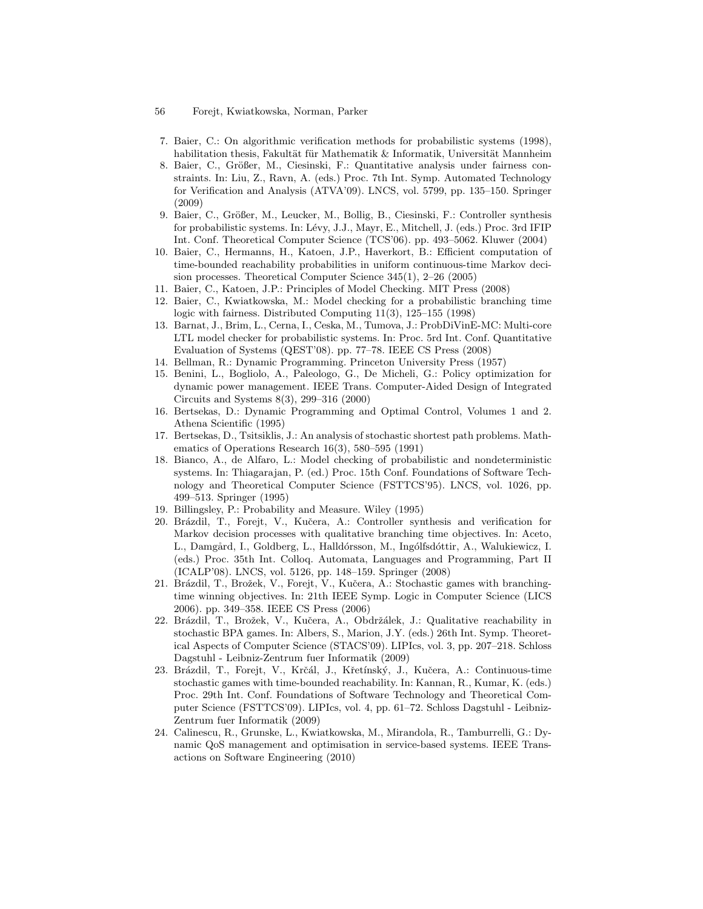- 56 Forejt, Kwiatkowska, Norman, Parker
- <span id="page-55-1"></span>7. Baier, C.: On algorithmic verification methods for probabilistic systems (1998), habilitation thesis, Fakultät für Mathematik & Informatik, Universität Mannheim
- <span id="page-55-7"></span>8. Baier, C., Größer, M., Ciesinski, F.: Quantitative analysis under fairness constraints. In: Liu, Z., Ravn, A. (eds.) Proc. 7th Int. Symp. Automated Technology for Verification and Analysis (ATVA'09). LNCS, vol. 5799, pp. 135–150. Springer (2009)
- <span id="page-55-9"></span>9. Baier, C., Größer, M., Leucker, M., Bollig, B., Ciesinski, F.: Controller synthesis for probabilistic systems. In: Lévy, J.J., Mayr, E., Mitchell, J. (eds.) Proc. 3rd IFIP Int. Conf. Theoretical Computer Science (TCS'06). pp. 493–5062. Kluwer (2004)
- <span id="page-55-14"></span>10. Baier, C., Hermanns, H., Katoen, J.P., Haverkort, B.: Efficient computation of time-bounded reachability probabilities in uniform continuous-time Markov decision processes. Theoretical Computer Science 345(1), 2–26 (2005)
- <span id="page-55-0"></span>11. Baier, C., Katoen, J.P.: Principles of Model Checking. MIT Press (2008)
- <span id="page-55-8"></span>12. Baier, C., Kwiatkowska, M.: Model checking for a probabilistic branching time logic with fairness. Distributed Computing 11(3), 125–155 (1998)
- <span id="page-55-12"></span>13. Barnat, J., Brim, L., Cerna, I., Ceska, M., Tumova, J.: ProbDiVinE-MC: Multi-core LTL model checker for probabilistic systems. In: Proc. 5rd Int. Conf. Quantitative Evaluation of Systems (QEST'08). pp. 77–78. IEEE CS Press (2008)
- <span id="page-55-3"></span>14. Bellman, R.: Dynamic Programming. Princeton University Press (1957)
- <span id="page-55-13"></span>15. Benini, L., Bogliolo, A., Paleologo, G., De Micheli, G.: Policy optimization for dynamic power management. IEEE Trans. Computer-Aided Design of Integrated Circuits and Systems 8(3), 299–316 (2000)
- <span id="page-55-6"></span>16. Bertsekas, D.: Dynamic Programming and Optimal Control, Volumes 1 and 2. Athena Scientific (1995)
- <span id="page-55-5"></span>17. Bertsekas, D., Tsitsiklis, J.: An analysis of stochastic shortest path problems. Mathematics of Operations Research 16(3), 580–595 (1991)
- <span id="page-55-4"></span>18. Bianco, A., de Alfaro, L.: Model checking of probabilistic and nondeterministic systems. In: Thiagarajan, P. (ed.) Proc. 15th Conf. Foundations of Software Technology and Theoretical Computer Science (FSTTCS'95). LNCS, vol. 1026, pp. 499–513. Springer (1995)
- <span id="page-55-2"></span>19. Billingsley, P.: Probability and Measure. Wiley (1995)
- <span id="page-55-11"></span>20. Brázdil, T., Forejt, V., Kučera, A.: Controller synthesis and verification for Markov decision processes with qualitative branching time objectives. In: Aceto, L., Damgård, I., Goldberg, L., Halldórsson, M., Ingólfsdóttir, A., Walukiewicz, I. (eds.) Proc. 35th Int. Colloq. Automata, Languages and Programming, Part II (ICALP'08). LNCS, vol. 5126, pp. 148–159. Springer (2008)
- <span id="page-55-10"></span>21. Brázdil, T., Brožek, V., Forejt, V., Kučera, A.: Stochastic games with branchingtime winning objectives. In: 21th IEEE Symp. Logic in Computer Science (LICS 2006). pp. 349–358. IEEE CS Press (2006)
- <span id="page-55-16"></span>22. Brázdil, T., Brožek, V., Kučera, A., Obdržálek, J.: Qualitative reachability in stochastic BPA games. In: Albers, S., Marion, J.Y. (eds.) 26th Int. Symp. Theoretical Aspects of Computer Science (STACS'09). LIPIcs, vol. 3, pp. 207–218. Schloss Dagstuhl - Leibniz-Zentrum fuer Informatik (2009)
- <span id="page-55-15"></span>23. Brázdil, T., Forejt, V., Krčál, J., Křetínský, J., Kučera, A.: Continuous-time stochastic games with time-bounded reachability. In: Kannan, R., Kumar, K. (eds.) Proc. 29th Int. Conf. Foundations of Software Technology and Theoretical Computer Science (FSTTCS'09). LIPIcs, vol. 4, pp. 61–72. Schloss Dagstuhl - Leibniz-Zentrum fuer Informatik (2009)
- <span id="page-55-17"></span>24. Calinescu, R., Grunske, L., Kwiatkowska, M., Mirandola, R., Tamburrelli, G.: Dynamic QoS management and optimisation in service-based systems. IEEE Transactions on Software Engineering (2010)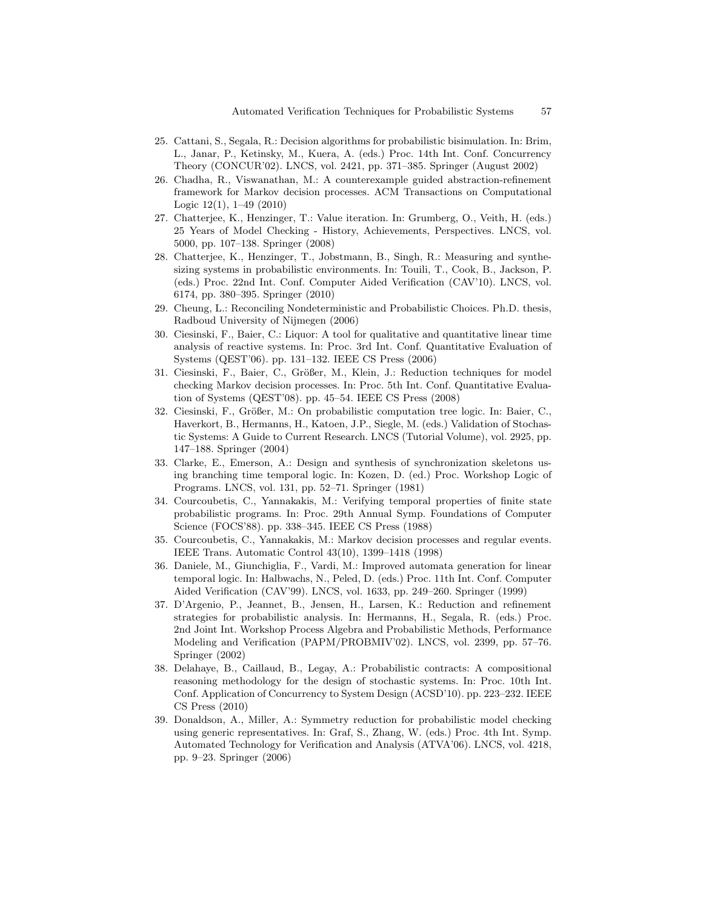- <span id="page-56-11"></span>25. Cattani, S., Segala, R.: Decision algorithms for probabilistic bisimulation. In: Brim, L., Janar, P., Ketinsky, M., Kuera, A. (eds.) Proc. 14th Int. Conf. Concurrency Theory (CONCUR'02). LNCS, vol. 2421, pp. 371–385. Springer (August 2002)
- <span id="page-56-8"></span>26. Chadha, R., Viswanathan, M.: A counterexample guided abstraction-refinement framework for Markov decision processes. ACM Transactions on Computational Logic 12(1), 1–49 (2010)
- <span id="page-56-2"></span>27. Chatterjee, K., Henzinger, T.: Value iteration. In: Grumberg, O., Veith, H. (eds.) 25 Years of Model Checking - History, Achievements, Perspectives. LNCS, vol. 5000, pp. 107–138. Springer (2008)
- <span id="page-56-14"></span>28. Chatterjee, K., Henzinger, T., Jobstmann, B., Singh, R.: Measuring and synthesizing systems in probabilistic environments. In: Touili, T., Cook, B., Jackson, P. (eds.) Proc. 22nd Int. Conf. Computer Aided Verification (CAV'10). LNCS, vol. 6174, pp. 380–395. Springer (2010)
- <span id="page-56-13"></span>29. Cheung, L.: Reconciling Nondeterministic and Probabilistic Choices. Ph.D. thesis, Radboud University of Nijmegen (2006)
- <span id="page-56-6"></span>30. Ciesinski, F., Baier, C.: Liquor: A tool for qualitative and quantitative linear time analysis of reactive systems. In: Proc. 3rd Int. Conf. Quantitative Evaluation of Systems (QEST'06). pp. 131–132. IEEE CS Press (2006)
- <span id="page-56-9"></span>31. Ciesinski, F., Baier, C., Größer, M., Klein, J.: Reduction techniques for model checking Markov decision processes. In: Proc. 5th Int. Conf. Quantitative Evaluation of Systems (QEST'08). pp. 45–54. IEEE CS Press (2008)
- <span id="page-56-4"></span>32. Ciesinski, F., Größer, M.: On probabilistic computation tree logic. In: Baier, C., Haverkort, B., Hermanns, H., Katoen, J.P., Siegle, M. (eds.) Validation of Stochastic Systems: A Guide to Current Research. LNCS (Tutorial Volume), vol. 2925, pp. 147–188. Springer (2004)
- <span id="page-56-3"></span>33. Clarke, E., Emerson, A.: Design and synthesis of synchronization skeletons using branching time temporal logic. In: Kozen, D. (ed.) Proc. Workshop Logic of Programs. LNCS, vol. 131, pp. 52–71. Springer (1981)
- <span id="page-56-0"></span>34. Courcoubetis, C., Yannakakis, M.: Verifying temporal properties of finite state probabilistic programs. In: Proc. 29th Annual Symp. Foundations of Computer Science (FOCS'88). pp. 338–345. IEEE CS Press (1988)
- <span id="page-56-1"></span>35. Courcoubetis, C., Yannakakis, M.: Markov decision processes and regular events. IEEE Trans. Automatic Control 43(10), 1399–1418 (1998)
- <span id="page-56-5"></span>36. Daniele, M., Giunchiglia, F., Vardi, M.: Improved automata generation for linear temporal logic. In: Halbwachs, N., Peled, D. (eds.) Proc. 11th Int. Conf. Computer Aided Verification (CAV'99). LNCS, vol. 1633, pp. 249–260. Springer (1999)
- <span id="page-56-7"></span>37. D'Argenio, P., Jeannet, B., Jensen, H., Larsen, K.: Reduction and refinement strategies for probabilistic analysis. In: Hermanns, H., Segala, R. (eds.) Proc. 2nd Joint Int. Workshop Process Algebra and Probabilistic Methods, Performance Modeling and Verification (PAPM/PROBMIV'02). LNCS, vol. 2399, pp. 57–76. Springer (2002)
- <span id="page-56-12"></span>38. Delahaye, B., Caillaud, B., Legay, A.: Probabilistic contracts: A compositional reasoning methodology for the design of stochastic systems. In: Proc. 10th Int. Conf. Application of Concurrency to System Design (ACSD'10). pp. 223–232. IEEE CS Press (2010)
- <span id="page-56-10"></span>39. Donaldson, A., Miller, A.: Symmetry reduction for probabilistic model checking using generic representatives. In: Graf, S., Zhang, W. (eds.) Proc. 4th Int. Symp. Automated Technology for Verification and Analysis (ATVA'06). LNCS, vol. 4218, pp. 9–23. Springer (2006)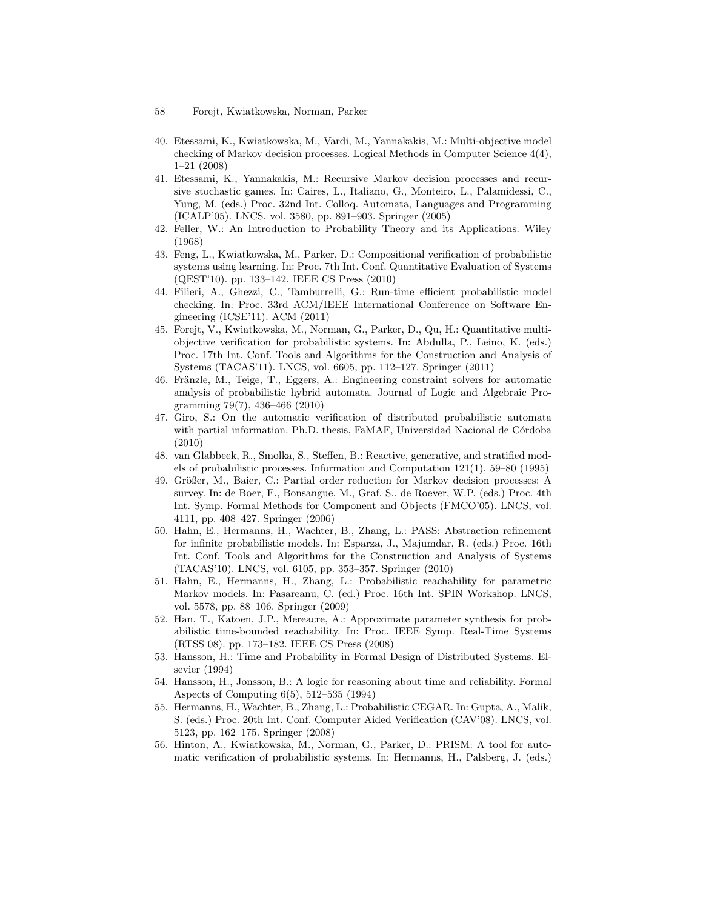- 58 Forejt, Kwiatkowska, Norman, Parker
- <span id="page-57-5"></span>40. Etessami, K., Kwiatkowska, M., Vardi, M., Yannakakis, M.: Multi-objective model checking of Markov decision processes. Logical Methods in Computer Science 4(4), 1–21 (2008)
- <span id="page-57-9"></span>41. Etessami, K., Yannakakis, M.: Recursive Markov decision processes and recursive stochastic games. In: Caires, L., Italiano, G., Monteiro, L., Palamidessi, C., Yung, M. (eds.) Proc. 32nd Int. Colloq. Automata, Languages and Programming (ICALP'05). LNCS, vol. 3580, pp. 891–903. Springer (2005)
- <span id="page-57-1"></span>42. Feller, W.: An Introduction to Probability Theory and its Applications. Wiley (1968)
- <span id="page-57-12"></span>43. Feng, L., Kwiatkowska, M., Parker, D.: Compositional verification of probabilistic systems using learning. In: Proc. 7th Int. Conf. Quantitative Evaluation of Systems (QEST'10). pp. 133–142. IEEE CS Press (2010)
- <span id="page-57-16"></span>44. Filieri, A., Ghezzi, C., Tamburrelli, G.: Run-time efficient probabilistic model checking. In: Proc. 33rd ACM/IEEE International Conference on Software Engineering (ICSE'11). ACM (2011)
- <span id="page-57-6"></span>45. Forejt, V., Kwiatkowska, M., Norman, G., Parker, D., Qu, H.: Quantitative multiobjective verification for probabilistic systems. In: Abdulla, P., Leino, K. (eds.) Proc. 17th Int. Conf. Tools and Algorithms for the Construction and Analysis of Systems (TACAS'11). LNCS, vol. 6605, pp. 112–127. Springer (2011)
- <span id="page-57-8"></span>46. Fränzle, M., Teige, T., Eggers, A.: Engineering constraint solvers for automatic analysis of probabilistic hybrid automata. Journal of Logic and Algebraic Programming 79(7), 436–466 (2010)
- <span id="page-57-13"></span>47. Giro, S.: On the automatic verification of distributed probabilistic automata with partial information. Ph.D. thesis, FaMAF, Universidad Nacional de Córdoba (2010)
- <span id="page-57-3"></span>48. van Glabbeek, R., Smolka, S., Steffen, B.: Reactive, generative, and stratified models of probabilistic processes. Information and Computation 121(1), 59–80 (1995)
- <span id="page-57-11"></span>49. Größer, M., Baier, C.: Partial order reduction for Markov decision processes: A survey. In: de Boer, F., Bonsangue, M., Graf, S., de Roever, W.P. (eds.) Proc. 4th Int. Symp. Formal Methods for Component and Objects (FMCO'05). LNCS, vol. 4111, pp. 408–427. Springer (2006)
- <span id="page-57-7"></span>50. Hahn, E., Hermanns, H., Wachter, B., Zhang, L.: PASS: Abstraction refinement for infinite probabilistic models. In: Esparza, J., Majumdar, R. (eds.) Proc. 16th Int. Conf. Tools and Algorithms for the Construction and Analysis of Systems (TACAS'10). LNCS, vol. 6105, pp. 353–357. Springer (2010)
- <span id="page-57-14"></span>51. Hahn, E., Hermanns, H., Zhang, L.: Probabilistic reachability for parametric Markov models. In: Pasareanu, C. (ed.) Proc. 16th Int. SPIN Workshop. LNCS, vol. 5578, pp. 88–106. Springer (2009)
- <span id="page-57-15"></span>52. Han, T., Katoen, J.P., Mereacre, A.: Approximate parameter synthesis for probabilistic time-bounded reachability. In: Proc. IEEE Symp. Real-Time Systems (RTSS 08). pp. 173–182. IEEE CS Press (2008)
- <span id="page-57-2"></span>53. Hansson, H.: Time and Probability in Formal Design of Distributed Systems. Elsevier (1994)
- <span id="page-57-4"></span>54. Hansson, H., Jonsson, B.: A logic for reasoning about time and reliability. Formal Aspects of Computing 6(5), 512–535 (1994)
- <span id="page-57-10"></span>55. Hermanns, H., Wachter, B., Zhang, L.: Probabilistic CEGAR. In: Gupta, A., Malik, S. (eds.) Proc. 20th Int. Conf. Computer Aided Verification (CAV'08). LNCS, vol. 5123, pp. 162–175. Springer (2008)
- <span id="page-57-0"></span>56. Hinton, A., Kwiatkowska, M., Norman, G., Parker, D.: PRISM: A tool for automatic verification of probabilistic systems. In: Hermanns, H., Palsberg, J. (eds.)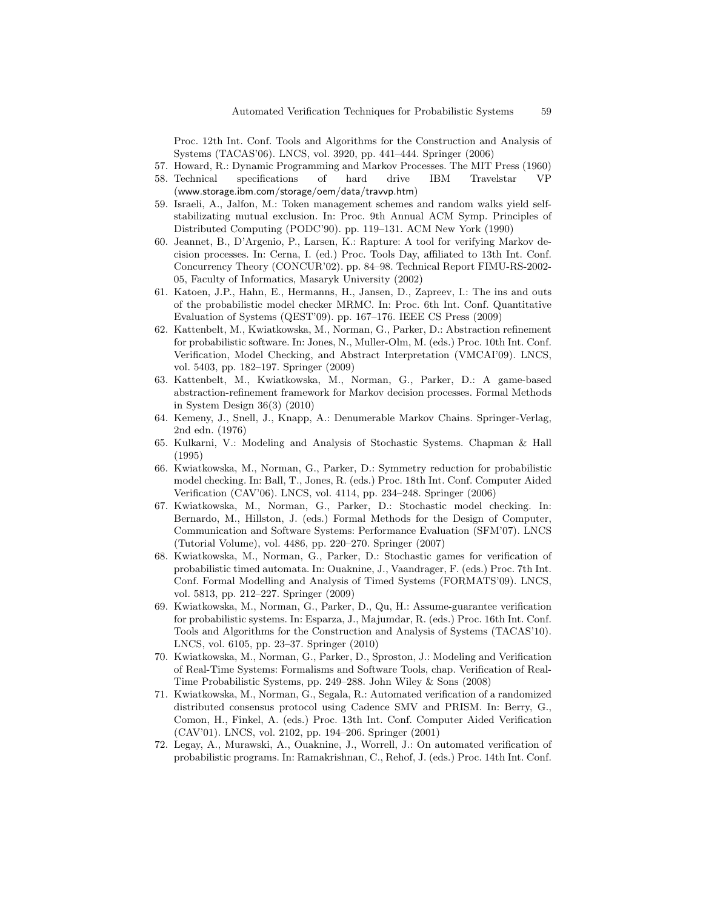Proc. 12th Int. Conf. Tools and Algorithms for the Construction and Analysis of Systems (TACAS'06). LNCS, vol. 3920, pp. 441–444. Springer (2006)

- <span id="page-58-3"></span>57. Howard, R.: Dynamic Programming and Markov Processes. The MIT Press (1960)
- <span id="page-58-9"></span>58. Technical specifications of hard drive IBM Travelstar VP (www.storage.ibm.com/storage/oem/data/travvp.htm)
- <span id="page-58-8"></span>59. Israeli, A., Jalfon, M.: Token management schemes and random walks yield selfstabilizating mutual exclusion. In: Proc. 9th Annual ACM Symp. Principles of Distributed Computing (PODC'90). pp. 119–131. ACM New York (1990)
- <span id="page-58-6"></span>60. Jeannet, B., D'Argenio, P., Larsen, K.: Rapture: A tool for verifying Markov decision processes. In: Cerna, I. (ed.) Proc. Tools Day, affiliated to 13th Int. Conf. Concurrency Theory (CONCUR'02). pp. 84–98. Technical Report FIMU-RS-2002- 05, Faculty of Informatics, Masaryk University (2002)
- <span id="page-58-7"></span>61. Katoen, J.P., Hahn, E., Hermanns, H., Jansen, D., Zapreev, I.: The ins and outs of the probabilistic model checker MRMC. In: Proc. 6th Int. Conf. Quantitative Evaluation of Systems (QEST'09). pp. 167–176. IEEE CS Press (2009)
- <span id="page-58-14"></span>62. Kattenbelt, M., Kwiatkowska, M., Norman, G., Parker, D.: Abstraction refinement for probabilistic software. In: Jones, N., Muller-Olm, M. (eds.) Proc. 10th Int. Conf. Verification, Model Checking, and Abstract Interpretation (VMCAI'09). LNCS, vol. 5403, pp. 182–197. Springer (2009)
- <span id="page-58-12"></span>63. Kattenbelt, M., Kwiatkowska, M., Norman, G., Parker, D.: A game-based abstraction-refinement framework for Markov decision processes. Formal Methods in System Design 36(3) (2010)
- <span id="page-58-2"></span>64. Kemeny, J., Snell, J., Knapp, A.: Denumerable Markov Chains. Springer-Verlag, 2nd edn. (1976)
- <span id="page-58-1"></span>65. Kulkarni, V.: Modeling and Analysis of Stochastic Systems. Chapman & Hall (1995)
- <span id="page-58-15"></span>66. Kwiatkowska, M., Norman, G., Parker, D.: Symmetry reduction for probabilistic model checking. In: Ball, T., Jones, R. (eds.) Proc. 18th Int. Conf. Computer Aided Verification (CAV'06). LNCS, vol. 4114, pp. 234–248. Springer (2006)
- <span id="page-58-0"></span>67. Kwiatkowska, M., Norman, G., Parker, D.: Stochastic model checking. In: Bernardo, M., Hillston, J. (eds.) Formal Methods for the Design of Computer, Communication and Software Systems: Performance Evaluation (SFM'07). LNCS (Tutorial Volume), vol. 4486, pp. 220–270. Springer (2007)
- <span id="page-58-13"></span>68. Kwiatkowska, M., Norman, G., Parker, D.: Stochastic games for verification of probabilistic timed automata. In: Ouaknine, J., Vaandrager, F. (eds.) Proc. 7th Int. Conf. Formal Modelling and Analysis of Timed Systems (FORMATS'09). LNCS, vol. 5813, pp. 212–227. Springer (2009)
- <span id="page-58-5"></span>69. Kwiatkowska, M., Norman, G., Parker, D., Qu, H.: Assume-guarantee verification for probabilistic systems. In: Esparza, J., Majumdar, R. (eds.) Proc. 16th Int. Conf. Tools and Algorithms for the Construction and Analysis of Systems (TACAS'10). LNCS, vol. 6105, pp. 23–37. Springer (2010)
- <span id="page-58-11"></span>70. Kwiatkowska, M., Norman, G., Parker, D., Sproston, J.: Modeling and Verification of Real-Time Systems: Formalisms and Software Tools, chap. Verification of Real-Time Probabilistic Systems, pp. 249–288. John Wiley & Sons (2008)
- <span id="page-58-10"></span>71. Kwiatkowska, M., Norman, G., Segala, R.: Automated verification of a randomized distributed consensus protocol using Cadence SMV and PRISM. In: Berry, G., Comon, H., Finkel, A. (eds.) Proc. 13th Int. Conf. Computer Aided Verification (CAV'01). LNCS, vol. 2102, pp. 194–206. Springer (2001)
- <span id="page-58-4"></span>72. Legay, A., Murawski, A., Ouaknine, J., Worrell, J.: On automated verification of probabilistic programs. In: Ramakrishnan, C., Rehof, J. (eds.) Proc. 14th Int. Conf.